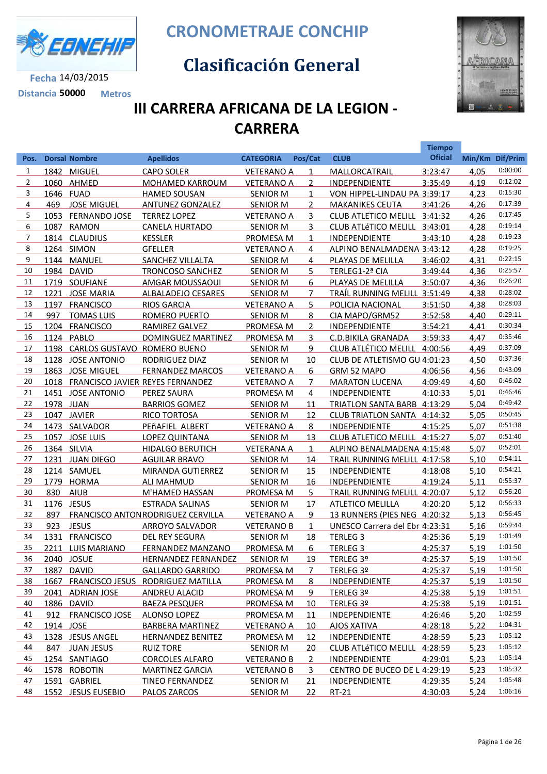

**Fecha** 14/03/2015 **Distancia 50000 Metros** **CRONOMETRAJE CONCHIP**

## **Clasificación General**



**Tiempo** 

## **III CARRERA AFRICANA DE LA LEGION - CARRERA**

| Pos.           |           | <b>Dorsal Nombre</b>             | <b>Apellidos</b>                         | <b>CATEGORIA</b>  | Pos/Cat        | <b>CLUB</b>                         | <b>Oficial</b> | Min/Km Dif/Prim |         |
|----------------|-----------|----------------------------------|------------------------------------------|-------------------|----------------|-------------------------------------|----------------|-----------------|---------|
| $\mathbf{1}$   |           | 1842 MIGUEL                      | <b>CAPO SOLER</b>                        | <b>VETERANO A</b> | $\mathbf{1}$   | MALLORCATRAIL                       | 3:23:47        | 4,05            | 0:00:00 |
| $\overline{2}$ |           | 1060 AHMED                       | <b>MOHAMED KARROUM</b>                   | <b>VETERANO A</b> | $\overline{2}$ | <b>INDEPENDIENTE</b>                | 3:35:49        | 4,19            | 0:12:02 |
| 3              | 1646 FUAD |                                  | <b>HAMED SOUSAN</b>                      | <b>SENIOR M</b>   | $\mathbf{1}$   | VON HIPPEL-LINDAU PA 3:39:17        |                | 4,23            | 0:15:30 |
| 4              |           | 469 JOSE MIGUEL                  | <b>ANTUNEZ GONZALEZ</b>                  | <b>SENIOR M</b>   | $\overline{2}$ | <b>MAKANIKES CEUTA</b>              | 3:41:26        | 4,26            | 0:17:39 |
| 5              |           | 1053 FERNANDO JOSE               | <b>TERREZ LOPEZ</b>                      | <b>VETERANO A</b> | 3              | CLUB ATLETICO MELILL 3:41:32        |                | 4,26            | 0:17:45 |
| 6              |           | 1087 RAMON                       | <b>CANELA HURTADO</b>                    | <b>SENIOR M</b>   | 3              | CLUB ATLÉTICO MELILL 3:43:01        |                | 4,28            | 0:19:14 |
| 7              |           | 1814 CLAUDIUS                    | <b>KESSLER</b>                           | PROMESA M         | $\mathbf{1}$   | INDEPENDIENTE                       | 3:43:10        | 4,28            | 0:19:23 |
| 8              |           | 1264 SIMON                       | <b>GFELLER</b>                           | <b>VETERANO A</b> | 4              | ALPINO BENALMADENA 3:43:12          |                | 4,28            | 0:19:25 |
| 9              |           | 1144 MANUEL                      | SANCHEZ VILLALTA                         | <b>SENIOR M</b>   | 4              | PLAYAS DE MELILLA                   | 3:46:02        | 4,31            | 0:22:15 |
| 10             |           | 1984 DAVID                       | <b>TRONCOSO SANCHEZ</b>                  | <b>SENIOR M</b>   | 5              | TERLEG1-2ª CIA                      | 3:49:44        | 4,36            | 0:25:57 |
| 11             |           | 1719 SOUFIANE                    | AMGAR MOUSSAOUI                          | <b>SENIOR M</b>   | 6              | PLAYAS DE MELILLA                   | 3:50:07        | 4,36            | 0:26:20 |
| 12             |           | 1221 JOSE MARIA                  | ALBALADEJO CESARES                       | <b>SENIOR M</b>   | $\overline{7}$ | TRAÍL RUNNING MELILL 3:51:49        |                | 4,38            | 0:28:02 |
| 13             |           | 1197 FRANCISCO                   | <b>RIOS GARCIA</b>                       | <b>VETERANO A</b> | 5              | POLICIA NACIONAL                    | 3:51:50        | 4,38            | 0:28:03 |
| 14             | 997       | <b>TOMAS LUIS</b>                | ROMERO PUERTO                            | <b>SENIOR M</b>   | 8              | CIA MAPO/GRM52                      | 3:52:58        | 4,40            | 0:29:11 |
| 15             |           | 1204 FRANCISCO                   | RAMIREZ GALVEZ                           | PROMESA M         | $\overline{2}$ | INDEPENDIENTE                       | 3:54:21        | 4,41            | 0:30:34 |
| 16             |           | 1124 PABLO                       | DOMINGUEZ MARTINEZ                       | PROMESA M         | 3              | <b>C.D.BIKILA GRANADA</b>           | 3:59:33        | 4,47            | 0:35:46 |
| 17             |           | 1198 CARLOS GUSTAVO ROMERO BUENO |                                          | <b>SENIOR M</b>   | 9              | CLUB ATLÉTICO MELILL 4:00:56        |                | 4,49            | 0:37:09 |
| 18             |           | 1128 JOSE ANTONIO                | <b>RODRIGUEZ DIAZ</b>                    | <b>SENIOR M</b>   | 10             | CLUB DE ATLETISMO GU 4:01:23        |                | 4,50            | 0:37:36 |
| 19             |           | 1863 JOSE MIGUEL                 | <b>FERNANDEZ MARCOS</b>                  | <b>VETERANO A</b> | 6              | GRM 52 MAPO                         | 4:06:56        | 4,56            | 0:43:09 |
| 20             |           |                                  | 1018 FRANCISCO JAVIER REYES FERNANDEZ    | <b>VETERANO A</b> | $\overline{7}$ | <b>MARATON LUCENA</b>               | 4:09:49        | 4,60            | 0:46:02 |
| 21             |           | 1451 JOSE ANTONIO                | PEREZ SAURA                              | PROMESA M         | 4              | <b>INDEPENDIENTE</b>                | 4:10:33        | 5,01            | 0:46:46 |
| 22             | 1978 JUAN |                                  | <b>BARRIOS GOMEZ</b>                     | <b>SENIOR M</b>   | 11             | TRIATLON SANTA BARB 4:13:29         |                | 5,04            | 0:49:42 |
| 23             |           | 1047 JAVIER                      | RICO TORTOSA                             | <b>SENIOR M</b>   | 12             | CLUB TRIATLON SANTA 4:14:32         |                | 5,05            | 0:50:45 |
| 24             |           | 1473 SALVADOR                    | PEñAFIEL ALBERT                          | <b>VETERANO A</b> | 8              | <b>INDEPENDIENTE</b>                | 4:15:25        | 5,07            | 0:51:38 |
| 25             |           | 1057 JOSE LUIS                   | <b>LOPEZ QUINTANA</b>                    | <b>SENIOR M</b>   | 13             | CLUB ATLETICO MELILL 4:15:27        |                | 5,07            | 0:51:40 |
| 26             |           | 1364 SILVIA                      | <b>HIDALGO BERUTICH</b>                  | <b>VETERANA A</b> | $\mathbf{1}$   | ALPINO BENALMADENA 4:15:48          |                | 5,07            | 0:52:01 |
| 27             |           | 1231 JUAN DIEGO                  | <b>AGUILAR BRAVO</b>                     | <b>SENIOR M</b>   | 14             | <b>TRAIL RUNNING MELILL 4:17:58</b> |                | 5,10            | 0:54:11 |
| 28             |           | 1214 SAMUEL                      | <b>MIRANDA GUTIERREZ</b>                 | <b>SENIOR M</b>   | 15             | <b>INDEPENDIENTE</b>                | 4:18:08        | 5,10            | 0:54:21 |
| 29             |           | 1779 HORMA                       | <b>ALI MAHMUD</b>                        | <b>SENIOR M</b>   | 16             | INDEPENDIENTE                       | 4:19:24        | 5,11            | 0:55:37 |
| 30             | 830       | <b>AIUB</b>                      | M'HAMED HASSAN                           | PROMESA M         | 5              | TRAIL RUNNING MELILL 4:20:07        |                | 5,12            | 0:56:20 |
| 31             |           | 1176 JESUS                       | <b>ESTRADA SALINAS</b>                   | <b>SENIOR M</b>   | 17             | <b>ATLETICO MELILLA</b>             | 4:20:20        | 5,12            | 0:56:33 |
| 32             | 897       |                                  | <b>FRANCISCO ANTONRODRIGUEZ CERVILLA</b> | <b>VETERANO A</b> | 9              | 13 RUNNERS (PIES NEG 4:20:32        |                | 5,13            | 0:56:45 |
| 33             | 923       | <b>JESUS</b>                     | <b>ARROYO SALVADOR</b>                   | <b>VETERANO B</b> | $\mathbf{1}$   | UNESCO Carrera del Ebr 4:23:31      |                | 5,16            | 0:59:44 |
| 34             |           | 1331 FRANCISCO                   | <b>DEL REY SEGURA</b>                    | <b>SENIOR M</b>   | 18             | <b>TERLEG 3</b>                     | 4:25:36        | 5,19            | 1:01:49 |
| 35             |           | 2211 LUIS MARIANO                | FERNANDEZ MANZANO                        | PROMESA M         | 6              | <b>TERLEG 3</b>                     | 4:25:37        | 5,19            | 1:01:50 |
| 36             |           | 2040 JOSUE                       | <b>HERNANDEZ FERNANDEZ</b>               | <b>SENIOR M</b>   | 19             | TERLEG 3º                           | 4:25:37        | 5,19            | 1:01:50 |
| 37             |           | 1887 DAVID                       | <b>GALLARDO GARRIDO</b>                  | <b>PROMESA M</b>  | 7              | TERLEG 3º                           | 4:25:37        | 5,19            | 1:01:50 |
| 38             |           |                                  | 1667 FRANCISCO JESUS RODRIGUEZ MATILLA   | PROMESA M         | 8              | <b>INDEPENDIENTE</b>                | 4:25:37        | 5,19            | 1:01:50 |
| 39             |           | 2041 ADRIAN JOSE                 | ANDREU ALACID                            | <b>PROMESA M</b>  | 9              | TERLEG 3º                           | 4:25:38        | 5,19            | 1:01:51 |
| 40             |           | 1886 DAVID                       | <b>BAEZA PESQUER</b>                     | <b>PROMESA M</b>  | 10             | TERLEG 3º                           | 4:25:38        | 5,19            | 1:01:51 |
| 41             |           | 912 FRANCISCO JOSE               | <b>ALONSO LOPEZ</b>                      | PROMESA M         | 11             | <b>INDEPENDIENTE</b>                | 4:26:46        | 5,20            | 1:02:59 |
| 42             | 1914 JOSE |                                  | <b>BARBERA MARTINEZ</b>                  | <b>VETERANO A</b> | <u>10</u>      | <b>AJOS XATIVA</b>                  | 4:28:18        | 5,22            | 1:04:31 |
| 43             |           | 1328 JESUS ANGEL                 | <b>HERNANDEZ BENITEZ</b>                 | <b>PROMESA M</b>  | 12             | <b>INDEPENDIENTE</b>                | 4:28:59        | 5,23            | 1:05:12 |
| 44             | 847       | <b>JUAN JESUS</b>                | <b>RUIZ TORE</b>                         | <b>SENIOR M</b>   | <u>20</u>      | CLUB ATLÉTICO MELILL 4:28:59        |                | 5,23            | 1:05:12 |
| 45             |           | 1254 SANTIAGO                    | <b>CORCOLES ALFARO</b>                   | <b>VETERANO B</b> | 2              | <b>INDEPENDIENTE</b>                | 4:29:01        | 5,23            | 1:05:14 |
| 46             |           | 1578 ROBOTIN                     | <b>MARTINEZ GARCIA</b>                   | <b>VETERANO B</b> | 3              | CENTRO DE BUCEO DE L 4:29:19        |                | 5,23            | 1:05:32 |
| 47             |           | 1591 GABRIEL                     | <b>TINEO FERNANDEZ</b>                   | <b>SENIOR M</b>   | <u>21</u>      | <b>INDEPENDIENTE</b>                | 4:29:35        | 5,24            | 1:05:48 |
| 48             |           | 1552 JESUS EUSEBIO               | <b>PALOS ZARCOS</b>                      | <b>SENIOR M</b>   | 22             | $RT-21$                             | 4:30:03        | 5,24            | 1:06:16 |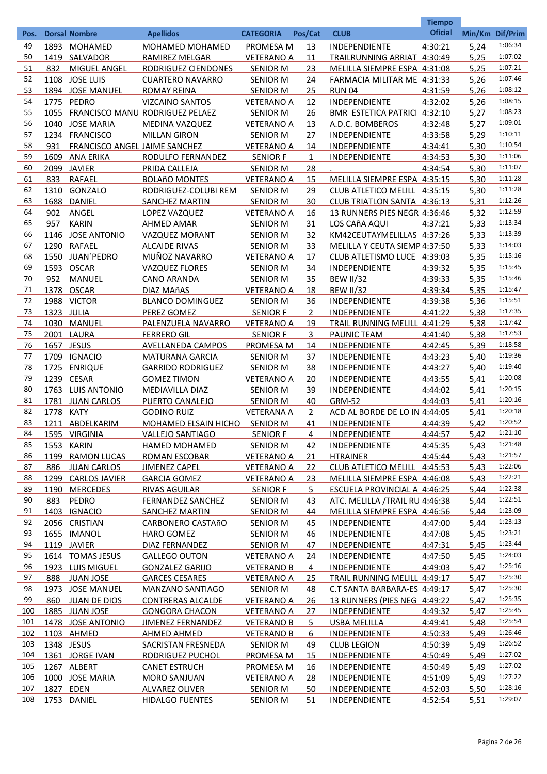|      |            |                               |                                      |                   |                       |                                | <b>Tiempo</b>  |                 |         |
|------|------------|-------------------------------|--------------------------------------|-------------------|-----------------------|--------------------------------|----------------|-----------------|---------|
| Pos. |            | <b>Dorsal Nombre</b>          | <b>Apellidos</b>                     | <b>CATEGORIA</b>  | Pos/Cat               | <b>CLUB</b>                    | <b>Oficial</b> | Min/Km Dif/Prim |         |
| 49   |            | 1893 MOHAMED                  | MOHAMED MOHAMED                      | PROMESA M         | 13                    | INDEPENDIENTE                  | 4:30:21        | 5,24            | 1:06:34 |
| 50   |            | 1419 SALVADOR                 | RAMIREZ MELGAR                       | <b>VETERANO A</b> | 11                    | TRAILRUNNING ARRIAT 4:30:49    |                | 5,25            | 1:07:02 |
| 51   | 832        | MIGUEL ANGEL                  | RODRIGUEZ CIENDONES                  | <b>SENIOR M</b>   | 23                    | MELILLA SIEMPRE ESPA 4:31:08   |                | 5,25            | 1:07:21 |
| 52   |            | 1108 JOSE LUIS                | <b>CUARTERO NAVARRO</b>              | <b>SENIOR M</b>   | 24                    | FARMACIA MILITAR ME 4:31:33    |                | 5,26            | 1:07:46 |
| 53   |            | 1894 JOSE MANUEL              | <b>ROMAY REINA</b>                   | <b>SENIOR M</b>   | 25                    | <b>RUN 04</b>                  | 4:31:59        | 5,26            | 1:08:12 |
| 54   |            | 1775 PEDRO                    | <b>VIZCAINO SANTOS</b>               | <b>VETERANO A</b> | 12                    | INDEPENDIENTE                  | 4:32:02        | 5,26            | 1:08:15 |
| 55   |            |                               | 1055 FRANCISCO MANU RODRIGUEZ PELAEZ | <b>SENIOR M</b>   | 26                    | BMR ESTETICA PATRICI 4:32:10   |                | 5,27            | 1:08:23 |
| 56   |            | 1040 JOSE MARIA               | MEDINA VAZQUEZ                       | <b>VETERANO A</b> | 13                    | A.D.C. BOMBEROS                | 4:32:48        | 5,27            | 1:09:01 |
| 57   |            | 1234 FRANCISCO                | <b>MILLAN GIRON</b>                  | <b>SENIOR M</b>   | 27                    | INDEPENDIENTE                  | 4:33:58        | 5,29            | 1:10:11 |
| 58   | 931        | FRANCISCO ANGEL JAIME SANCHEZ |                                      | <b>VETERANO A</b> | 14                    | INDEPENDIENTE                  | 4:34:41        | 5,30            | 1:10:54 |
| 59   |            | 1609 ANA ERIKA                | RODULFO FERNANDEZ                    | <b>SENIOR F</b>   | $\mathbf{1}$          | <b>INDEPENDIENTE</b>           | 4:34:53        | 5,30            | 1:11:06 |
| 60   |            | 2099 JAVIER                   | PRIDA CALLEJA                        | <b>SENIOR M</b>   | 28                    |                                | 4:34:54        | 5,30            | 1:11:07 |
| 61   | 833        | <b>RAFAEL</b>                 | <b>BOLAñO MONTES</b>                 | <b>VETERANO A</b> | 15                    | MELILLA SIEMPRE ESPA 4:35:15   |                | 5,30            | 1:11:28 |
| 62   |            | 1310 GONZALO                  | RODRIGUEZ-COLUBI REM                 | <b>SENIOR M</b>   | 29                    | CLUB ATLETICO MELILL 4:35:15   |                | 5,30            | 1:11:28 |
| 63   | 1688       | DANIEL                        | <b>SANCHEZ MARTIN</b>                | <b>SENIOR M</b>   | 30                    | CLUB TRIATLON SANTA 4:36:13    |                | 5,31            | 1:12:26 |
| 64   | 902        | ANGEL                         | LOPEZ VAZQUEZ                        | <b>VETERANO A</b> | 16                    | 13 RUNNERS PIES NEGR 4:36:46   |                | 5,32            | 1:12:59 |
| 65   | 957        | <b>KARIN</b>                  | AHMED AMAR                           | <b>SENIOR M</b>   | 31                    | LOS CAñA AQUI                  | 4:37:21        | 5,33            | 1:13:34 |
| 66   |            | 1146 JOSE ANTONIO             | <b>VAZQUEZ MORANT</b>                | <b>SENIOR M</b>   | 32                    | KM42CEUTAYMELILLAS 4:37:26     |                | 5,33            | 1:13:39 |
| 67   |            | 1290 RAFAEL                   | <b>ALCAIDE RIVAS</b>                 | <b>SENIOR M</b>   | 33                    | MELILLA Y CEUTA SIEMP 4:37:50  |                | 5,33            | 1:14:03 |
| 68   |            | 1550 JUAN`PEDRO               | MUÑOZ NAVARRO                        | <b>VETERANO A</b> | 17                    | CLUB ATLETISMO LUCE 4:39:03    |                | 5,35            | 1:15:16 |
| 69   |            | 1593 OSCAR                    | <b>VAZQUEZ FLORES</b>                | <b>SENIOR M</b>   | 34                    | INDEPENDIENTE                  | 4:39:32        | 5,35            | 1:15:45 |
| 70   | 952        | <b>MANUEL</b>                 | <b>CANO ARANDA</b>                   | <b>SENIOR M</b>   | 35                    | <b>BEW II/32</b>               | 4:39:33        | 5,35            | 1:15:46 |
| 71   |            | 1378 OSCAR                    | DIAZ MAñAS                           | <b>VETERANO A</b> | 18                    | <b>BEW II/32</b>               | 4:39:34        | 5,35            | 1:15:47 |
| 72   |            | 1988 VICTOR                   | <b>BLANCO DOMINGUEZ</b>              | <b>SENIOR M</b>   | 36                    | INDEPENDIENTE                  | 4:39:38        | 5,36            | 1:15:51 |
| 73   | 1323 JULIA |                               | PEREZ GOMEZ                          | <b>SENIOR F</b>   | $\mathbf{2}^{\prime}$ | INDEPENDIENTE                  | 4:41:22        | 5,38            | 1:17:35 |
| 74   |            | 1030 MANUEL                   | PALENZUELA NAVARRO                   | <b>VETERANO A</b> | 19                    | TRAIL RUNNING MELILL 4:41:29   |                | 5,38            | 1:17:42 |
| 75   |            | 2001 LAURA                    | <b>FERRERO GIL</b>                   | <b>SENIOR F</b>   | 3                     | PAUNIC TEAM                    | 4:41:40        | 5,38            | 1:17:53 |
| 76   |            | 1657 JESUS                    | AVELLANEDA CAMPOS                    | PROMESA M         | 14                    | INDEPENDIENTE                  | 4:42:45        | 5,39            | 1:18:58 |
| 77   | 1709       | <b>IGNACIO</b>                | <b>MATURANA GARCIA</b>               | <b>SENIOR M</b>   | 37                    | INDEPENDIENTE                  | 4:43:23        | 5,40            | 1:19:36 |
| 78   |            | 1725 ENRIQUE                  | <b>GARRIDO RODRIGUEZ</b>             | <b>SENIOR M</b>   | 38                    | INDEPENDIENTE                  | 4:43:27        | 5,40            | 1:19:40 |
| 79   |            | 1239 CESAR                    | <b>GOMEZ TIMON</b>                   | <b>VETERANO A</b> | 20                    | INDEPENDIENTE                  | 4:43:55        | 5,41            | 1:20:08 |
| 80   |            | 1763 LUIS ANTONIO             | <b>MEDIAVILLA DIAZ</b>               | <b>SENIOR M</b>   | 39                    | <b>INDEPENDIENTE</b>           | 4:44:02        | 5,41            | 1:20:15 |
| 81   |            | 1781 JUAN CARLOS              | PUERTO CANALEJO                      | <b>SENIOR M</b>   | 40                    | <b>GRM-52</b>                  | 4:44:03        | 5,41            | 1:20:16 |
| 82   | 1778 KATY  |                               | <b>GODINO RUIZ</b>                   | <b>VETERANA A</b> | $\overline{2}$        | ACD AL BORDE DE LO IN 4:44:05  |                | 5,41            | 1:20:18 |
| 83   |            | 1211 ABDELKARIM               | <b>MOHAMED ELSAIN HICHO</b>          | <b>SENIOR M</b>   | 41                    | <b>INDEPENDIENTE</b>           | 4:44:39        | 5.42            | 1:20:52 |
| 84   |            | 1595 VIRGINIA                 | <b>VALLEJO SANTIAGO</b>              | <b>SENIOR F</b>   | 4                     | <b>INDEPENDIENTE</b>           | 4:44:57        | 5,42            | 1:21:10 |
| 85   |            | 1553 KARIN                    | <b>HAMED MOHAMED</b>                 | <b>SENIOR M</b>   | 42                    | <b>INDEPENDIENTE</b>           | 4:45:35        | 5,43            | 1:21:48 |
| 86   | 1199       | <b>RAMON LUCAS</b>            | <b>ROMAN ESCOBAR</b>                 | <b>VETERANO A</b> | 21                    | <b>HTRAINER</b>                | 4:45:44        | 5,43            | 1:21:57 |
| 87   | 886        | <b>JUAN CARLOS</b>            | <b>JIMENEZ CAPEL</b>                 | <b>VETERANO A</b> | 22                    | CLUB ATLETICO MELILL 4:45:53   |                | 5,43            | 1:22:06 |
| 88   | 1299       | <b>CARLOS JAVIER</b>          | <b>GARCIA GOMEZ</b>                  | <b>VETERANO A</b> | 23                    | MELILLA SIEMPRE ESPA 4:46:08   |                | 5,43            | 1:22:21 |
| 89   | 1190       | <b>MERCEDES</b>               | <b>RIVAS AGUILAR</b>                 | <b>SENIOR F</b>   | 5 <sub>2</sub>        | ESCUELA PROVINCIAL A 4:46:25   |                | 5,44            | 1:22:38 |
| 90   | 883        | PEDRO                         | <b>FERNANDEZ SANCHEZ</b>             | <b>SENIOR M</b>   | 43                    | ATC. MELILLA /TRAIL RU 4:46:38 |                | 5,44            | 1:22:51 |
| 91   | 1403       | <b>IGNACIO</b>                | <b>SANCHEZ MARTIN</b>                | <b>SENIOR M</b>   | 44                    | MELILLA SIEMPRE ESPA 4:46:56   |                | 5,44            | 1:23:09 |
| 92   |            | 2056 CRISTIAN                 | <b>CARBONERO CASTAñO</b>             | <b>SENIOR M</b>   | 45                    | <b>INDEPENDIENTE</b>           | 4:47:00        | 5,44            | 1:23:13 |
| 93   |            | 1655 IMANOL                   | <b>HARO GOMEZ</b>                    | <b>SENIOR M</b>   | 46                    | <b>INDEPENDIENTE</b>           | 4:47:08        | 5,45            | 1:23:21 |
| 94   |            | 1119 JAVIER                   | DIAZ FERNANDEZ                       | <b>SENIOR M</b>   | 47                    | <b>INDEPENDIENTE</b>           | 4:47:31        | 5,45            | 1:23:44 |
| 95   |            | 1614 TOMAS JESUS              | <b>GALLEGO OUTON</b>                 | <b>VETERANO A</b> | 24                    | <b>INDEPENDIENTE</b>           | 4:47:50        | 5,45            | 1:24:03 |
| 96   |            | 1923 LUIS MIGUEL              | <b>GONZALEZ GARIJO</b>               | <b>VETERANO B</b> | 4                     | <b>INDEPENDIENTE</b>           | 4:49:03        | 5,47            | 1:25:16 |
| 97   | 888        | <b>JUAN JOSE</b>              | <b>GARCES CESARES</b>                | <b>VETERANO A</b> | 25                    | TRAIL RUNNING MELILL 4:49:17   |                | 5,47            | 1:25:30 |
| 98   |            | 1973 JOSE MANUEL              | MANZANO SANTIAGO                     | <b>SENIOR M</b>   | 48                    | C.T SANTA BARBARA-ES 4:49:17   |                | 5,47            | 1:25:30 |
| 99   | 860        | <b>JUAN DE DIOS</b>           | <b>CONTRERAS ALCALDE</b>             | <b>VETERANO A</b> | <u>26</u>             | 13 RUNNERS (PIES NEG 4:49:22   |                | 5,47            | 1:25:35 |
| 100  |            | 1885 JUAN JOSE                | <b>GONGORA CHACON</b>                | <b>VETERANO A</b> | 27                    | <b>INDEPENDIENTE</b>           | 4:49:32        | 5,47            | 1:25:45 |
| 101  |            | 1478 JOSE ANTONIO             | <b>JIMENEZ FERNANDEZ</b>             | <b>VETERANO B</b> | 5                     | <b>USBA MELILLA</b>            | 4:49:41        | 5,48            | 1:25:54 |
| 102  |            | 1103 AHMED                    | AHMED AHMED                          | <b>VETERANO B</b> | 6                     | <b>INDEPENDIENTE</b>           | 4:50:33        | 5,49            | 1:26:46 |
| 103  |            | 1348 JESUS                    | SACRISTAN FRESNEDA                   | <b>SENIOR M</b>   | 49                    | <b>CLUB LEGION</b>             | 4:50:39        | 5,49            | 1:26:52 |
| 104  |            | 1361 JORGE IVAN               | RODRIGUEZ PUCHOL                     | PROMESA M         | <b>15</b>             | <b>INDEPENDIENTE</b>           | 4:50:49        | 5,49            | 1:27:02 |
| 105  |            | 1267 ALBERT                   | <b>CANET ESTRUCH</b>                 | PROMESA M         | <u>16</u>             | <b>INDEPENDIENTE</b>           | 4:50:49        | 5,49            | 1:27:02 |
| 106  |            | 1000 JOSE MARIA               | <b>MORO SANJUAN</b>                  | <b>VETERANO A</b> | 28                    | <b>INDEPENDIENTE</b>           | 4:51:09        | 5,49            | 1:27:22 |
| 107  |            | 1827 EDEN                     | <b>ALVAREZ OLIVER</b>                | <b>SENIOR M</b>   | 50                    | <b>INDEPENDIENTE</b>           | 4:52:03        | 5,50            | 1:28:16 |
| 108  |            | 1753 DANIEL                   | <b>HIDALGO FUENTES</b>               | <b>SENIOR M</b>   | 51                    | <b>INDEPENDIENTE</b>           | 4:52:54        | 5,51            | 1:29:07 |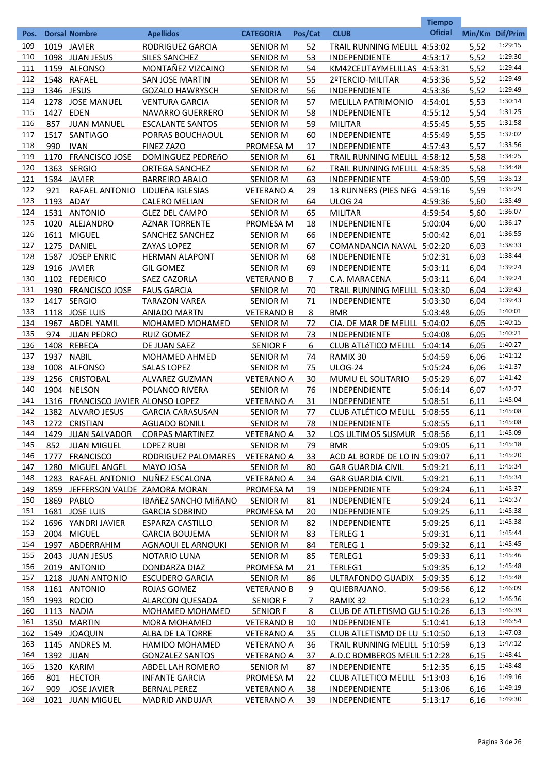|            |              |                                    |                                            |                                    |           |                               | <b>Tiempo</b>      |              |                    |
|------------|--------------|------------------------------------|--------------------------------------------|------------------------------------|-----------|-------------------------------|--------------------|--------------|--------------------|
| Pos.       |              | <b>Dorsal Nombre</b>               | <b>Apellidos</b>                           | <b>CATEGORIA</b>                   | Pos/Cat   | <b>CLUB</b>                   | <b>Oficial</b>     |              | Min/Km Dif/Prim    |
| 109        |              | 1019 JAVIER                        | RODRIGUEZ GARCIA                           | <b>SENIOR M</b>                    | 52        | TRAIL RUNNING MELILL 4:53:02  |                    | 5,52         | 1:29:15            |
| 110        |              | 1098 JUAN JESUS                    | <b>SILES SANCHEZ</b>                       | <b>SENIOR M</b>                    | 53        | INDEPENDIENTE                 | 4:53:17            | 5,52         | 1:29:30            |
| 111        |              | 1159 ALFONSO                       | MONTAÑEZ VIZCAINO                          | <b>SENIOR M</b>                    | 54        | KM42CEUTAYMELILLAS 4:53:31    |                    | 5,52         | 1:29:44            |
| 112        |              | 1548 RAFAEL                        | <b>SAN JOSE MARTIN</b>                     | <b>SENIOR M</b>                    | 55        | 2ºTERCIO-MILITAR              | 4:53:36            | 5,52         | 1:29:49            |
| 113        |              | 1346 JESUS                         | <b>GOZALO HAWRYSCH</b>                     | <b>SENIOR M</b>                    | 56        | INDEPENDIENTE                 | 4:53:36            | 5,52         | 1:29:49            |
| 114        |              | 1278 JOSE MANUEL                   | <b>VENTURA GARCIA</b>                      | <b>SENIOR M</b>                    | 57        | <b>MELILLA PATRIMONIO</b>     | 4:54:01            | 5,53         | 1:30:14            |
| 115        | 1427         | <b>EDEN</b>                        | NAVARRO GUERRERO                           | <b>SENIOR M</b>                    | 58        | INDEPENDIENTE                 | 4:55:12            | 5,54         | 1:31:25            |
| 116        | 857          | <b>JUAN MANUEL</b>                 | <b>ESCALANTE SANTOS</b>                    | <b>SENIOR M</b>                    | 59        | <b>MILITAR</b>                | 4:55:45            | 5,55         | 1:31:58            |
| 117        | 1517         | SANTIAGO                           | PORRAS BOUCHAOUL                           | <b>SENIOR M</b>                    | 60        | INDEPENDIENTE                 | 4:55:49            | 5,55         | 1:32:02            |
| 118        | 990          | <b>IVAN</b>                        | <b>FINEZ ZAZO</b>                          | PROMESA M                          | 17        | <b>INDEPENDIENTE</b>          | 4:57:43            | 5,57         | 1:33:56            |
| 119        | 1170         | <b>FRANCISCO JOSE</b>              | DOMINGUEZ PEDREñO                          | <b>SENIOR M</b>                    | 61        | TRAIL RUNNING MELILL 4:58:12  |                    | 5,58         | 1:34:25            |
| 120        |              | 1363 SERGIO                        | <b>ORTEGA SANCHEZ</b>                      | <b>SENIOR M</b>                    | 62        | TRAIL RUNNING MELILL 4:58:35  |                    | 5,58         | 1:34:48            |
| 121        |              | 1584 JAVIER                        | <b>BARREIRO ABALO</b>                      | <b>SENIOR M</b>                    | 63        | INDEPENDIENTE                 | 4:59:00            | 5,59         | 1:35:13            |
| 122        | 921          | RAFAEL ANTONIO                     | LIDUEñA IGLESIAS                           | <b>VETERANO A</b>                  | 29        | 13 RUNNERS (PIES NEG 4:59:16  |                    | 5,59         | 1:35:29            |
| 123        |              | 1193 ADAY                          | <b>CALERO MELIAN</b>                       | <b>SENIOR M</b>                    | 64        | <b>ULOG 24</b>                | 4:59:36            | 5,60         | 1:35:49            |
| 124        |              | 1531 ANTONIO                       | <b>GLEZ DEL CAMPO</b>                      | <b>SENIOR M</b>                    | 65        | <b>MILITAR</b>                | 4:59:54            | 5,60         | 1:36:07            |
| 125        |              | 1020 ALEJANDRO                     | <b>AZNAR TORRENTE</b>                      | PROMESA M                          | 18        | INDEPENDIENTE                 | 5:00:04            | 6,00         | 1:36:17            |
| 126        |              | 1611 MIGUEL                        | SANCHEZ SANCHEZ                            | <b>SENIOR M</b>                    | 66        | <b>INDEPENDIENTE</b>          | 5:00:42            | 6,01         | 1:36:55            |
| 127        | 1275         | <b>DANIEL</b>                      | ZAYAS LOPEZ                                | <b>SENIOR M</b>                    | 67        | COMANDANCIA NAVAL 5:02:20     |                    | 6,03         | 1:38:33            |
| 128        |              | 1587 JOSEP ENRIC                   | <b>HERMAN ALAPONT</b>                      | <b>SENIOR M</b>                    | 68        | INDEPENDIENTE                 | 5:02:31            | 6,03         | 1:38:44            |
| 129        |              | 1916 JAVIER                        | <b>GIL GOMEZ</b>                           | <b>SENIOR M</b>                    | 69        | INDEPENDIENTE                 | 5:03:11            | 6,04         | 1:39:24            |
| 130        |              | 1102 FEDERICO                      | SAEZ CAZORLA                               | <b>VETERANO B</b>                  | 7         | C.A. MARACENA                 | 5:03:11            | 6,04         | 1:39:24<br>1:39:43 |
| 131        | 1930         | <b>FRANCISCO JOSE</b>              | <b>FAUS GARCIA</b>                         | <b>SENIOR M</b>                    | 70        | TRAIL RUNNING MELILL 5:03:30  |                    | 6,04         | 1:39:43            |
| 132        |              | 1417 SERGIO                        | <b>TARAZON VAREA</b>                       | <b>SENIOR M</b>                    | 71        | INDEPENDIENTE                 | 5:03:30            | 6,04         | 1:40:01            |
| 133        |              | 1118 JOSE LUIS                     | <b>ANIADO MARTN</b>                        | <b>VETERANO B</b>                  | 8         | <b>BMR</b>                    | 5:03:48            | 6,05         | 1:40:15            |
| 134        |              | 1967 ABDEL YAMIL                   | MOHAMED MOHAMED                            | <b>SENIOR M</b>                    | 72        | CIA. DE MAR DE MELILL 5:04:02 |                    | 6,05         | 1:40:21            |
| 135<br>136 | 974          | <b>JUAN PEDRO</b>                  | <b>RUIZ GOMEZ</b>                          | <b>SENIOR M</b>                    | 73        | INDEPENDIENTE                 | 5:04:08            | 6,05         | 1:40:27            |
| 137        | 1408<br>1937 | <b>REBECA</b><br><b>NABIL</b>      | DE JUAN SAEZ                               | <b>SENIOR F</b>                    | 6<br>74   | <b>CLUB ATLÉTICO MELILL</b>   | 5:04:14<br>5:04:59 | 6,05         | 1:41:12            |
| 138        |              | 1008 ALFONSO                       | <b>MOHAMED AHMED</b><br><b>SALAS LOPEZ</b> | <b>SENIOR M</b><br><b>SENIOR M</b> | 75        | RAMIX 30<br><b>ULOG-24</b>    | 5:05:24            | 6,06<br>6,06 | 1:41:37            |
| 139        |              | 1256 CRISTOBAL                     | ALVAREZ GUZMAN                             | <b>VETERANO A</b>                  | 30        | <b>MUMU EL SOLITARIO</b>      | 5:05:29            | 6,07         | 1:41:42            |
| 140        |              | 1904 NELSON                        | POLANCO RIVERA                             | <b>SENIOR M</b>                    | 76        | INDEPENDIENTE                 | 5:06:14            | 6,07         | 1:42:27            |
| 141        |              | 1316 FRANCISCO JAVIER ALONSO LOPEZ |                                            | <b>VETERANO A</b>                  | 31        | INDEPENDIENTE                 | 5:08:51            | 6,11         | 1:45:04            |
| 142        |              | 1382 ALVARO JESUS                  | <b>GARCIA CARASUSAN</b>                    | <b>SENIOR M</b>                    | 77        | <b>CLUB ATLÉTICO MELILL</b>   | 5:08:55            | 6.11         | 1:45:08            |
| 143        |              | 1272 CRISTIAN                      | <b>AGUADO BONILL</b>                       | <b>SENIOR M</b>                    | 78        | INDEPENDIENTE                 | 5:08:55            | 6,11         | 1:45:08            |
| 144        |              | 1429 JUAN SALVADOR                 | <b>CORPAS MARTINEZ</b>                     | <b>VETERANO A</b>                  | 32        | LOS ULTIMOS SUSMUR 5:08:56    |                    | 6,11         | 1:45:09            |
| 145        | 852          | <b>JUAN MIGUEL</b>                 | <b>LOPEZ RUBI</b>                          | <b>SENIOR M</b>                    | 79        | <b>BMR</b>                    | 5:09:05            | 6,11         | 1:45:18            |
| 146        | 1777         | <b>FRANCISCO</b>                   | RODRIGUEZ PALOMARES                        | <b>VETERANO A</b>                  | 33        | ACD AL BORDE DE LO IN 5:09:07 |                    | 6,11         | 1:45:20            |
| 147        | 1280         | <b>MIGUEL ANGEL</b>                | MAYO JOSA                                  | <b>SENIOR M</b>                    | 80        | <b>GAR GUARDIA CIVIL</b>      | 5:09:21            | 6,11         | 1:45:34            |
| 148        | 1283         | RAFAEL ANTONIO                     | NUÑEZ ESCALONA                             | <b>VETERANO A</b>                  | 34        | <b>GAR GUARDIA CIVIL</b>      | 5:09:21            | 6,11         | 1:45:34            |
| 149        | 1859         | JEFFERSON VALDE ZAMORA MORAN       |                                            | PROMESA M                          | 19        | <b>INDEPENDIENTE</b>          | 5:09:24            | 6,11         | 1:45:37            |
| 150        |              | 1869 PABLO                         | <b>IBAÑEZ SANCHO MIÑANO</b>                | <b>SENIOR M</b>                    | 81        | INDEPENDIENTE                 | 5:09:24            | 6,11         | 1:45:37            |
| 151        |              | 1681 JOSE LUIS                     | <b>GARCIA SOBRINO</b>                      | <b>PROMESA M</b>                   | 20        | INDEPENDIENTE                 | 5:09:25            | 6,11         | 1:45:38            |
| 152        |              | 1696 YANDRI JAVIER                 | ESPARZA CASTILLO                           | <b>SENIOR M</b>                    | 82        | <b>INDEPENDIENTE</b>          | 5:09:25            | 6,11         | 1:45:38            |
| 153        |              | 2004 MIGUEL                        | <b>GARCIA BOUJEMA</b>                      | <b>SENIOR M</b>                    | 83        | <b>TERLEG 1</b>               | 5:09:31            | 6,11         | 1:45:44            |
| 154        |              | 1997 ABDERRAHIM                    | <b>AGNAOUI EL ARNOUKI</b>                  | <b>SENIOR M</b>                    | 84        | <b>TERLEG 1</b>               | 5:09:32            | 6,11         | 1:45:45            |
| 155        |              | 2043 JUAN JESUS                    | <b>NOTARIO LUNA</b>                        | <b>SENIOR M</b>                    | 85        | TERLEG1                       | 5:09:33            | 6,11         | 1:45:46            |
| 156        |              | 2019 ANTONIO                       | DONDARZA DIAZ                              | PROMESA M                          | 21        | TERLEG1                       | 5:09:35            | 6,12         | 1:45:48            |
| 157        |              | 1218 JUAN ANTONIO                  | <b>ESCUDERO GARCIA</b>                     | <b>SENIOR M</b>                    | 86        | ULTRAFONDO GUADIX             | 5:09:35            | 6,12         | 1:45:48            |
| 158        |              | 1161 ANTONIO                       | ROJAS GOMEZ                                | <b>VETERANO B</b>                  | 9         | QUIEBRAJANO.                  | 5:09:56            | 6,12         | 1:46:09            |
| 159        |              | 1993 ROCIO                         | <b>ALARCON QUESADA</b>                     | <b>SENIOR F</b>                    | 7         | RAMIX 32                      | 5:10:23            | 6,12         | 1:46:36            |
| 160        |              | 1113 NADIA                         | MOHAMED MOHAMED                            | <b>SENIOR F</b>                    | 8         | CLUB DE ATLETISMO GU 5:10:26  |                    | 6,13         | 1:46:39            |
| 161        |              | 1350 MARTIN                        | <b>MORA MOHAMED</b>                        | <b>VETERANO B</b>                  | 10        | <b>INDEPENDIENTE</b>          | 5:10:41            | 6,13         | 1:46:54            |
| 162        |              | 1549 JOAQUIN                       | ALBA DE LA TORRE                           | <b>VETERANO A</b>                  | 35        | CLUB ATLETISMO DE LU 5:10:50  |                    | 6,13         | 1:47:03            |
| 163        |              | 1145 ANDRES M.                     | <b>HAMIDO MOHAMED</b>                      | <b>VETERANO A</b>                  | 36        | TRAIL RUNNING MELILL 5:10:59  |                    | 6,13         | 1:47:12            |
| 164        | 1392 JUAN    |                                    | <b>GONZALEZ SANTOS</b>                     | <b>VETERANO A</b>                  | 37        | A.D.C BOMBEROS MELIL 5:12:28  |                    | 6,15         | 1:48:41            |
| 165        |              | 1320 KARIM                         | <b>ABDEL LAH ROMERO</b>                    | <b>SENIOR M</b>                    | <u>87</u> | <b>INDEPENDIENTE</b>          | 5:12:35            | 6,15         | 1:48:48            |
| 166        | 801          | <b>HECTOR</b>                      | <b>INFANTE GARCIA</b>                      | <b>PROMESA M</b>                   | <u>22</u> | CLUB ATLETICO MELILL 5:13:03  |                    | 6,16         | 1:49:16            |
| 167        | 909          | <b>JOSE JAVIER</b>                 | <b>BERNAL PEREZ</b>                        | <b>VETERANO A</b>                  | 38        | <b>INDEPENDIENTE</b>          | 5:13:06            | 6,16         | 1:49:19            |
| 168        |              | 1021 JUAN MIGUEL                   | <b>MADRID ANDUJAR</b>                      | <b>VETERANO A</b>                  | 39        | <b>INDEPENDIENTE</b>          | 5:13:17            | 6,16         | 1:49:30            |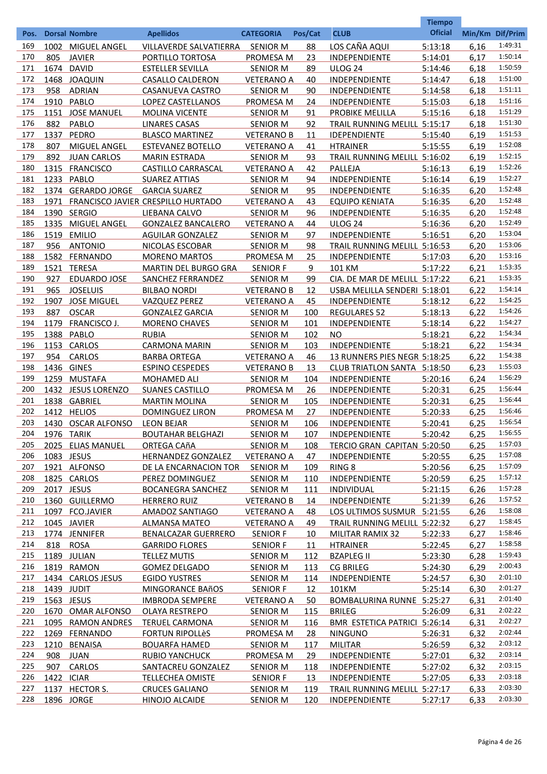|            |            |                               |                                         |                                    |            |                                       | <b>Tiempo</b>      |                 |                    |
|------------|------------|-------------------------------|-----------------------------------------|------------------------------------|------------|---------------------------------------|--------------------|-----------------|--------------------|
| Pos.       |            | <b>Dorsal Nombre</b>          | <b>Apellidos</b>                        | <b>CATEGORIA</b>                   | Pos/Cat    | <b>CLUB</b>                           | <b>Oficial</b>     | Min/Km Dif/Prim |                    |
| 169        | 1002       | <b>MIGUEL ANGEL</b>           | VILLAVERDE SALVATIERRA                  | <b>SENIOR M</b>                    | 88         | LOS CAÑA AQUI                         | 5:13:18            | 6,16            | 1:49:31            |
| 170        | 805        | <b>JAVIER</b>                 | PORTILLO TORTOSA                        | PROMESA M                          | 23         | INDEPENDIENTE                         | 5:14:01            | 6,17            | 1:50:14            |
| 171        | 1674       | <b>DAVID</b>                  | <b>ESTELLER SEVILLA</b>                 | <b>SENIOR M</b>                    | 89         | <b>ULOG 24</b>                        | 5:14:46            | 6,18            | 1:50:59            |
| 172        |            | 1468 JOAQUIN                  | <b>CASALLO CALDERON</b>                 | <b>VETERANO A</b>                  | 40         | INDEPENDIENTE                         | 5:14:47            | 6,18            | 1:51:00            |
| 173        | 958        | <b>ADRIAN</b>                 | CASANUEVA CASTRO                        | <b>SENIOR M</b>                    | 90         | <b>INDEPENDIENTE</b>                  | 5:14:58            | 6,18            | 1:51:11            |
| 174        | 1910       | PABLO                         | LOPEZ CASTELLANOS                       | PROMESA M                          | 24         | INDEPENDIENTE                         | 5:15:03            | 6,18            | 1:51:16            |
| 175        | 1151       | <b>JOSE MANUEL</b>            | <b>MOLINA VICENTE</b>                   | <b>SENIOR M</b>                    | 91         | PROBIKE MELILLA                       | 5:15:16            | 6,18            | 1:51:29            |
| 176        | 882        | PABLO                         | <b>LINARES CASAS</b>                    | <b>SENIOR M</b>                    | 92         | <b>TRAIL RUNNING MELILL 5:15:17</b>   |                    | 6,18            | 1:51:30            |
| 177        | 1337       | PEDRO                         | <b>BLASCO MARTINEZ</b>                  | <b>VETERANO B</b>                  | 11         | <b>IDEPENDIENTE</b>                   | 5:15:40            | 6,19            | 1:51:53            |
| 178        | 807        | MIGUEL ANGEL                  | <b>ESTEVANEZ BOTELLO</b>                | <b>VETERANO A</b>                  | 41         | <b>HTRAINER</b>                       | 5:15:55            | 6,19            | 1:52:08            |
| 179        | 892        | <b>JUAN CARLOS</b>            | <b>MARIN ESTRADA</b>                    | <b>SENIOR M</b>                    | 93         | TRAIL RUNNING MELILL 5:16:02          |                    | 6,19            | 1:52:15            |
| 180        | 1315       | <b>FRANCISCO</b>              | <b>CASTILLO CARRASCAL</b>               | <b>VETERANO A</b>                  | 42         | PALLEJA                               | 5:16:13            | 6,19            | 1:52:26            |
| 181        | 1233       | PABLO                         | <b>SUAREZ ATTIAS</b>                    | <b>SENIOR M</b>                    | 94         | INDEPENDIENTE                         | 5:16:14            | 6,19            | 1:52:27            |
| 182        |            | 1374 GERARDO JORGE            | <b>GARCIA SUAREZ</b>                    | <b>SENIOR M</b>                    | 95         | INDEPENDIENTE                         | 5:16:35            | 6,20            | 1:52:48            |
| 183        |            |                               | 1971 FRANCISCO JAVIER CRESPILLO HURTADO | <b>VETERANO A</b>                  | 43         | <b>EQUIPO KENIATA</b>                 | 5:16:35            | 6,20            | 1:52:48            |
| 184        |            | 1390 SERGIO                   | LIEBANA CALVO                           | <b>SENIOR M</b>                    | 96         | INDEPENDIENTE                         | 5:16:35            | 6,20            | 1:52:48            |
| 185        | 1335       | MIGUEL ANGEL                  | <b>GONZALEZ BANCALERO</b>               | <b>VETERANO A</b>                  | 44         | <b>ULOG 24</b>                        | 5:16:36            | 6,20            | 1:52:49            |
| 186        | 1519       | <b>EMILIO</b>                 | <b>AGUILAR GONZALEZ</b>                 | <b>SENIOR M</b>                    | 97         | INDEPENDIENTE                         | 5:16:51            | 6,20            | 1:53:04            |
| 187        | 956        | <b>ANTONIO</b>                | NICOLAS ESCOBAR                         | <b>SENIOR M</b>                    | 98         | TRAIL RUNNING MELILL 5:16:53          |                    | 6,20            | 1:53:06            |
| 188        |            | 1582 FERNANDO                 | <b>MORENO MARTOS</b>                    | PROMESA M                          | 25         | <b>INDEPENDIENTE</b>                  | 5:17:03            | 6,20            | 1:53:16            |
| 189        | 1521       | <b>TERESA</b>                 | MARTIN DEL BURGO GRA                    | <b>SENIOR F</b>                    | 9          | 101 KM                                | 5:17:22            | 6,21            | 1:53:35            |
| 190        | 927        | <b>EDUARDO JOSE</b>           | SANCHEZ FERRANDEZ                       | <b>SENIOR M</b>                    | 99         | CIA. DE MAR DE MELILL 5:17:22         |                    | 6,21            | 1:53:35            |
| 191        | 965        | <b>JOSELUIS</b>               | <b>BILBAO NORDI</b>                     | <b>VETERANO B</b>                  | 12         | USBA MELILLA SENDERI 5:18:01          |                    | 6,22            | 1:54:14            |
| 192        | 1907       | <b>JOSE MIGUEL</b>            | <b>VAZQUEZ PEREZ</b>                    | <b>VETERANO A</b>                  | 45         | INDEPENDIENTE                         | 5:18:12            | 6,22            | 1:54:25            |
| 193        | 887        | <b>OSCAR</b>                  | <b>GONZALEZ GARCIA</b>                  | <b>SENIOR M</b>                    | 100        | <b>REGULARES 52</b>                   | 5:18:13            | 6,22            | 1:54:26<br>1:54:27 |
| 194        | 1179       | <b>FRANCISCO J</b>            | <b>MORENO CHAVES</b>                    | <b>SENIOR M</b>                    | 101        | <b>INDEPENDIENTE</b>                  | 5:18:14            | 6,22            | 1:54:34            |
| 195        | 1388       | PABLO                         | <b>RUBIA</b>                            | <b>SENIOR M</b>                    | 102        | NO                                    | 5:18:21            | 6,22            |                    |
| 196        |            | 1153 CARLOS                   | <b>CARMONA MARIN</b>                    | <b>SENIOR M</b>                    | 103        | <b>INDEPENDIENTE</b>                  | 5:18:21            | 6,22            | 1:54:34<br>1:54:38 |
| 197        | 954        | <b>CARLOS</b>                 | <b>BARBA ORTEGA</b>                     | <b>VETERANO A</b>                  | 46         | 13 RUNNERS PIES NEGR 5:18:25          |                    | 6,22            | 1:55:03            |
| 198        |            | 1436 GINES                    | <b>ESPINO CESPEDES</b>                  | <b>VETERANO B</b>                  | 13         | <b>CLUB TRIATLON SANTA 5:18:50</b>    |                    | 6,23            | 1:56:29            |
| 199<br>200 | 1259       | <b>MUSTAFA</b>                | MOHAMED ALI                             | <b>SENIOR M</b>                    | 104<br>26  | INDEPENDIENTE<br>INDEPENDIENTE        | 5:20:16            | 6,24<br>6,25    | 1:56:44            |
| 201        |            | 1432 JESUS LORENZO            | <b>SUANES CASTILLO</b>                  | PROMESA M                          |            |                                       | 5:20:31            |                 | 1:56:44            |
| 202        | 1412       | 1838 GABRIEL<br><b>HELIOS</b> | <b>MARTIN MOLINA</b>                    | <b>SENIOR M</b>                    | 105<br>27  | <b>INDEPENDIENTE</b>                  | 5:20:31            | 6,25            | 1:56:46            |
| 203        |            | 1430 OSCAR ALFONSO            | <b>DOMINGUEZ LIRON</b>                  | <b>PROMESA M</b>                   | 106        | <b>INDEPENDIENTE</b><br>INDEPENDIENTE | 5:20:33            | 6.25            | 1:56:54            |
| 204        |            | 1976 TARIK                    | <b>LEON BEJAR</b>                       | <b>SENIOR M</b><br><b>SENIOR M</b> |            | <b>INDEPENDIENTE</b>                  | 5:20:41<br>5:20:42 | 6,25<br>6,25    | 1:56:55            |
| 205        |            |                               | <b>BOUTAHAR BELGHAZI</b><br>ORTEGA CAñA | <b>SENIOR M</b>                    | 107        | TERCIO GRAN CAPITAN 5:20:50           |                    | 6,25            | 1:57:03            |
| 206        | 1083 JESUS | 2025 ELIAS MANUEL             | HERNANDEZ GONZALEZ                      | <b>VETERANO A</b>                  | 108<br>47  | <b>INDEPENDIENTE</b>                  | 5:20:55            | 6,25            | 1:57:08            |
| 207        |            | 1921 ALFONSO                  | DE LA ENCARNACION TOR                   | <b>SENIOR M</b>                    | 109        | RING 8                                | 5:20:56            | 6,25            | 1:57:09            |
| 208        |            | 1825 CARLOS                   | PEREZ DOMINGUEZ                         | <b>SENIOR M</b>                    | 110        | <b>INDEPENDIENTE</b>                  | 5:20:59            | 6,25            | 1:57:12            |
| 209        |            | 2017 JESUS                    | <b>BOCANEGRA SANCHEZ</b>                | <b>SENIOR M</b>                    | 111        | <b>INDIVIDUAL</b>                     | 5:21:15            | 6,26            | 1:57:28            |
| 210        |            | 1360 GUILLERMO                | <b>HERRERO RUIZ</b>                     | <b>VETERANO B</b>                  | 14         | INDEPENDIENTE                         | 5:21:39            | 6,26            | 1:57:52            |
| 211        | 1097       | <b>FCO.JAVIER</b>             | <b>AMADOZ SANTIAGO</b>                  | <b>VETERANO A</b>                  | 48         | LOS ULTIMOS SUSMUR 5:21:55            |                    | 6,26            | 1:58:08            |
| 212        |            | 1045 JAVIER                   | <b>ALMANSA MATEO</b>                    | <b>VETERANO A</b>                  | 49         | TRAIL RUNNING MELILL 5:22:32          |                    | 6,27            | 1:58:45            |
| 213        |            | 1774 JENNIFER                 | <b>BENALCAZAR GUERRERO</b>              | <b>SENIOR F</b>                    | 10         | MILITAR RAMIX 32                      | 5:22:33            | 6,27            | 1:58:46            |
| 214        | 818        | <b>ROSA</b>                   | <b>GARRIDO FLORES</b>                   | <b>SENIOR F</b>                    | 11         | <b>HTRAINER</b>                       | 5:22:45            | 6,27            | 1:58:58            |
| 215        |            | 1189 JULIAN                   | <b>TELLEZ MUTIS</b>                     | <b>SENIOR M</b>                    | 112        | <b>BZAPLEG II</b>                     | 5:23:30            | 6,28            | 1:59:43            |
| 216        |            | 1819 RAMON                    | <b>GOMEZ DELGADO</b>                    | <b>SENIOR M</b>                    | 113        | <b>CG BRILEG</b>                      | 5:24:30            | 6,29            | 2:00:43            |
| 217        |            | 1434 CARLOS JESUS             | <b>EGIDO YUSTRES</b>                    | <b>SENIOR M</b>                    | 114        | <b>INDEPENDIENTE</b>                  | 5:24:57            | 6,30            | 2:01:10            |
| 218        | 1439 JUDIT |                               | <b>MINGORANCE BAñOS</b>                 | <b>SENIOR F</b>                    | 12         | 101KM                                 | 5:25:14            | 6,30            | 2:01:27            |
| 219        | 1563 JESUS |                               | <b>IMBRODA SEMPERE</b>                  | <b>VETERANO A</b>                  | 50         | BOMBALURINA RUNNE 5:25:27             |                    | 6,31            | 2:01:40            |
| 220        |            | 1670 OMAR ALFONSO             | <b>OLAYA RESTREPO</b>                   | <b>SENIOR M</b>                    | 115        | <b>BRILEG</b>                         | 5:26:09            | 6,31            | 2:02:22            |
| 221        | 1095       | <b>RAMON ANDRES</b>           | <b>TERUEL CARMONA</b>                   | <b>SENIOR M</b>                    | 116        | BMR ESTETICA PATRICI 5:26:14          |                    | 6,31            | 2:02:27            |
| 222        |            | 1269 FERNANDO                 | <b>FORTUN RIPOLLÈS</b>                  | <b>PROMESA M</b>                   | 28         | <b>NINGUNO</b>                        | 5:26:31            | 6,32            | 2:02:44            |
| 223        |            | 1210 BENAISA                  | <b>BOUARFA HAMED</b>                    | <b>SENIOR M</b>                    | 117        | <b>MILITAR</b>                        | 5:26:59            | 6,32            | 2:03:12            |
| 224        |            | 908 JUAN                      | <b>RUBIO YANCHUCK</b>                   | PROMESA M                          | 29         | INDEPENDIENTE                         | 5:27:01            | 6,32            | 2:03:14            |
| 225        | 907        | <b>CARLOS</b>                 | SANTACREU GONZALEZ                      | <b>SENIOR M</b>                    | <u>118</u> | <b>INDEPENDIENTE</b>                  | 5:27:02            | 6,32            | 2:03:15            |
| 226        | 1422 ICIAR |                               | <b>TELLECHEA OMISTE</b>                 | <b>SENIOR F</b>                    | 13         | <b>INDEPENDIENTE</b>                  | 5:27:05            | 6,33            | 2:03:18            |
| 227        |            | 1137 HECTOR S.                | <b>CRUCES GALIANO</b>                   | <b>SENIOR M</b>                    | 119        | TRAIL RUNNING MELILL 5:27:17          |                    | 6,33            | 2:03:30            |
| 228        |            | 1896 JORGE                    | <b>HINOJO ALCAIDE</b>                   | <b>SENIOR M</b>                    | 120        | <b>INDEPENDIENTE</b>                  | 5:27:17            | 6,33            | 2:03:30            |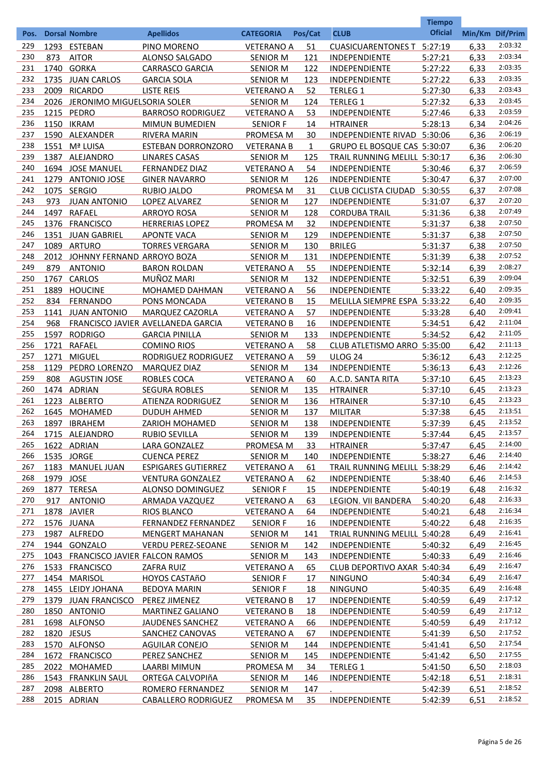|      |           |                                    |                                    |                   |              |                                   | <b>Tiempo</b>  |                 |         |
|------|-----------|------------------------------------|------------------------------------|-------------------|--------------|-----------------------------------|----------------|-----------------|---------|
| Pos. |           | <b>Dorsal Nombre</b>               | <b>Apellidos</b>                   | <b>CATEGORIA</b>  | Pos/Cat      | <b>CLUB</b>                       | <b>Oficial</b> | Min/Km Dif/Prim |         |
| 229  |           | 1293 ESTEBAN                       | PINO MORENO                        | <b>VETERANO A</b> | 51           | <b>CUASICUARENTONES T 5:27:19</b> |                | 6,33            | 2:03:32 |
| 230  | 873       | <b>AITOR</b>                       | ALONSO SALGADO                     | <b>SENIOR M</b>   | 121          | INDEPENDIENTE                     | 5:27:21        | 6,33            | 2:03:34 |
| 231  |           | 1740 GORKA                         | <b>CARRASCO GARCIA</b>             | <b>SENIOR M</b>   | 122          | INDEPENDIENTE                     | 5:27:22        | 6,33            | 2:03:35 |
| 232  |           | 1735 JUAN CARLOS                   | <b>GARCIA SOLA</b>                 | <b>SENIOR M</b>   | 123          | INDEPENDIENTE                     | 5:27:22        | 6,33            | 2:03:35 |
| 233  |           | 2009 RICARDO                       | <b>LISTE REIS</b>                  | <b>VETERANO A</b> | 52           | <b>TERLEG 1</b>                   | 5:27:30        | 6,33            | 2:03:43 |
| 234  |           | 2026 JERONIMO MIGUELSORIA SOLER    |                                    | <b>SENIOR M</b>   | 124          | <b>TERLEG 1</b>                   | 5:27:32        | 6,33            | 2:03:45 |
| 235  |           | 1215 PEDRO                         | <b>BARROSO RODRIGUEZ</b>           | <b>VETERANO A</b> | 53           | INDEPENDIENTE                     | 5:27:46        | 6,33            | 2:03:59 |
| 236  |           | <b>1150 IKRAM</b>                  | <b>MIMUN BUMEDIEN</b>              | <b>SENIOR F</b>   | 14           | <b>HTRAINER</b>                   | 5:28:13        | 6,34            | 2:04:26 |
| 237  |           | 1590 ALEXANDER                     | RIVERA MARIN                       | PROMESA M         | 30           | INDEPENDIENTE RIVAD 5:30:06       |                | 6,36            | 2:06:19 |
| 238  |           | 1551 Mª LUISA                      | <b>ESTEBAN DORRONZORO</b>          | <b>VETERANA B</b> | $\mathbf{1}$ | GRUPO EL BOSQUE CAS 5:30:07       |                | 6,36            | 2:06:20 |
| 239  |           | 1387 ALEJANDRO                     | <b>LINARES CASAS</b>               | <b>SENIOR M</b>   | 125          | TRAIL RUNNING MELILL 5:30:17      |                | 6,36            | 2:06:30 |
| 240  |           | 1694 JOSE MANUEL                   | <b>FERNANDEZ DIAZ</b>              | <b>VETERANO A</b> | 54           | <b>INDEPENDIENTE</b>              | 5:30:46        | 6,37            | 2:06:59 |
| 241  |           | 1279 ANTONIO JOSE                  | <b>GINER NAVARRO</b>               | <b>SENIOR M</b>   | 126          | INDEPENDIENTE                     | 5:30:47        | 6,37            | 2:07:00 |
| 242  |           | 1075 SERGIO                        | RUBIO JALDO                        | PROMESA M         | 31           | <b>CLUB CICLISTA CIUDAD</b>       | 5:30:55        | 6,37            | 2:07:08 |
| 243  | 973       | <b>JUAN ANTONIO</b>                | <b>LOPEZ ALVAREZ</b>               | <b>SENIOR M</b>   | 127          | INDEPENDIENTE                     | 5:31:07        | 6,37            | 2:07:20 |
| 244  | 1497      | <b>RAFAEL</b>                      | <b>ARROYO ROSA</b>                 | <b>SENIOR M</b>   | 128          | <b>CORDUBA TRAIL</b>              | 5:31:36        | 6,38            | 2:07:49 |
| 245  |           | 1376 FRANCISCO                     | <b>HERRERIAS LOPEZ</b>             | PROMESA M         | 32           | INDEPENDIENTE                     | 5:31:37        | 6,38            | 2:07:50 |
| 246  |           | 1351 JUAN GABRIEL                  | <b>APONTE VACA</b>                 | <b>SENIOR M</b>   | 129          | INDEPENDIENTE                     | 5:31:37        | 6,38            | 2:07:50 |
| 247  |           | 1089 ARTURO                        | <b>TORRES VERGARA</b>              | <b>SENIOR M</b>   | 130          | <b>BRILEG</b>                     | 5:31:37        | 6,38            | 2:07:50 |
| 248  |           | 2012 JOHNNY FERNAND ARROYO BOZA    |                                    | <b>SENIOR M</b>   | 131          | INDEPENDIENTE                     | 5:31:39        | 6,38            | 2:07:52 |
| 249  | 879       | <b>ANTONIO</b>                     | <b>BARON ROLDAN</b>                | <b>VETERANO A</b> | 55           | INDEPENDIENTE                     | 5:32:14        | 6,39            | 2:08:27 |
| 250  | 1767      | <b>CARLOS</b>                      | MUÑOZ MARI                         | <b>SENIOR M</b>   | 132          | INDEPENDIENTE                     | 5:32:51        | 6,39            | 2:09:04 |
| 251  | 1889      | <b>HOUCINE</b>                     | MOHAMED DAHMAN                     | <b>VETERANO A</b> | 56           | INDEPENDIENTE                     | 5:33:22        | 6,40            | 2:09:35 |
| 252  | 834       | <b>FERNANDO</b>                    | PONS MONCADA                       | <b>VETERANO B</b> | 15           | MELILLA SIEMPRE ESPA 5:33:22      |                | 6,40            | 2:09:35 |
| 253  | 1141      | <b>JUAN ANTONIO</b>                | MARQUEZ CAZORLA                    | <b>VETERANO A</b> | 57           | INDEPENDIENTE                     | 5:33:28        | 6,40            | 2:09:41 |
| 254  | 968       |                                    | FRANCISCO JAVIER AVELLANEDA GARCIA | <b>VETERANO B</b> | 16           | INDEPENDIENTE                     | 5:34:51        | 6.42            | 2:11:04 |
| 255  | 1597      | <b>RODRIGO</b>                     | <b>GARCIA PINILLA</b>              | <b>SENIOR M</b>   | 133          | INDEPENDIENTE                     | 5:34:52        | 6.42            | 2:11:05 |
| 256  | 1721      | <b>RAFAEL</b>                      | <b>COMINO RIOS</b>                 | <b>VETERANO A</b> | 58           | CLUB ATLETISMO ARRO 5:35:00       |                | 6.42            | 2:11:13 |
| 257  | 1271      | <b>MIGUEL</b>                      | RODRIGUEZ RODRIGUEZ                | <b>VETERANO A</b> | 59           | <b>ULOG 24</b>                    | 5:36:12        | 6,43            | 2:12:25 |
| 258  | 1129      | PEDRO LORENZO                      | <b>MARQUEZ DIAZ</b>                | <b>SENIOR M</b>   | 134          | INDEPENDIENTE                     | 5:36:13        | 6,43            | 2:12:26 |
| 259  | 808       | <b>AGUSTIN JOSE</b>                | ROBLES COCA                        | <b>VETERANO A</b> | 60           | A.C.D. SANTA RITA                 | 5:37:10        | 6,45            | 2:13:23 |
| 260  |           | 1474 ADRIAN                        | <b>SEGURA ROBLES</b>               | <b>SENIOR M</b>   | 135          | <b>HTRAINER</b>                   | 5:37:10        | 6,45            | 2:13:23 |
| 261  | 1223      | <b>ALBERTO</b>                     | <b>ATIENZA RODRIGUEZ</b>           | <b>SENIOR M</b>   | 136          | <b>HTRAINER</b>                   | 5:37:10        | 6,45            | 2:13:23 |
| 262  | 1645      | <b>MOHAMED</b>                     | <b>DUDUH AHMED</b>                 | <b>SENIOR M</b>   | 137          | <b>MILITAR</b>                    | 5:37:38        | 6,45            | 2:13:51 |
| 263  | 1897      | <b>IBRAHEM</b>                     | <b>ZARIOH MOHAMED</b>              | <b>SENIOR M</b>   | 138          | <b>INDEPENDIENTE</b>              | 5:37:39        | 6,45            | 2:13:52 |
| 264  |           | 1715 ALEJANDRO                     | <b>RUBIO SEVILLA</b>               | <b>SENIOR M</b>   | <u>139</u>   | <b>INDEPENDIENTE</b>              | 5:37:44        | 6,45            | 2:13:57 |
| 265  |           | 1622 ADRIAN                        | LARA GONZALEZ                      | PROMESA M         | 33           | <b>HTRAINER</b>                   | 5:37:47        | 6,45            | 2:14:00 |
| 266  |           | 1535 JORGE                         | <b>CUENCA PEREZ</b>                | <b>SENIOR M</b>   | 140          | INDEPENDIENTE                     | 5:38:27        | 6,46            | 2:14:40 |
| 267  |           | 1183 MANUEL JUAN                   | <b>ESPIGARES GUTIERREZ</b>         | <b>VETERANO A</b> | 61           | TRAIL RUNNING MELILL 5:38:29      |                | 6,46            | 2:14:42 |
| 268  | 1979 JOSE |                                    | <b>VENTURA GONZALEZ</b>            | <b>VETERANO A</b> | 62           | <b>INDEPENDIENTE</b>              | 5:38:40        | 6,46            | 2:14:53 |
| 269  |           | 1877 TERESA                        | ALONSO DOMINGUEZ                   | <b>SENIOR F</b>   | 15           | <b>INDEPENDIENTE</b>              | 5:40:19        | 6,48            | 2:16:32 |
| 270  | 917       | <b>ANTONIO</b>                     | ARMADA VAZQUEZ                     | <b>VETERANO A</b> | 63           | LEGION. VII BANDERA               | 5:40:20        | 6,48            | 2:16:33 |
| 271  |           | 1878 JAVIER                        | RIOS BLANCO                        | <b>VETERANO A</b> | 64           | <b>INDEPENDIENTE</b>              | 5:40:21        | 6,48            | 2:16:34 |
| 272  |           | 1576 JUANA                         | <b>FERNANDEZ FERNANDEZ</b>         | <b>SENIOR F</b>   | 16           | INDEPENDIENTE                     | 5:40:22        | 6,48            | 2:16:35 |
| 273  |           | 1987 ALFREDO                       | <b>MENGERT MAHANAN</b>             | <b>SENIOR M</b>   | 141          | TRIAL RUNNING MELILL 5:40:28      |                | 6,49            | 2:16:41 |
| 274  |           | 1944 GONZALO                       | VERDU PEREZ-SEOANE                 | <b>SENIOR M</b>   | 142          | <b>INDEPENDIENTE</b>              | 5:40:32        | 6,49            | 2:16:45 |
| 275  |           | 1043 FRANCISCO JAVIER FALCON RAMOS |                                    | <b>SENIOR M</b>   | 143          | <b>INDEPENDIENTE</b>              | 5:40:33        | 6,49            | 2:16:46 |
| 276  |           | 1533 FRANCISCO                     | <b>ZAFRA RUIZ</b>                  | <b>VETERANO A</b> | 65           | CLUB DEPORTIVO AXAR 5:40:34       |                | 6,49            | 2:16:47 |
| 277  |           | 1454 MARISOL                       | <b>HOYOS CASTAñO</b>               | <b>SENIOR F</b>   | 17           | <b>NINGUNO</b>                    | 5:40:34        | 6,49            | 2:16:47 |
| 278  |           | 1455 LEIDY JOHANA                  | <b>BEDOYA MARIN</b>                | <b>SENIOR F</b>   | <b>18</b>    | <b>NINGUNO</b>                    | 5:40:35        | 6,49            | 2:16:48 |
| 279  |           | 1379 JUAN FRANCISCO                | PEREZ JIMENEZ                      | <b>VETERANO B</b> | <u>17</u>    | <b>INDEPENDIENTE</b>              | 5:40:59        | 6,49            | 2:17:12 |
| 280  |           | 1850 ANTONIO                       | <b>MARTINEZ GALIANO</b>            | <b>VETERANO B</b> | <u>18</u>    | INDEPENDIENTE                     | 5:40:59        | 6,49            | 2:17:12 |
| 281  |           | 1698 ALFONSO                       | <b>JAUDENES SANCHEZ</b>            | <b>VETERANO A</b> | <u>66</u>    | <b>INDEPENDIENTE</b>              | 5:40:59        | 6,49            | 2:17:12 |
| 282  |           | 1820 JESUS                         | SANCHEZ CANOVAS                    | <b>VETERANO A</b> | 67           | <b>INDEPENDIENTE</b>              | 5:41:39        | 6,50            | 2:17:52 |
| 283  |           | 1570 ALFONSO                       | <b>AGUILAR CONEJO</b>              | <b>SENIOR M</b>   | 144          | <b>INDEPENDIENTE</b>              | 5:41:41        | 6,50            | 2:17:54 |
| 284  |           | 1672 FRANCISCO                     | PEREZ SANCHEZ                      | <b>SENIOR M</b>   | 145          | INDEPENDIENTE                     | 5:41:42        | 6,50            | 2:17:55 |
| 285  |           | 2022 MOHAMED                       | <b>LAARBI MIMUN</b>                | PROMESA M         | 34           | <b>TERLEG 1</b>                   | 5:41:50        | 6,50            | 2:18:03 |
| 286  |           | 1543 FRANKLIN SAUL                 | <b>ORTEGA CALVOPIñA</b>            | <b>SENIOR M</b>   | 146          | <b>INDEPENDIENTE</b>              | 5:42:18        | 6,51            | 2:18:31 |
| 287  |           | 2098 ALBERTO                       | ROMERO FERNANDEZ                   | <b>SENIOR M</b>   | <u>147</u>   |                                   | 5:42:39        | 6,51            | 2:18:52 |
| 288  |           | 2015 ADRIAN                        | <b>CABALLERO RODRIGUEZ</b>         | <b>PROMESA M</b>  | 35           | <b>INDEPENDIENTE</b>              | 5:42:39        | 6,51            | 2:18:52 |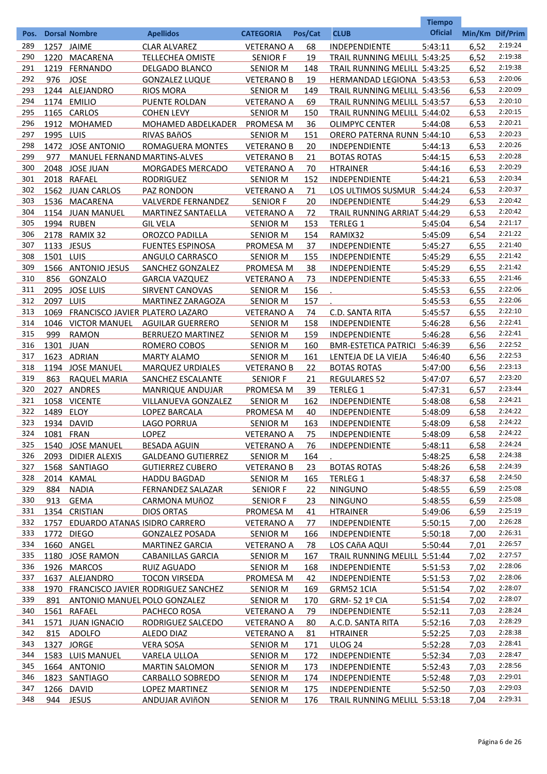|            |              | <b>Dorsal Nombre</b>            |                                                  | <b>CATEGORIA</b>                     | Pos/Cat    | <b>CLUB</b>                                                  | <b>Tiempo</b><br><b>Oficial</b> | Min/Km Dif/Prim |                    |
|------------|--------------|---------------------------------|--------------------------------------------------|--------------------------------------|------------|--------------------------------------------------------------|---------------------------------|-----------------|--------------------|
| Pos.       |              |                                 | <b>Apellidos</b>                                 |                                      |            |                                                              |                                 |                 | 2:19:24            |
| 289<br>290 |              | 1257 JAIME                      | <b>CLAR ALVAREZ</b>                              | <b>VETERANO A</b>                    | 68         | <b>INDEPENDIENTE</b>                                         | 5:43:11                         | 6,52            | 2:19:38            |
| 291        | 1220<br>1219 | MACARENA<br>FERNANDO            | <b>TELLECHEA OMISTE</b>                          | <b>SENIOR F</b>                      | 19         | TRAIL RUNNING MELILL 5:43:25<br>TRAIL RUNNING MELILL 5:43:25 |                                 | 6,52            | 2:19:38            |
| 292        | 976          | <b>JOSE</b>                     | <b>DELGADO BLANCO</b><br><b>GONZALEZ LUQUE</b>   | <b>SENIOR M</b><br><b>VETERANO B</b> | 148<br>19  | HERMANDAD LEGIONA 5:43:53                                    |                                 | 6,52<br>6,53    | 2:20:06            |
| 293        |              | 1244 ALEJANDRO                  | <b>RIOS MORA</b>                                 | <b>SENIOR M</b>                      | 149        | TRAIL RUNNING MELILL 5:43:56                                 |                                 | 6,53            | 2:20:09            |
| 294        |              | 1174 EMILIO                     | PUENTE ROLDAN                                    | <b>VETERANO A</b>                    | 69         | TRAIL RUNNING MELILL 5:43:57                                 |                                 | 6,53            | 2:20:10            |
| 295        |              | 1165 CARLOS                     | <b>COHEN LEVY</b>                                | <b>SENIOR M</b>                      | 150        | TRAIL RUNNING MELILL 5:44:02                                 |                                 | 6,53            | 2:20:15            |
| 296        | 1912         | MOHAMED                         | <b>MOHAMED ABDELKADER</b>                        | PROMESA M                            | 36         | <b>OLIMPYC CENTER</b>                                        | 5:44:08                         | 6,53            | 2:20:21            |
| 297        | 1995 LUIS    |                                 | <b>RIVAS BAñOS</b>                               | <b>SENIOR M</b>                      | 151        | <b>ORERO PATERNA RUNN 5:44:10</b>                            |                                 | 6,53            | 2:20:23            |
| 298        |              | 1472 JOSE ANTONIO               | ROMAGUERA MONTES                                 | <b>VETERANO B</b>                    | 20         | <b>INDEPENDIENTE</b>                                         | 5:44:13                         | 6,53            | 2:20:26            |
| 299        | 977          | MANUEL FERNAND MARTINS-ALVES    |                                                  | <b>VETERANO B</b>                    | 21         | <b>BOTAS ROTAS</b>                                           | 5:44:15                         | 6,53            | 2:20:28            |
| 300        |              | 2048 JOSE JUAN                  | <b>MORGADES MERCADO</b>                          | <b>VETERANO A</b>                    | 70         | <b>HTRAINER</b>                                              | 5:44:16                         | 6,53            | 2:20:29            |
| 301        |              | 2018 RAFAEL                     | <b>RODRIGUEZ</b>                                 | <b>SENIOR M</b>                      | 152        | INDEPENDIENTE                                                | 5:44:21                         | 6,53            | 2:20:34            |
| 302        |              | 1562 JUAN CARLOS                | PAZ RONDON                                       | <b>VETERANO A</b>                    | 71         | LOS ULTIMOS SUSMUR                                           | 5:44:24                         | 6,53            | 2:20:37            |
| 303        | 1536         | MACARENA                        | <b>VALVERDE FERNANDEZ</b>                        | <b>SENIOR F</b>                      | 20         | <b>INDEPENDIENTE</b>                                         | 5:44:29                         | 6,53            | 2:20:42            |
| 304        |              | 1154 JUAN MANUEL                | <b>MARTINEZ SANTAELLA</b>                        | <b>VETERANO A</b>                    | 72         | TRAIL RUNNING ARRIAT 5:44:29                                 |                                 | 6,53            | 2:20:42            |
| 305        |              | 1994 RUBEN                      | <b>GIL VELA</b>                                  | <b>SENIOR M</b>                      | 153        | <b>TERLEG 1</b>                                              | 5:45:04                         | 6,54            | 2:21:17            |
| 306        |              | 2178 RAMIX 32                   | OROZCO PADILLA                                   | <b>SENIOR M</b>                      | 154        | RAMIX32                                                      | 5:45:09                         | 6,54            | 2:21:22            |
| 307        |              | 1133 JESUS                      | <b>FUENTES ESPINOSA</b>                          | PROMESA M                            | 37         | INDEPENDIENTE                                                | 5:45:27                         | 6,55            | 2:21:40            |
| 308        | 1501 LUIS    |                                 | ANGULO CARRASCO                                  | <b>SENIOR M</b>                      | 155        | INDEPENDIENTE                                                | 5:45:29                         | 6,55            | 2:21:42            |
| 309        |              | 1566 ANTONIO JESUS              | SANCHEZ GONZALEZ                                 | PROMESA M                            | 38         | INDEPENDIENTE                                                | 5:45:29                         | 6,55            | 2:21:42            |
| 310        | 856          | GONZALO                         | <b>GARCIA VAZQUEZ</b>                            | <b>VETERANO A</b>                    | 73         | <b>INDEPENDIENTE</b>                                         | 5:45:33                         | 6,55            | 2:21:46            |
| 311        |              | 2095 JOSE LUIS                  | <b>SIRVENT CANOVAS</b>                           | <b>SENIOR M</b>                      | 156        |                                                              | 5:45:53                         | 6,55            | 2:22:06            |
| 312        | 2097 LUIS    |                                 | MARTINEZ ZARAGOZA                                | <b>SENIOR M</b>                      | 157        |                                                              | 5:45:53                         | 6,55            | 2:22:06            |
| 313        | 1069         | FRANCISCO JAVIER PLATERO LAZARO |                                                  | <b>VETERANO A</b>                    | 74         | C.D. SANTA RITA                                              | 5:45:57                         | 6,55            | 2:22:10            |
| 314        |              | 1046 VICTOR MANUEL              | <b>AGUILAR GUERRERO</b>                          | <b>SENIOR M</b>                      | 158        | INDEPENDIENTE                                                | 5:46:28                         | 6,56            | 2:22:41            |
| 315        | 999          | <b>RAMON</b>                    | <b>BERRUEZO MARTINEZ</b>                         | <b>SENIOR M</b>                      | 159        | INDEPENDIENTE                                                | 5:46:28                         | 6,56            | 2:22:41            |
| 316        | 1301 JUAN    |                                 | ROMERO COBOS                                     | <b>SENIOR M</b>                      | 160        | <b>BMR-ESTETICA PATRICI</b>                                  | 5:46:39                         | 6,56            | 2:22:52            |
| 317        |              | 1623 ADRIAN                     | <b>MARTY ALAMO</b>                               | <b>SENIOR M</b>                      | 161        | LENTEJA DE LA VIEJA                                          | 5:46:40                         | 6,56            | 2:22:53            |
| 318        |              | 1194 JOSE MANUEL                | <b>MARQUEZ URDIALES</b>                          | <b>VETERANO B</b>                    | 22         | <b>BOTAS ROTAS</b>                                           | 5:47:00                         | 6,56            | 2:23:13            |
| 319<br>320 | 863<br>2027  | <b>RAQUEL MARIA</b>             | SANCHEZ ESCALANTE<br><b>MANRIQUE ANDUJAR</b>     | <b>SENIOR F</b>                      | 21         | <b>REGULARES 52</b>                                          | 5:47:07<br>5:47:31              | 6,57            | 2:23:20<br>2:23:44 |
| 321        |              | <b>ANDRES</b><br>1058 VICENTE   | VILLANUEVA GONZALEZ                              | PROMESA M<br><b>SENIOR M</b>         | 39<br>162  | <b>TERLEG 1</b><br><b>INDEPENDIENTE</b>                      | 5:48:08                         | 6,57<br>6,58    | 2:24:21            |
| 322        | 1489 ELOY    |                                 | LOPEZ BARCALA                                    | PROMESA M                            | 40         | <b>INDEPENDIENTE</b>                                         | 5:48:09                         | 6,58            | 2:24:22            |
| 323        | 1934         | <b>DAVID</b>                    | <b>LAGO PORRUA</b>                               | <b>SENIOR M</b>                      | <u>163</u> | <b>INDEPENDIENTE</b>                                         | 5:48:09                         | 6,58            | 2:24:22            |
| 324        | 1081 FRAN    |                                 | <b>LOPEZ</b>                                     | <b>VETERANO A</b>                    | 75         | <b>INDEPENDIENTE</b>                                         | 5:48:09                         | 6,58            | 2:24:22            |
| 325        |              | 1540 JOSE MANUEL                | <b>BESADA AGUIN</b>                              | <b>VETERANO A</b>                    | 76         | <b>INDEPENDIENTE</b>                                         | 5:48:11                         | 6,58            | 2:24:24            |
| 326        |              | 2093 DIDIER ALEXIS              | <b>GALDEANO GUTIERREZ</b>                        | <b>SENIOR M</b>                      | 164        |                                                              | 5:48:25                         | 6,58            | 2:24:38            |
| 327        |              | 1568 SANTIAGO                   | <b>GUTIERREZ CUBERO</b>                          | <b>VETERANO B</b>                    | 23         | <b>BOTAS ROTAS</b>                                           | 5:48:26                         | 6,58            | 2:24:39            |
| 328        |              | 2014 KAMAL                      | <b>HADDU BAGDAD</b>                              | <b>SENIOR M</b>                      | 165        | <b>TERLEG 1</b>                                              | 5:48:37                         | 6,58            | 2:24:50            |
| 329        | 884          | <b>NADIA</b>                    | <b>FERNANDEZ SALAZAR</b>                         | <b>SENIOR F</b>                      | 22         | <b>NINGUNO</b>                                               | 5:48:55                         | 6,59            | 2:25:08            |
| 330        | 913          | GEMA                            | <b>CARMONA MUñOZ</b>                             | <b>SENIOR F</b>                      | 23         | <b>NINGUNO</b>                                               | 5:48:55                         | 6,59            | 2:25:08            |
| 331        |              | 1354 CRISTIAN                   | <b>DIOS ORTAS</b>                                | PROMESA M                            | 41         | <b>HTRAINER</b>                                              | 5:49:06                         | 6,59            | 2:25:19            |
| 332        | 1757         | EDUARDO ATANAS ISIDRO CARRERO   |                                                  | <b>VETERANO A</b>                    | 77         | <b>INDEPENDIENTE</b>                                         | 5:50:15                         | 7,00            | 2:26:28            |
| 333        |              | 1772 DIEGO                      | <b>GONZALEZ POSADA</b>                           | <b>SENIOR M</b>                      | 166        | <b>INDEPENDIENTE</b>                                         | 5:50:18                         | 7,00            | 2:26:31            |
| 334        |              | 1660 ANGEL                      | <b>MARTINEZ GARCIA</b>                           | <b>VETERANO A</b>                    | 78         | LOS CAñA AQUI                                                | 5:50:44                         | 7,01            | 2:26:57            |
| 335        |              | 1180 JOSE RAMON                 | <b>CABANILLAS GARCIA</b>                         | <b>SENIOR M</b>                      | 167        | TRAIL RUNNING MELILL 5:51:44                                 |                                 | 7,02            | 2:27:57            |
| 336        |              | 1926 MARCOS                     | <b>RUIZ AGUADO</b>                               | <b>SENIOR M</b>                      | 168        | <b>INDEPENDIENTE</b>                                         | 5:51:53                         | 7,02            | 2:28:06            |
| 337        |              | 1637 ALEJANDRO                  | <b>TOCON VIRSEDA</b>                             | PROMESA M                            | 42         | <b>INDEPENDIENTE</b>                                         | 5:51:53                         | 7,02            | 2:28:06            |
| 338        |              |                                 | 1970 FRANCISCO JAVIER RODRIGUEZ SANCHEZ          | <b>SENIOR M</b>                      | 169        | GRM52 1CIA                                                   | 5:51:54                         | 7,02            | 2:28:07            |
| 339        | 891          | ANTONIO MANUEL POLO GONZALEZ    |                                                  | <b>SENIOR M</b>                      | 170        | GRM-52 1º CIA                                                | 5:51:54                         | 7,02            | 2:28:07            |
| 340        |              | 1561 RAFAEL                     | PACHECO ROSA                                     | <b>VETERANO A</b>                    | 79         | <b>INDEPENDIENTE</b>                                         | 5:52:11                         | 7,03            | 2:28:24            |
| 341        |              | 1571 JUAN IGNACIO               | RODRIGUEZ SALCEDO                                | <b>VETERANO A</b>                    | 80         | A.C.D. SANTA RITA                                            | 5:52:16                         | 7,03            | 2:28:29            |
| 342        | 815          | <b>ADOLFO</b>                   | ALEDO DIAZ                                       | <b>VETERANO A</b>                    | 81         | <b>HTRAINER</b>                                              | 5:52:25                         | 7,03            | 2:28:38<br>2:28:41 |
| 343        |              | 1327 JORGE                      | <b>VERA SOSA</b>                                 | <b>SENIOR M</b>                      | 171        | <b>ULOG 24</b>                                               | 5:52:28                         | 7,03            | 2:28:47            |
| 344<br>345 |              | 1583 LUIS MANUEL                | <b>VARELA ULLOA</b>                              | <b>SENIOR M</b>                      | 172        | <b>INDEPENDIENTE</b>                                         | 5:52:34                         | 7,03            | 2:28:56            |
| 346        |              | 1664 ANTONIO<br>1823 SANTIAGO   | <b>MARTIN SALOMON</b><br><b>CARBALLO SOBREDO</b> | <b>SENIOR M</b>                      | 173<br>174 | <b>INDEPENDIENTE</b>                                         | 5:52:43<br>5:52:48              | 7,03<br>7,03    | 2:29:01            |
| 347        |              | 1266 DAVID                      | LOPEZ MARTINEZ                                   | <b>SENIOR M</b><br><b>SENIOR M</b>   | 175        | <b>INDEPENDIENTE</b><br><b>INDEPENDIENTE</b>                 | 5:52:50                         | 7,03            | 2:29:03            |
| 348        | 944          | <b>JESUS</b>                    | <b>ANDUJAR AVIÑON</b>                            | <b>SENIOR M</b>                      | 176        | TRAIL RUNNING MELILL 5:53:18                                 |                                 | 7,04            | 2:29:31            |
|            |              |                                 |                                                  |                                      |            |                                                              |                                 |                 |                    |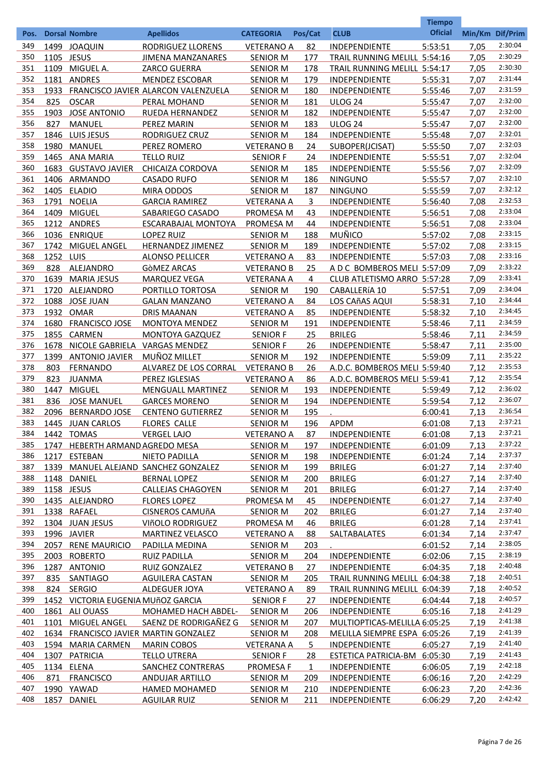|            |              |                                    |                                              |                                      |           |                                         | <b>Tiempo</b>      |                 |                    |
|------------|--------------|------------------------------------|----------------------------------------------|--------------------------------------|-----------|-----------------------------------------|--------------------|-----------------|--------------------|
| Pos.       |              | <b>Dorsal Nombre</b>               | <b>Apellidos</b>                             | <b>CATEGORIA</b>                     | Pos/Cat   | <b>CLUB</b>                             | <b>Oficial</b>     | Min/Km Dif/Prim |                    |
| 349        |              | 1499 JOAQUIN                       | <b>RODRIGUEZ LLORENS</b>                     | <b>VETERANO A</b>                    | 82        | <b>INDEPENDIENTE</b>                    | 5:53:51            | 7,05            | 2:30:04            |
| 350        | 1105 JESUS   |                                    | <b>JIMENA MANZANARES</b>                     | <b>SENIOR M</b>                      | 177       | TRAIL RUNNING MELILL 5:54:16            |                    | 7,05            | 2:30:29            |
| 351        |              | 1109 MIGUEL A.                     | <b>ZARCO GUERRA</b>                          | <b>SENIOR M</b>                      | 178       | TRAIL RUNNING MELILL 5:54:17            |                    | 7,05            | 2:30:30            |
| 352        |              | 1181 ANDRES                        | <b>MENDEZ ESCOBAR</b>                        | <b>SENIOR M</b>                      | 179       | <b>INDEPENDIENTE</b>                    | 5:55:31            | 7,07            | 2:31:44            |
| 353        | 1933         |                                    | FRANCISCO JAVIER ALARCON VALENZUELA          | <b>SENIOR M</b>                      | 180       | INDEPENDIENTE                           | 5:55:46            | 7,07            | 2:31:59            |
| 354        | 825          | <b>OSCAR</b>                       | PERAL MOHAND                                 | <b>SENIOR M</b>                      | 181       | <b>ULOG 24</b>                          | 5:55:47            | 7,07            | 2:32:00            |
| 355        | 1903         | <b>JOSE ANTONIO</b>                | <b>RUEDA HERNANDEZ</b>                       | <b>SENIOR M</b>                      | 182       | INDEPENDIENTE                           | 5:55:47            | 7,07            | 2:32:00<br>2:32:00 |
| 356        | 827          | <b>MANUEL</b>                      | PEREZ MARIN                                  | <b>SENIOR M</b>                      | 183       | <b>ULOG 24</b>                          | 5:55:47            | 7,07            | 2:32:01            |
| 357<br>358 | 1846<br>1980 | LUIS JESUS<br>MANUEL               | RODRIGUEZ CRUZ<br>PEREZ ROMERO               | <b>SENIOR M</b><br><b>VETERANO B</b> | 184<br>24 | INDEPENDIENTE                           | 5:55:48            | 7,07<br>7,07    | 2:32:03            |
| 359        |              | 1465 ANA MARIA                     |                                              |                                      | 24        | SUBOPER(JCISAT)<br><b>INDEPENDIENTE</b> | 5:55:50            | 7,07            | 2:32:04            |
| 360        | 1683         | <b>GUSTAVO JAVIER</b>              | <b>TELLO RUIZ</b><br><b>CHICAIZA CORDOVA</b> | <b>SENIOR F</b><br><b>SENIOR M</b>   | 185       | INDEPENDIENTE                           | 5:55:51<br>5:55:56 | 7,07            | 2:32:09            |
| 361        |              | 1406 ARMANDO                       | <b>CASADO RUFO</b>                           | <b>SENIOR M</b>                      | 186       | <b>NINGUNO</b>                          | 5:55:57            | 7,07            | 2:32:10            |
| 362        |              | 1405 ELADIO                        | <b>MIRA ODDOS</b>                            | <b>SENIOR M</b>                      | 187       | <b>NINGUNO</b>                          | 5:55:59            | 7,07            | 2:32:12            |
| 363        | 1791         | <b>NOELIA</b>                      | <b>GARCIA RAMIREZ</b>                        | <b>VETERANA A</b>                    | 3         | INDEPENDIENTE                           | 5:56:40            | 7,08            | 2:32:53            |
| 364        | 1409         | <b>MIGUEL</b>                      | SABARIEGO CASADO                             | PROMESA M                            | 43        | <b>INDEPENDIENTE</b>                    | 5:56:51            | 7,08            | 2:33:04            |
| 365        |              | 1212 ANDRES                        | ESCARABAJAL MONTOYA                          | PROMESA M                            | 44        | <b>INDEPENDIENTE</b>                    | 5:56:51            | 7,08            | 2:33:04            |
| 366        |              | 1036 ENRIQUE                       | <b>LOPEZ RUIZ</b>                            | <b>SENIOR M</b>                      | 188       | <b>MUÑICO</b>                           | 5:57:02            | 7,08            | 2:33:15            |
| 367        | 1742         | <b>MIGUEL ANGEL</b>                | <b>HERNANDEZ JIMENEZ</b>                     | <b>SENIOR M</b>                      | 189       | <b>INDEPENDIENTE</b>                    | 5:57:02            | 7,08            | 2:33:15            |
| 368        | 1252         | LUIS                               | <b>ALONSO PELLICER</b>                       | <b>VETERANO A</b>                    | <u>83</u> | <b>INDEPENDIENTE</b>                    | 5:57:03            | 7,08            | 2:33:16            |
| 369        | 828          | ALEJANDRO                          | GÒMEZ ARCAS                                  | <b>VETERANO B</b>                    | 25        | A D C BOMBEROS MELI 5:57:09             |                    | 7,09            | 2:33:22            |
| 370        | 1639         | <b>MARIA JESUS</b>                 | <b>MARQUEZ VEGA</b>                          | <b>VETERANA A</b>                    | 4         | CLUB ATLETISMO ARRO 5:57:28             |                    | 7,09            | 2:33:41            |
| 371        | 1720         | ALEJANDRO                          | PORTILLO TORTOSA                             | <b>SENIOR M</b>                      | 190       | <b>CABALLERÍA 10</b>                    | 5:57:51            | 7,09            | 2:34:04            |
| 372        | 1088         | <b>JOSE JUAN</b>                   | <b>GALAN MANZANO</b>                         | <b>VETERANO A</b>                    | 84        | <b>LOS CAñAS AQUI</b>                   | 5:58:31            | 7,10            | 2:34:44            |
| 373        | 1932         | <b>OMAR</b>                        | <b>DRIS MAANAN</b>                           | <b>VETERANO A</b>                    | 85        | <b>INDEPENDIENTE</b>                    | 5:58:32            | 7,10            | 2:34:45            |
| 374        | 1680         | <b>FRANCISCO JOSE</b>              | <b>MONTOYA MENDEZ</b>                        | <b>SENIOR M</b>                      | 191       | <b>INDEPENDIENTE</b>                    | 5:58:46            | 7,11            | 2:34:59            |
| 375        |              | 1855 CARMEN                        | <b>MONTOYA GAZQUEZ</b>                       | <b>SENIOR F</b>                      | <u>25</u> | <b>BRILEG</b>                           | 5:58:46            | 7,11            | 2:34:59            |
| 376        | 1678         | NICOLE GABRIELA VARGAS MENDEZ      |                                              | <b>SENIOR F</b>                      | 26        | INDEPENDIENTE                           | 5:58:47            | 7,11            | 2:35:00            |
| 377        | 1399         | <b>ANTONIO JAVIER</b>              | MUÑOZ MILLET                                 | <b>SENIOR M</b>                      | 192       | <b>INDEPENDIENTE</b>                    | 5:59:09            | 7,11            | 2:35:22            |
| 378        | 803          | <b>FERNANDO</b>                    | ALVAREZ DE LOS CORRAL                        | <b>VETERANO B</b>                    | <u>26</u> | A.D.C. BOMBEROS MELI 5:59:40            |                    | 7,12            | 2:35:53            |
| 379        | 823          | <b>JUANMA</b>                      | PEREZ IGLESIAS                               | <b>VETERANO A</b>                    | 86        | A.D.C. BOMBEROS MELI 5:59:41            |                    | 7,12            | 2:35:54            |
| 380        | 1447         | <b>MIGUEL</b>                      | <b>MENGUALL MARTINEZ</b>                     | <b>SENIOR M</b>                      | 193       | <b>INDEPENDIENTE</b>                    | 5:59:49            | 7,12            | 2:36:02            |
| 381        | 836          | <b>JOSE MANUEL</b>                 | <b>GARCES MORENO</b>                         | <b>SENIOR M</b>                      | 194       | <b>INDEPENDIENTE</b>                    | 5:59:54            | 7,12            | 2:36:07            |
| 382        | 2096         | <b>BERNARDO JOSE</b>               | <b>CENTENO GUTIERREZ</b>                     | <b>SENIOR M</b>                      | 195       |                                         | 6:00:41            | 7,13            | 2:36:54            |
| 383        |              | 1445 JUAN CARLOS                   | <b>FLORES CALLE</b>                          | <b>SENIOR M</b>                      | 196       | <b>APDM</b>                             | 6:01:08            | 7,13            | 2:37:21            |
| 384        |              | 1442 TOMAS                         | <b>VERGEL LAJO</b>                           | <b>VETERANO A</b>                    | 87        | INDEPENDIENTE                           | 6:01:08            | 7,13            | 2:37:21            |
| 385        |              | 1747 HEBERTH ARMAND AGREDO MESA    |                                              | <b>SENIOR M</b>                      | 197       | <b>INDEPENDIENTE</b>                    | 6:01:09            | 7,13            | 2:37:22            |
| 386        |              | 1217 ESTEBAN                       | NIETO PADILLA                                | <b>SENIOR M</b>                      | 198       | <b>INDEPENDIENTE</b>                    | 6:01:24            | 7,14            | 2:37:37            |
| 387        | 1339         |                                    | MANUEL ALEJAND SANCHEZ GONZALEZ              | <b>SENIOR M</b>                      | 199       | <b>BRILEG</b>                           | 6:01:27            | 7,14            | 2:37:40            |
| 388        |              | 1148 DANIEL                        | <b>BERNAL LOPEZ</b>                          | <b>SENIOR M</b>                      | 200       | <b>BRILEG</b>                           | 6:01:27            | 7,14            | 2:37:40            |
| 389        | 1158 JESUS   |                                    | <b>CALLEJAS CHAGOYEN</b>                     | <b>SENIOR M</b>                      | 201       | <b>BRILEG</b>                           | 6:01:27            | 7,14            | 2:37:40            |
| 390        |              | 1435 ALEJANDRO                     | <b>FLORES LOPEZ</b>                          | PROMESA M                            | 45        | <b>INDEPENDIENTE</b>                    | 6:01:27            | 7,14            | 2:37:40            |
| 391        |              | 1338 RAFAEL                        | <b>CISNEROS CAMUñA</b>                       | <b>SENIOR M</b>                      | 202       | <b>BRILEG</b>                           | 6:01:27            | 7,14            | 2:37:40            |
| 392        |              | 1304 JUAN JESUS                    | VIñOLO RODRIGUEZ                             | <b>PROMESA M</b>                     | 46        | <b>BRILEG</b>                           | 6:01:28            | 7,14            | 2:37:41            |
| 393        |              | 1996 JAVIER                        | <b>MARTINEZ VELASCO</b>                      | <b>VETERANO A</b>                    | 88        | <b>SALTABALATES</b>                     | 6:01:34            | 7,14            | 2:37:47            |
| 394        | 2057         | <b>RENE MAURICIO</b>               | PADILLA MEDINA                               | <b>SENIOR M</b>                      | 203       |                                         | 6:01:52            | 7,14            | 2:38:05            |
| 395        |              | 2003 ROBERTO                       | <b>RUIZ PADILLA</b>                          | <b>SENIOR M</b>                      | 204       | <b>INDEPENDIENTE</b>                    | 6:02:06            | 7,15            | 2:38:19            |
| 396        |              | 1287 ANTONIO                       | <b>RUIZ GONZALEZ</b>                         | <b>VETERANO B</b>                    | 27        | <b>INDEPENDIENTE</b>                    | 6:04:35            | 7,18            | 2:40:48            |
| 397        | 835          | SANTIAGO                           | AGUILERA CASTAN                              | <b>SENIOR M</b>                      | 205       | TRAIL RUNNING MELILL 6:04:38            |                    | 7,18            | 2:40:51            |
| 398        |              | 824 SERGIO                         | ALDEGUER JOYA                                | <b>VETERANO A</b>                    | 89        | TRAIL RUNNING MELILL 6:04:39            |                    | 7,18            | 2:40:52            |
| 399        |              | 1452 VICTORIA EUGENIA MUÑOZ GARCIA |                                              | <b>SENIOR F</b>                      | 27        | <b>INDEPENDIENTE</b>                    | 6:04:44            | 7,18            | 2:40:57            |
| 400        |              | 1861 ALI OUASS                     | MOHAMED HACH ABDEL-                          | <b>SENIOR M</b>                      | 206       | <b>INDEPENDIENTE</b>                    | 6:05:16            | 7,18            | 2:41:29            |
| 401        |              | 1101 MIGUEL ANGEL                  | SAENZ DE RODRIGAÑEZ G                        | <b>SENIOR M</b>                      | 207       | MULTIOPTICAS-MELILLA 6:05:25            |                    | 7,19            | 2:41:38            |
| 402        |              |                                    | 1634 FRANCISCO JAVIER MARTIN GONZALEZ        | <b>SENIOR M</b>                      | 208       | MELILLA SIEMPRE ESPA 6:05:26            |                    | 7,19            | 2:41:39            |
| 403        |              | 1594 MARIA CARMEN                  | <b>MARIN COBOS</b>                           | <b>VETERANA A</b>                    | 5.        | <b>INDEPENDIENTE</b>                    | 6:05:27            | 7,19            | 2:41:40            |
| 404        | 1307         | <b>PATRICIA</b>                    | <b>TELLO UTRERA</b>                          | <b>SENIOR F</b>                      | 28        | ESTETICA PATRICIA-BM 6:05:30            |                    | 7,19            | 2:41:43            |
| 405        |              | 1134 ELENA                         | <b>SANCHEZ CONTRERAS</b>                     | <b>PROMESA F</b>                     | 1         | <b>INDEPENDIENTE</b>                    | 6:06:05            | 7,19            | 2:42:18            |
| 406        | 871          | <b>FRANCISCO</b>                   | ANDUJAR ARTILLO                              | <b>SENIOR M</b>                      | 209       | <b>INDEPENDIENTE</b>                    | 6:06:16            | 7,20            | 2:42:29<br>2:42:36 |
| 407<br>408 | 1857         | 1990 YAWAD                         | <b>HAMED MOHAMED</b>                         | <b>SENIOR M</b>                      | 210       | <b>INDEPENDIENTE</b>                    | 6:06:23            | 7,20            | 2:42:42            |
|            |              | DANIEL                             | <b>AGUILAR RUIZ</b>                          | <b>SENIOR M</b>                      | 211       | <b>INDEPENDIENTE</b>                    | 6:06:29            | 7,20            |                    |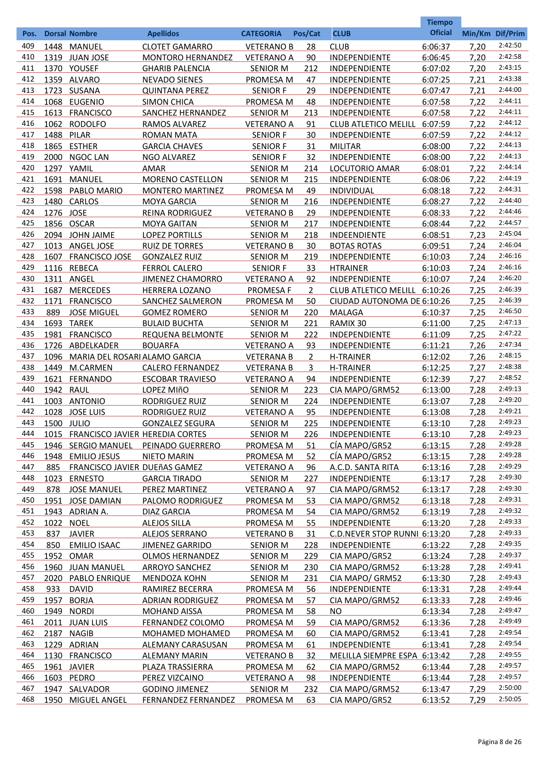|      |            |                                      |                            |                   |                |                              | <b>Tiempo</b>  |                 |         |
|------|------------|--------------------------------------|----------------------------|-------------------|----------------|------------------------------|----------------|-----------------|---------|
| Pos. |            | <b>Dorsal Nombre</b>                 | <b>Apellidos</b>           | <b>CATEGORIA</b>  | Pos/Cat        | <b>CLUB</b>                  | <b>Oficial</b> | Min/Km Dif/Prim |         |
| 409  |            | 1448 MANUEL                          | <b>CLOTET GAMARRO</b>      | <b>VETERANO B</b> | 28             | <b>CLUB</b>                  | 6:06:37        | 7,20            | 2:42:50 |
| 410  |            | 1319 JUAN JOSE                       | <b>MONTORO HERNANDEZ</b>   | <b>VETERANO A</b> | 90             | INDEPENDIENTE                | 6:06:45        | 7,20            | 2:42:58 |
| 411  |            | 1370 YOUSEF                          | <b>GHARIB PALENCIA</b>     | <b>SENIOR M</b>   | 212            | <b>INDEPENDIENTE</b>         | 6:07:02        | 7,20            | 2:43:15 |
| 412  |            | 1359 ALVARO                          | <b>NEVADO SIENES</b>       | PROMESA M         | 47             | <b>INDEPENDIENTE</b>         | 6:07:25        | 7,21            | 2:43:38 |
| 413  |            | 1723 SUSANA                          | <b>QUINTANA PEREZ</b>      | <b>SENIOR F</b>   | 29             | <b>INDEPENDIENTE</b>         | 6:07:47        | 7,21            | 2:44:00 |
| 414  |            | 1068 EUGENIO                         | <b>SIMON CHICA</b>         | PROMESA M         | 48             | INDEPENDIENTE                | 6:07:58        | 7,22            | 2:44:11 |
| 415  |            | 1613 FRANCISCO                       | SANCHEZ HERNANDEZ          | <b>SENIOR M</b>   | 213            | INDEPENDIENTE                | 6:07:58        | 7,22            | 2:44:11 |
| 416  | 1062       | <b>RODOLFO</b>                       | RAMOS ALVAREZ              | <b>VETERANO A</b> | 91             | <b>CLUB ATLETICO MELILL</b>  | 6:07:59        | 7,22            | 2:44:12 |
| 417  | 1488       | PILAR                                | <b>ROMAN MATA</b>          | <b>SENIOR F</b>   | 30             | INDEPENDIENTE                | 6:07:59        | 7,22            | 2:44:12 |
| 418  |            | 1865 ESTHER                          | <b>GARCIA CHAVES</b>       | <b>SENIOR F</b>   | 31             | <b>MILITAR</b>               | 6:08:00        | 7,22            | 2:44:13 |
| 419  | 2000       | <b>NGOC LAN</b>                      | NGO ALVAREZ                | <b>SENIOR F</b>   | 32             | INDEPENDIENTE                | 6:08:00        | 7,22            | 2:44:13 |
| 420  |            | 1297 YAMIL                           | AMAR                       | <b>SENIOR M</b>   | 214            | LOCUTORIO AMAR               | 6:08:01        | 7,22            | 2:44:14 |
| 421  | 1691       | <b>MANUEL</b>                        | MORENO CASTELLON           | <b>SENIOR M</b>   | 215            | INDEPENDIENTE                | 6:08:06        | 7,22            | 2:44:19 |
| 422  | 1598       | PABLO MARIO                          | <b>MONTERO MARTINEZ</b>    | PROMESA M         | 49             | <b>INDIVIDUAL</b>            | 6:08:18        | 7,22            | 2:44:31 |
| 423  |            | 1480 CARLOS                          | <b>MOYA GARCIA</b>         | <b>SENIOR M</b>   | 216            | INDEPENDIENTE                | 6:08:27        | 7,22            | 2:44:40 |
| 424  | 1276 JOSE  |                                      | <b>REINA RODRIGUEZ</b>     | <b>VETERANO B</b> | 29             | INDEPENDIENTE                | 6:08:33        | 7,22            | 2:44:46 |
| 425  |            | 1856 OSCAR                           | <b>MOYA GAITAN</b>         | <b>SENIOR M</b>   | 217            | <b>INDEPENDIENTE</b>         | 6:08:44        | 7,22            | 2:44:57 |
| 426  |            | 2094 JOHN JAIME                      | <b>LOPEZ PORTILLS</b>      | <b>SENIOR M</b>   | 218            | INDEENDIENTE                 | 6:08:51        | 7,23            | 2:45:04 |
| 427  |            | 1013 ANGEL JOSE                      | <b>RUIZ DE TORRES</b>      | <b>VETERANO B</b> | 30             | <b>BOTAS ROTAS</b>           | 6:09:51        | 7,24            | 2:46:04 |
| 428  | 1607       | <b>FRANCISCO JOSE</b>                | <b>GONZALEZ RUIZ</b>       | <b>SENIOR M</b>   | 219            | <b>INDEPENDIENTE</b>         | 6:10:03        | 7,24            | 2:46:16 |
| 429  |            | 1116 REBECA                          | <b>FERROL CALERO</b>       | <b>SENIOR F</b>   | 33             | <b>HTRAINER</b>              | 6:10:03        | 7,24            | 2:46:16 |
| 430  |            | 1311 ANGEL                           | <b>JIMENEZ CHAMORRO</b>    | <b>VETERANO A</b> | 92             | INDEPENDIENTE                | 6:10:07        | 7,24            | 2:46:20 |
| 431  | 1687       | <b>MERCEDES</b>                      | <b>HERRERA LOZANO</b>      | <b>PROMESA F</b>  | $\overline{2}$ | CLUB ATLETICO MELILL 6:10:26 |                | 7,25            | 2:46:39 |
| 432  | 1171       | <b>FRANCISCO</b>                     | SANCHEZ SALMERON           | PROMESA M         | 50             | CIUDAD AUTONOMA DE 6:10:26   |                | 7,25            | 2:46:39 |
| 433  | 889        | <b>JOSE MIGUEL</b>                   |                            |                   | 220            | <b>MALAGA</b>                |                |                 | 2:46:50 |
| 434  |            | 1693 TAREK                           | <b>GOMEZ ROMERO</b>        | <b>SENIOR M</b>   | 221            |                              | 6:10:37        | 7,25            | 2:47:13 |
|      |            |                                      | <b>BULAID BUCHTA</b>       | <b>SENIOR M</b>   |                | RAMIX 30                     | 6:11:00        | 7,25            | 2:47:22 |
| 435  |            | 1981 FRANCISCO                       | <b>REQUENA BELMONTE</b>    | <b>SENIOR M</b>   | 222            | <b>INDEPENDIENTE</b>         | 6:11:09        | 7,25            | 2:47:34 |
| 436  |            | 1726 ABDELKADER                      | <b>BOUARFA</b>             | <b>VETERANO A</b> | 93             | INDEPENDIENTE                | 6:11:21        | 7,26            | 2:48:15 |
| 437  | 1096       | MARIA DEL ROSARI ALAMO GARCIA        |                            | <b>VETERANA B</b> | $\overline{2}$ | <b>H-TRAINER</b>             | 6:12:02        | 7,26            | 2:48:38 |
| 438  | 1449       | M.CARMEN                             | <b>CALERO FERNANDEZ</b>    | <b>VETERANA B</b> | 3              | <b>H-TRAINER</b>             | 6:12:25        | 7,27            | 2:48:52 |
| 439  | 1621       | <b>FERNANDO</b>                      | <b>ESCOBAR TRAVIESO</b>    | <b>VETERANO A</b> | 94             | <b>INDEPENDIENTE</b>         | 6:12:39        | 7,27            | 2:49:13 |
| 440  | 1942       | RAUL                                 | LOPEZ MIñO                 | <b>SENIOR M</b>   | 223            | CIA MAPO/GRM52               | 6:13:00        | 7,28            |         |
| 441  |            | 1003 ANTONIO                         | <b>RODRIGUEZ RUIZ</b>      | <b>SENIOR M</b>   | 224            | <b>INDEPENDIENTE</b>         | 6:13:07        | 7,28            | 2:49:20 |
| 442  |            | 1028 JOSE LUIS                       | RODRIGUEZ RUIZ             | <b>VETERANO A</b> | 95             | <b>INDEPENDIENTE</b>         | 6:13:08        | 7,28            | 2:49:21 |
| 443  | 1500 JULIO |                                      | <b>GONZALEZ SEGURA</b>     | <b>SENIOR M</b>   | 225            | INDEPENDIENTE                | 6:13:10        | 7,28            | 2:49:23 |
| 444  |            | 1015 FRANCISCO JAVIER HEREDIA CORTES |                            | <b>SENIOR M</b>   | 226            | INDEPENDIENTE                | 6:13:10        | 7,28            | 2:49:23 |
| 445  |            | 1946 SERGIO MANUEL                   | PEINADO GUERRERO           | <b>PROMESA M</b>  | 51             | CÍA MAPO/GR52                | 6:13:15        | 7,28            | 2:49:28 |
| 446  |            | 1948 EMILIO JESUS                    | <b>NIETO MARIN</b>         | <b>PROMESA M</b>  | 52             | CÍA MAPO/GR52                | 6:13:15        | 7,28            | 2:49:28 |
| 447  | 885        | FRANCISCO JAVIER DUEñAS GAMEZ        |                            | <b>VETERANO A</b> | 96             | A.C.D. SANTA RITA            | 6:13:16        | 7,28            | 2:49:29 |
| 448  | 1023       | <b>ERNESTO</b>                       | <b>GARCIA TIRADO</b>       | <b>SENIOR M</b>   | 227            | <b>INDEPENDIENTE</b>         | 6:13:17        | 7,28            | 2:49:30 |
| 449  | 878        | <b>JOSE MANUEL</b>                   | PEREZ MARTINEZ             | <b>VETERANO A</b> | 97             | CIA MAPO/GRM52               | 6:13:17        | 7,28            | 2:49:30 |
| 450  |            | 1951 JOSE DAMIAN                     | PALOMO RODRIGUEZ           | <b>PROMESA M</b>  | <u>53</u>      | CIA MAPO/GRM52               | 6:13:18        | 7,28            | 2:49:31 |
| 451  |            | 1943 ADRIAN A.                       | DIAZ GARCIA                | PROMESA M         | 54             | CIA MAPO/GRM52               | 6:13:19        | 7,28            | 2:49:32 |
| 452  | 1022       | <b>NOEL</b>                          | <b>ALEJOS SILLA</b>        | <b>PROMESA M</b>  | 55             | <b>INDEPENDIENTE</b>         | 6:13:20        | 7,28            | 2:49:33 |
| 453  | 837        | <b>JAVIER</b>                        | <b>ALEJOS SERRANO</b>      | <b>VETERANO B</b> | 31             | C.D.NEVER STOP RUNNI 6:13:20 |                | 7,28            | 2:49:33 |
| 454  | 850        | <b>EMILIO ISAAC</b>                  | <b>JIMENEZ GARRIDO</b>     | <b>SENIOR M</b>   | 228            | <b>INDEPENDIENTE</b>         | 6:13:22        | 7,28            | 2:49:35 |
| 455  | 1952       | <b>OMAR</b>                          | <b>OLMOS HERNANDEZ</b>     | <b>SENIOR M</b>   | 229            | CIA MAPO/GR52                | 6:13:24        | 7,28            | 2:49:37 |
| 456  |            | 1960 JUAN MANUEL                     | <b>ARROYO SANCHEZ</b>      | <b>SENIOR M</b>   | 230            | CIA MAPO/GRM52               | 6:13:28        | 7,28            | 2:49:41 |
| 457  | 2020       | <b>PABLO ENRIQUE</b>                 | <b>MENDOZA KOHN</b>        | <b>SENIOR M</b>   | <u>231</u>     | CIA MAPO/ GRM52              | 6:13:30        | 7,28            | 2:49:43 |
| 458  | 933        | <b>DAVID</b>                         | RAMIREZ BECERRA            | <b>PROMESA M</b>  | <u>56</u>      | <b>INDEPENDIENTE</b>         | 6:13:31        | 7,28            | 2:49:44 |
| 459  | 1957       | <b>BORJA</b>                         | <b>ADRIAN RODRIGUEZ</b>    | <b>PROMESA M</b>  | <u>57</u>      | CIA MAPO/GRM52               | 6:13:33        | 7,28            | 2:49:46 |
| 460  | 1949       | <b>NORDI</b>                         | <b>MOHAND AISSA</b>        | <b>PROMESA M</b>  | <u>58</u>      | NO.                          | 6:13:34        | 7,28            | 2:49:47 |
| 461  |            | 2011 JUAN LUIS                       | FERNANDEZ COLOMO           | <b>PROMESA M</b>  | 59             | CIA MAPO/GRM52               | 6:13:36        | 7,28            | 2:49:49 |
| 462  |            | 2187 NAGIB                           | <b>MOHAMED MOHAMED</b>     | PROMESA M         | 60             | CIA MAPO/GRM52               | 6:13:41        | 7,28            | 2:49:54 |
| 463  |            | 1229 ADRIAN                          | <b>ALEMANY CARASUSAN</b>   | <b>PROMESA M</b>  | <u>61</u>      | <b>INDEPENDIENTE</b>         | 6:13:41        | 7,28            | 2:49:54 |
| 464  | 1130       | <b>FRANCISCO</b>                     | <b>ALEMANY MARIN</b>       | <b>VETERANO B</b> | 32             | MELILLA SIEMPRE ESPA 6:13:42 |                | 7,28            | 2:49:55 |
| 465  |            | 1961 JAVIER                          | PLAZA TRASSIERRA           | PROMESA M         | <u>62</u>      | CIA MAPO/GRM52               | 6:13:44        | 7,28            | 2:49:57 |
| 466  |            | 1603 PEDRO                           | PEREZ VIZCAINO             | <b>VETERANO A</b> | 98             | <b>INDEPENDIENTE</b>         | 6:13:44        | 7,28            | 2:49:57 |
| 467  | 1947       | SALVADOR                             | <b>GODINO JIMENEZ</b>      | <b>SENIOR M</b>   | 232            | CIA MAPO/GRM52               | 6:13:47        | 7,29            | 2:50:00 |
| 468  | 1950       | <b>MIGUEL ANGEL</b>                  | <b>FERNANDEZ FERNANDEZ</b> | <b>PROMESA M</b>  | 63             | CIA MAPO/GR52                | 6:13:52        | 7,29            | 2:50:05 |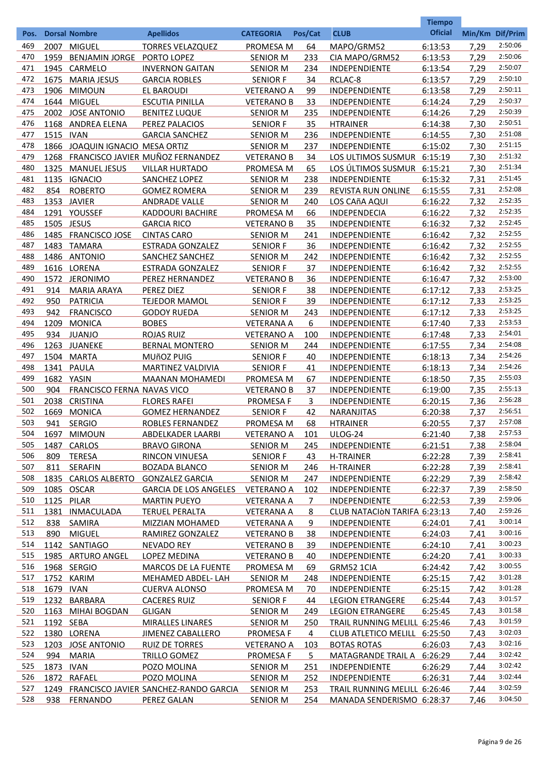|            |           |                                               |                                                 |                                |             |                                      | <b>Tiempo</b>      |                 |                    |
|------------|-----------|-----------------------------------------------|-------------------------------------------------|--------------------------------|-------------|--------------------------------------|--------------------|-----------------|--------------------|
| Pos.       |           | <b>Dorsal Nombre</b>                          | <b>Apellidos</b>                                | <b>CATEGORIA</b>               | Pos/Cat     | <b>CLUB</b>                          | <b>Oficial</b>     | Min/Km Dif/Prim |                    |
| 469        | 2007      | <b>MIGUEL</b>                                 | <b>TORRES VELAZQUEZ</b>                         | PROMESA M                      | 64          | MAPO/GRM52                           | 6:13:53            | 7,29            | 2:50:06            |
| 470        | 1959      | <b>BENJAMIN JORGE</b>                         | PORTO LOPEZ                                     | <b>SENIOR M</b>                | 233         | CIA MAPO/GRM52                       | 6:13:53            | 7,29            | 2:50:06            |
| 471        |           | 1945 CARMELO                                  | <b>INVERNON GAITAN</b>                          | <b>SENIOR M</b>                | 234         | INDEPENDIENTE                        | 6:13:54            | 7,29            | 2:50:07            |
| 472        | 1675      | <b>MARIA JESUS</b>                            | <b>GARCIA ROBLES</b>                            | <b>SENIOR F</b>                | 34          | RCLAC-8                              | 6:13:57            | 7,29            | 2:50:10            |
| 473        | 1906      | <b>MIMOUN</b>                                 | EL BAROUDI                                      | <b>VETERANO A</b>              | 99          | <b>INDEPENDIENTE</b>                 | 6:13:58            | 7,29            | 2:50:11            |
| 474        | 1644      | <b>MIGUEL</b>                                 | <b>ESCUTIA PINILLA</b>                          | <b>VETERANO B</b>              | 33          | INDEPENDIENTE                        | 6:14:24            | 7,29            | 2:50:37            |
| 475        | 2002      | <b>JOSE ANTONIO</b>                           | <b>BENITEZ LUQUE</b>                            | <b>SENIOR M</b>                | 235         | INDEPENDIENTE                        | 6:14:26            | 7,29            | 2:50:39            |
| 476        |           | 1168 ANDREA ELENA                             | PEREZ PALACIOS                                  | <b>SENIOR F</b>                | 35          | <b>HTRAINER</b>                      | 6:14:38            | 7,30            | 2:50:51            |
| 477        | 1515 IVAN |                                               | <b>GARCIA SANCHEZ</b>                           | <b>SENIOR M</b>                | 236         | INDEPENDIENTE                        | 6:14:55            | 7,30            | 2:51:08            |
| 478        |           | 1866 JOAQUIN IGNACIO MESA ORTIZ               |                                                 | <b>SENIOR M</b>                | 237         | INDEPENDIENTE                        | 6:15:02            | 7,30            | 2:51:15            |
| 479        | 1268      |                                               | FRANCISCO JAVIER MUÑOZ FERNANDEZ                | <b>VETERANO B</b>              | 34          | LOS ULTIMOS SUSMUR 6:15:19           |                    | 7,30            | 2:51:32            |
| 480        | 1325      | <b>MANUEL JESUS</b>                           | <b>VILLAR HURTADO</b>                           | PROMESA M                      | 65          | LOS ÚLTIMOS SUSMUR 6:15:21           |                    | 7,30            | 2:51:34            |
| 481        | 1135      | <b>IGNACIO</b>                                | SANCHEZ LOPEZ                                   | <b>SENIOR M</b>                | 238         | INDEPENDIENTE                        | 6:15:32            | 7,31            | 2:51:45            |
| 482        | 854       | <b>ROBERTO</b>                                | <b>GOMEZ ROMERA</b>                             | <b>SENIOR M</b>                | 239         | REVISTA RUN ONLINE                   | 6:15:55            | 7,31            | 2:52:08            |
| 483        |           | 1353 JAVIER                                   | <b>ANDRADE VALLE</b>                            | <b>SENIOR M</b>                | 240         | LOS CAñA AQUI                        | 6:16:22            | 7,32            | 2:52:35            |
| 484        |           | 1291 YOUSSEF                                  | <b>KADDOURI BACHIRE</b>                         | PROMESA M                      | 66          | INDEPENDECIA                         | 6:16:22            | 7,32            | 2:52:35            |
| 485        |           | 1505 JESUS                                    | <b>GARCIA RICO</b>                              | <b>VETERANO B</b>              | 35          | INDEPENDIENTE                        | 6:16:32            | 7,32            | 2:52:45            |
| 486        |           | 1485 FRANCISCO JOSE                           | <b>CINTAS CARO</b>                              | <b>SENIOR M</b>                | 241         | INDEPENDIENTE                        | 6:16:42            | 7,32            | 2:52:55            |
| 487        |           | 1483 TAMARA                                   | <b>ESTRADA GONZALEZ</b>                         | SENIOR F                       | 36          | INDEPENDIENTE                        | 6:16:42            | 7,32            | 2:52:55            |
| 488        |           | 1486 ANTONIO                                  | SANCHEZ SANCHEZ                                 | <b>SENIOR M</b>                | 242         | INDEPENDIENTE                        | 6:16:42            | 7,32            | 2:52:55            |
| 489        |           | 1616 LORENA                                   | <b>ESTRADA GONZALEZ</b>                         | <b>SENIOR F</b>                | 37          | INDEPENDIENTE                        | 6:16:42            | 7,32            | 2:52:55            |
| 490        |           | 1572 JERONIMO                                 | PEREZ HERNANDEZ                                 | <b>VETERANO B</b>              | 36          | INDEPENDIENTE                        | 6:16:47            | 7,32            | 2:53:00            |
| 491        | 914       | <b>MARIA ARAYA</b>                            | PEREZ DIEZ                                      | <b>SENIOR F</b>                | 38          | INDEPENDIENTE                        | 6:17:12            | 7,33            | 2:53:25            |
| 492        | 950       | <b>PATRICIA</b>                               | <b>TEJEDOR MAMOL</b>                            | <b>SENIOR F</b>                | 39          | INDEPENDIENTE                        | 6:17:12            | 7,33            | 2:53:25            |
| 493        | 942       | <b>FRANCISCO</b>                              | <b>GODOY RUEDA</b>                              | <b>SENIOR M</b>                | 243         | INDEPENDIENTE                        | 6:17:12            | 7,33            | 2:53:25<br>2:53:53 |
| 494        | 1209      | <b>MONICA</b>                                 | <b>BOBES</b>                                    | <b>VETERANA A</b>              | 6           | INDEPENDIENTE                        | 6:17:40            | 7,33            | 2:54:01            |
| 495        | 934       | <b>JUANJO</b>                                 | <b>ROJAS RUIZ</b>                               | <b>VETERANO A</b>              | 100         | INDEPENDIENTE                        | 6:17:48            | 7,33            |                    |
| 496        |           | 1263 JUANEKE                                  | <b>BERNAL MONTERO</b>                           | <b>SENIOR M</b>                | 244         | INDEPENDIENTE                        | 6:17:55            | 7,34            | 2:54:08<br>2:54:26 |
| 497        | 1504      | <b>MARTA</b>                                  | MUñOZ PUIG                                      | <b>SENIOR F</b>                | 40          | INDEPENDIENTE                        | 6:18:13            | 7,34            | 2:54:26            |
| 498        | 1341      | <b>PAULA</b>                                  | MARTINEZ VALDIVIA                               | <b>SENIOR F</b>                | 41          | INDEPENDIENTE                        | 6:18:13            | 7,34            | 2:55:03            |
| 499<br>500 | 904       | 1682 YASIN                                    | <b>MAANAN MOHAMEDI</b>                          | PROMESA M                      | 67<br>37    | INDEPENDIENTE<br>INDEPENDIENTE       | 6:18:50            | 7,35            | 2:55:13            |
| 501        | 2038      | FRANCISCO FERNA NAVAS VICO<br><b>CRISTINA</b> |                                                 | <b>VETERANO B</b>              |             |                                      | 6:19:00            | 7,35            | 2:56:28            |
| 502        | 1669      |                                               | <b>FLORES RAFEI</b>                             | <b>PROMESA F</b>               | 3<br>42     | <b>INDEPENDIENTE</b>                 | 6:20:15            | 7,36            | 2:56:51            |
| 503        | 941       | <b>MONICA</b>                                 | <b>GOMEZ HERNANDEZ</b>                          | <b>SENIOR F</b>                |             | <b>NARANJITAS</b><br><b>HTRAINER</b> | 6:20:38            | 7,37            | 2:57:08            |
| 504        | 1697      | <b>SERGIO</b><br><b>MIMOUN</b>                | ROBLES FERNANDEZ                                | PROMESA M<br><b>VETERANO A</b> | 68          | <b>ULOG-24</b>                       | 6:20:55<br>6:21:40 | 7,37<br>7,38    | 2:57:53            |
| 505        | 1487      | CARLOS                                        | <b>ABDELKADER LAARBI</b><br><b>BRAVO GIRONA</b> | <b>SENIOR M</b>                | 101<br>245  | <b>INDEPENDIENTE</b>                 | 6:21:51            | 7,38            | 2:58:04            |
| 506        | 809       | <b>TERESA</b>                                 | RINCON VINUESA                                  | <b>SENIOR F</b>                | 43          | <b>H-TRAINER</b>                     | 6:22:28            | 7,39            | 2:58:41            |
| 507        | 811       | <b>SERAFIN</b>                                | <b>BOZADA BLANCO</b>                            | <b>SENIOR M</b>                | 246         | H-TRAINER                            | 6:22:28            | 7,39            | 2:58:41            |
| 508        |           | 1835 CARLOS ALBERTO                           | <b>GONZALEZ GARCIA</b>                          | <b>SENIOR M</b>                | 247         | <b>INDEPENDIENTE</b>                 | 6:22:29            | 7,39            | 2:58:42            |
| 509        |           | 1085 OSCAR                                    | <b>GARCIA DE LOS ANGELES</b>                    | <b>VETERANO A</b>              | 102         | <b>INDEPENDIENTE</b>                 | 6:22:37            | 7,39            | 2:58:50            |
| 510        |           | 1125 PILAR                                    | <b>MARTIN PUEYO</b>                             | <b>VETERANA A</b>              | 7           | <b>INDEPENDIENTE</b>                 | 6:22:53            | 7,39            | 2:59:06            |
| 511        | 1381      | <b>INMACULADA</b>                             | <b>TERUEL PERALTA</b>                           | <b>VETERANA A</b>              | 8           | CLUB NATACIÒN TARIFA 6:23:13         |                    | 7,40            | 2:59:26            |
| 512        | 838       | SAMIRA                                        | MIZZIAN MOHAMED                                 | <b>VETERANA A</b>              | 9           | <b>INDEPENDIENTE</b>                 | 6:24:01            | 7,41            | 3:00:14            |
| 513        | 890       | <b>MIGUEL</b>                                 | RAMIREZ GONZALEZ                                | <b>VETERANO B</b>              | 38          | <b>INDEPENDIENTE</b>                 | 6:24:03            | 7,41            | 3:00:16            |
| 514        |           | 1142 SANTIAGO                                 | <b>NEVADO REY</b>                               | <b>VETERANO B</b>              | 39          | <b>INDEPENDIENTE</b>                 | 6:24:10            | 7,41            | 3:00:23            |
| 515        |           | 1985 ARTURO ANGEL                             | LOPEZ MEDINA                                    | <b>VETERANO B</b>              | 40          | <b>INDEPENDIENTE</b>                 | 6:24:20            | 7,41            | 3:00:33            |
| 516        |           | 1968 SERGIO                                   | <b>MARCOS DE LA FUENTE</b>                      | <b>PROMESA M</b>               | 69          | GRM52 1CIA                           | 6:24:42            | 7,42            | 3:00:55            |
| 517        | 1752      | KARIM                                         | MEHAMED ABDEL-LAH                               | <b>SENIOR M</b>                | 248         | <b>INDEPENDIENTE</b>                 | 6:25:15            | 7,42            | 3:01:28            |
| 518        | 1679      | <b>IVAN</b>                                   | <b>CUERVA ALONSO</b>                            | PROMESA M                      | 70          | <b>INDEPENDIENTE</b>                 | 6:25:15            | 7,42            | 3:01:28            |
| 519        | 1232      | <b>BARBARA</b>                                | <b>CACERES RUIZ</b>                             | <b>SENIOR F</b>                | 44          | <b>LEGION ETRANGERE</b>              | 6:25:44            | 7,43            | 3:01:57            |
| 520        | 1163      | <b>MIHAI BOGDAN</b>                           | <b>GLIGAN</b>                                   | <b>SENIOR M</b>                | 249         | <b>LEGION ETRANGERE</b>              | 6:25:45            | 7,43            | 3:01:58            |
| 521        | 1192 SEBA |                                               | <b>MIRALLES LINARES</b>                         | <b>SENIOR M</b>                | 250         | TRAIL RUNNING MELILL 6:25:46         |                    | 7,43            | 3:01:59            |
| 522        |           | 1380 LORENA                                   | <b>JIMENEZ CABALLERO</b>                        | <b>PROMESA F</b>               | 4           | CLUB ATLETICO MELILL 6:25:50         |                    | 7,43            | 3:02:03            |
| 523        |           | 1203 JOSE ANTONIO                             | <b>RUIZ DE TORRES</b>                           | <b>VETERANO A</b>              | <u> 103</u> | <b>BOTAS ROTAS</b>                   | 6:26:03            | 7,43            | 3:02:16            |
| 524        | 994       | <b>MARIA</b>                                  | <b>TRILLO GOMEZ</b>                             | <b>PROMESA F</b>               | 5           | MATAGRANDE TRAIL A 6:26:29           |                    | 7,44            | 3:02:42            |
| 525        | 1873 IVAN |                                               | POZO MOLINA                                     | <b>SENIOR M</b>                | <u>251</u>  | <b>INDEPENDIENTE</b>                 | 6:26:29            | 7,44            | 3:02:42            |
| 526        | 1872      | <b>RAFAEL</b>                                 | POZO MOLINA                                     | <b>SENIOR M</b>                | 252         | <b>INDEPENDIENTE</b>                 | 6:26:31            | 7,44            | 3:02:44            |
| 527        |           |                                               | 1249 FRANCISCO JAVIER SANCHEZ-RANDO GARCIA      | <b>SENIOR M</b>                | <u>253</u>  | TRAIL RUNNING MELILL 6:26:46         |                    | 7,44            | 3:02:59            |
| 528        | 938       | <b>FERNANDO</b>                               | <b>PEREZ GALAN</b>                              | <b>SENIOR M</b>                | 254         | MANADA SENDERISMO 6:28:37            |                    | 7,46            | 3:04:50            |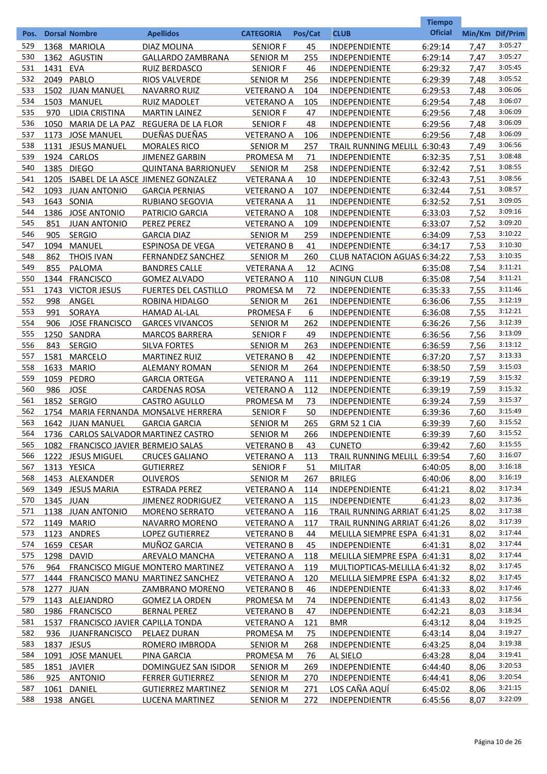|            |           |                                     |                                                   |                                        |                  |                                                      | <b>Tiempo</b>      |                 |                    |
|------------|-----------|-------------------------------------|---------------------------------------------------|----------------------------------------|------------------|------------------------------------------------------|--------------------|-----------------|--------------------|
| Pos.       |           | <b>Dorsal Nombre</b>                | <b>Apellidos</b>                                  | <b>CATEGORIA</b>                       | Pos/Cat          | <b>CLUB</b>                                          | <b>Oficial</b>     | Min/Km Dif/Prim |                    |
| 529        |           | 1368 MARIOLA                        | DIAZ MOLINA                                       | <b>SENIOR F</b>                        | 45               | <b>INDEPENDIENTE</b>                                 | 6:29:14            | 7,47            | 3:05:27            |
| 530        | 1362      | AGUSTIN                             | <b>GALLARDO ZAMBRANA</b>                          | <b>SENIOR M</b>                        | 255              | <b>INDEPENDIENTE</b>                                 | 6:29:14            | 7,47            | 3:05:27            |
| 531        | 1431      | <b>EVA</b>                          | <b>RUIZ BERDASCO</b>                              | <b>SENIOR F</b>                        | 46               | <b>INDEPENDIENTE</b>                                 | 6:29:32            | 7,47            | 3:05:45            |
| 532        | 2049      | PABLO                               | <b>RIOS VALVERDE</b>                              | <b>SENIOR M</b>                        | 256              | <b>INDEPENDIENTE</b>                                 | 6:29:39            | 7,48            | 3:05:52            |
| 533        |           | 1502 JUAN MANUEL                    | <b>NAVARRO RUIZ</b>                               | <b>VETERANO A</b>                      | 104              | <b>INDEPENDIENTE</b>                                 | 6:29:53            | 7,48            | 3:06:06            |
| 534        | 1503      | MANUEL                              | <b>RUIZ MADOLET</b>                               | <b>VETERANO A</b>                      | 105              | <b>INDEPENDIENTE</b>                                 | 6:29:54            | 7,48            | 3:06:07            |
| 535        | 970       | LIDIA CRISTINA                      | <b>MARTIN LAINEZ</b>                              | <b>SENIOR F</b>                        | 47               | <b>INDEPENDIENTE</b>                                 | 6:29:56            | 7,48            | 3:06:09            |
| 536        | 1050      | MARIA DE LA PAZ                     | REGUERA DE LA FLOR                                | <b>SENIOR F</b>                        | 48               | <b>INDEPENDIENTE</b>                                 | 6:29:56            | 7,48            | 3:06:09            |
| 537        |           | 1173 JOSE MANUEL                    | DUEÑAS DUEÑAS                                     | <b>VETERANO A</b>                      | 106              | <b>INDEPENDIENTE</b>                                 | 6:29:56            | 7,48            | 3:06:09            |
| 538        |           | 1131 JESUS MANUEL                   | <b>MORALES RICO</b>                               | <b>SENIOR M</b>                        | 257              | TRAIL RUNNING MELILL 6:30:43                         |                    | 7,49            | 3:06:56<br>3:08:48 |
| 539        |           | 1924 CARLOS                         | <b>JIMENEZ GARBIN</b>                             | PROMESA M                              | 71               | <b>INDEPENDIENTE</b>                                 | 6:32:35            | 7,51            | 3:08:55            |
| 540<br>541 |           | 1385 DIEGO                          | <b>QUINTANA BARRIONUEV</b>                        | <b>SENIOR M</b>                        | 258              | <b>INDEPENDIENTE</b>                                 | 6:32:42            | 7,51            | 3:08:56            |
| 542        | 1205      | 1093 JUAN ANTONIO                   | ISABEL DE LA ASCE JIMENEZ GONZALEZ                | <b>VETERANA A</b>                      | 10               | <b>INDEPENDIENTE</b>                                 | 6:32:43            | 7,51            | 3:08:57            |
| 543        |           | 1643 SONIA                          | <b>GARCIA PERNIAS</b><br>RUBIANO SEGOVIA          | <b>VETERANO A</b><br><b>VETERANA A</b> | 107              | <b>INDEPENDIENTE</b><br><b>INDEPENDIENTE</b>         | 6:32:44            | 7,51<br>7,51    | 3:09:05            |
| 544        |           | 1386 JOSE ANTONIO                   | PATRICIO GARCIA                                   | <b>VETERANO A</b>                      | <u>11</u><br>108 | <b>INDEPENDIENTE</b>                                 | 6:32:52<br>6:33:03 | 7,52            | 3:09:16            |
| 545        | 851       | <b>JUAN ANTONIO</b>                 | <b>PEREZ PEREZ</b>                                | <b>VETERANO A</b>                      | 109              | <b>INDEPENDIENTE</b>                                 | 6:33:07            | 7,52            | 3:09:20            |
| 546        | 905       | <b>SERGIO</b>                       | <b>GARCIA DIAZ</b>                                | <b>SENIOR M</b>                        | 259              | <b>INDEPENDIENTE</b>                                 | 6:34:09            | 7,53            | 3:10:22            |
| 547        | 1094      | MANUEL                              | <b>ESPINOSA DE VEGA</b>                           | <b>VETERANO B</b>                      | 41               | <b>INDEPENDIENTE</b>                                 | 6:34:17            | 7,53            | 3:10:30            |
| 548        | 862       | <b>THOIS IVAN</b>                   | <b>FERNANDEZ SANCHEZ</b>                          | SENIOR M                               | 260              | <b>CLUB NATACION AGUAS 6:34:22</b>                   |                    | 7,53            | 3:10:35            |
| 549        | 855       | PALOMA                              | <b>BANDRES CALLE</b>                              | <b>VETERANA A</b>                      | 12               | <b>ACING</b>                                         | 6:35:08            | 7,54            | 3:11:21            |
| 550        | 1344      | <b>FRANCISCO</b>                    | <b>GOMEZ ALVADO</b>                               | <b>VETERANO A</b>                      | 110              | <b>NINGUN CLUB</b>                                   | 6:35:08            | 7,54            | 3:11:21            |
| 551        |           | 1743 VICTOR JESUS                   | <b>FUERTES DEL CASTILLO</b>                       | PROMESA M                              | 72               | <b>INDEPENDIENTE</b>                                 | 6:35:33            | 7,55            | 3:11:46            |
| 552        | 998       | ANGEL                               | ROBINA HIDALGO                                    | <b>SENIOR M</b>                        | 261              | <b>INDEPENDIENTE</b>                                 | 6:36:06            | 7,55            | 3:12:19            |
| 553        | 991       | SORAYA                              | <b>HAMAD AL-LAL</b>                               | <b>PROMESA F</b>                       | 6                | <b>INDEPENDIENTE</b>                                 | 6:36:08            | 7,55            | 3:12:21            |
| 554        | 906       | <b>JOSE FRANCISCO</b>               | <b>GARCES VIVANCOS</b>                            | <b>SENIOR M</b>                        | 262              | <b>INDEPENDIENTE</b>                                 | 6:36:26            | 7,56            | 3:12:39            |
| 555        |           | 1250 SANDRA                         | <b>MARCOS BARRERA</b>                             | <b>SENIOR F</b>                        | 49               | <b>INDEPENDIENTE</b>                                 | 6:36:56            | 7,56            | 3:13:09            |
| 556        | 843       | <b>SERGIO</b>                       | <b>SILVA FORTES</b>                               | <b>SENIOR M</b>                        | 263              | INDEPENDIENTE                                        | 6:36:59            | 7,56            | 3:13:12            |
| 557        | 1581      | <b>MARCELO</b>                      | <b>MARTINEZ RUIZ</b>                              | <b>VETERANO B</b>                      | 42               | INDEPENDIENTE                                        | 6:37:20            | 7,57            | 3:13:33            |
| 558        | 1633      | <b>MARIO</b>                        | <b>ALEMANY ROMAN</b>                              | <b>SENIOR M</b>                        | 264              | <b>INDEPENDIENTE</b>                                 | 6:38:50            | 7,59            | 3:15:03            |
| 559        | 1059      | PEDRO                               | <b>GARCIA ORTEGA</b>                              | <b>VETERANO A</b>                      | 111              | <b>INDEPENDIENTE</b>                                 | 6:39:19            | 7,59            | 3:15:32            |
| 560        | 986       | <b>JOSE</b>                         | <b>CARDENAS ROSA</b>                              | <b>VETERANO A</b>                      | 112              | <b>INDEPENDIENTE</b>                                 | 6:39:19            | 7,59            | 3:15:32            |
| 561        |           | 1852 SERGIO                         | <b>CASTRO AGULLO</b>                              | PROMESA M                              | 73               | <b>INDEPENDIENTE</b>                                 | 6:39:24            | 7,59            | 3:15:37            |
| 562        |           |                                     | 1754 MARIA FERNANDA MONSALVE HERRERA              | <b>SENIOR F</b>                        | 50               | <b>INDEPENDIENTE</b>                                 | 6:39:36            | 7,60            | 3:15:49            |
| 563        |           | 1642 JUAN MANUEL                    | <b>GARCIA GARCIA</b>                              | SENIOR M                               | 265              | <b>GRM 52 1 CIA</b>                                  | 6:39:39            | 7.60            | 3:15:52            |
| 564        |           |                                     | 1736 CARLOS SALVADOR MARTINEZ CASTRO              | <b>SENIOR M</b>                        | 266              | <b>INDEPENDIENTE</b>                                 | 6:39:39            | 7,60            | 3:15:52            |
| 565        |           | 1082 FRANCISCO JAVIER BERMEJO SALAS |                                                   | <b>VETERANO B</b>                      | 43               | <b>CUNETO</b>                                        | 6:39:42            | 7,60            | 3:15:55            |
| 566        |           | 1222 JESUS MIGUEL                   | <b>CRUCES GALIANO</b>                             | <b>VETERANO A</b>                      | 113              | TRAIL RUNNING MELILL 6:39:54                         |                    | 7,60            | 3:16:07            |
| 567        |           | 1313 YESICA                         | <b>GUTIERREZ</b>                                  | <b>SENIOR F</b>                        | 51               | <b>MILITAR</b>                                       | 6:40:05            | 8,00            | 3:16:18            |
| 568        |           | 1453 ALEXANDER                      | <b>OLIVEROS</b>                                   | SENIOR M                               | 267              | <b>BRILEG</b>                                        | 6:40:06            | 8,00            | 3:16:19<br>3:17:34 |
| 569<br>570 |           | 1349 JESUS MARIA                    | <b>ESTRADA PEREZ</b>                              | <b>VETERANO A</b>                      | 114              | <b>INDEPENDIENTE</b>                                 | 6:41:21            | 8,02            | 3:17:36            |
| 571        | 1345 JUAN |                                     | <b>JIMENEZ RODRIGUEZ</b><br><b>MORENO SERRATO</b> | <b>VETERANO A</b>                      | 115              | <b>INDEPENDIENTE</b><br>TRAIL RUNNING ARRIAT 6:41:25 | 6:41:23            | 8,02<br>8,02    | 3:17:38            |
| 572        |           | 1138 JUAN ANTONIO<br>1149 MARIO     | NAVARRO MORENO                                    | <b>VETERANO A</b><br><b>VETERANO A</b> | 116<br>117       | TRAIL RUNNING ARRIAT 6:41:26                         |                    | 8,02            | 3:17:39            |
| 573        |           | 1123 ANDRES                         | LOPEZ GUTIERREZ                                   | <b>VETERANO B</b>                      | 44               | MELILLA SIEMPRE ESPA 6:41:31                         |                    | 8,02            | 3:17:44            |
| 574        |           | 1659 CESAR                          | MUÑOZ GARCIA                                      | <b>VETERANO B</b>                      | 45               | INDEPENDIENTE                                        | 6:41:31            | 8,02            | 3:17:44            |
| 575        |           | 1298 DAVID                          | <b>AREVALO MANCHA</b>                             | <b>VETERANO A</b>                      | 118              | MELILLA SIEMPRE ESPA 6:41:31                         |                    | 8,02            | 3:17:44            |
| 576        | 964       |                                     | FRANCISCO MIGUE MONTERO MARTINEZ                  | <b>VETERANO A</b>                      | 119              | MULTIOPTICAS-MELILLA 6:41:32                         |                    | 8,02            | 3:17:45            |
| 577        |           |                                     | 1444 FRANCISCO MANU MARTINEZ SANCHEZ              | <b>VETERANO A</b>                      | 120              | MELILLA SIEMPRE ESPA 6:41:32                         |                    | 8,02            | 3:17:45            |
| 578        | 1277 JUAN |                                     | ZAMBRANO MORENO                                   | <b>VETERANO B</b>                      | 46               | <b>INDEPENDIENTE</b>                                 | 6:41:33            | 8,02            | 3:17:46            |
| 579        |           | 1143 ALEJANDRO                      | <b>GOMEZ LA ORDEN</b>                             | PROMESA M                              | 74               | <b>INDEPENDIENTE</b>                                 | 6:41:43            | 8,02            | 3:17:56            |
| 580        |           | 1986 FRANCISCO                      | <b>BERNAL PEREZ</b>                               | <b>VETERANO B</b>                      | 47               | <b>INDEPENDIENTE</b>                                 | 6:42:21            | 8,03            | 3:18:34            |
| 581        | 1537      | FRANCISCO JAVIER CAPILLA TONDA      |                                                   | <b>VETERANO A</b>                      | 121              | BMR                                                  | 6:43:12            | 8,04            | 3:19:25            |
| 582        | 936       | <b>JUANFRANCISCO</b>                | PELAEZ DURAN                                      | PROMESA M                              | 75               | <b>INDEPENDIENTE</b>                                 | 6:43:14            | 8,04            | 3:19:27            |
| 583        |           | 1837 JESUS                          | ROMERO IMBRODA                                    | <b>SENIOR M</b>                        | 268              | INDEPENDIENTE                                        | 6:43:25            | 8,04            | 3:19:38            |
| 584        |           | 1091 JOSE MANUEL                    | PINA GARCIA                                       | PROMESA M                              | 76               | AL SIELO                                             | 6:43:28            | 8,04            | 3:19:41            |
| 585        |           | 1851 JAVIER                         | DOMINGUEZ SAN ISIDOR                              | <b>SENIOR M</b>                        | 269              | INDEPENDIENTE                                        | 6:44:40            | 8,06            | 3:20:53            |
| 586        | 925       | <b>ANTONIO</b>                      | <b>FERRER GUTIERREZ</b>                           | <b>SENIOR M</b>                        | 270              | INDEPENDIENTE                                        | 6:44:41            | 8,06            | 3:20:54            |
| 587        | 1061      | DANIEL                              | <b>GUTIERREZ MARTINEZ</b>                         | <b>SENIOR M</b>                        | 271              | LOS CAÑA AQUÍ                                        | 6:45:02            | 8,06            | 3:21:15            |
| 588        |           | 1938 ANGEL                          | LUCENA MARTINEZ                                   | <b>SENIOR M</b>                        | 272              | <b>INDEPENDIENTR</b>                                 | 6:45:56            | 8,07            | 3:22:09            |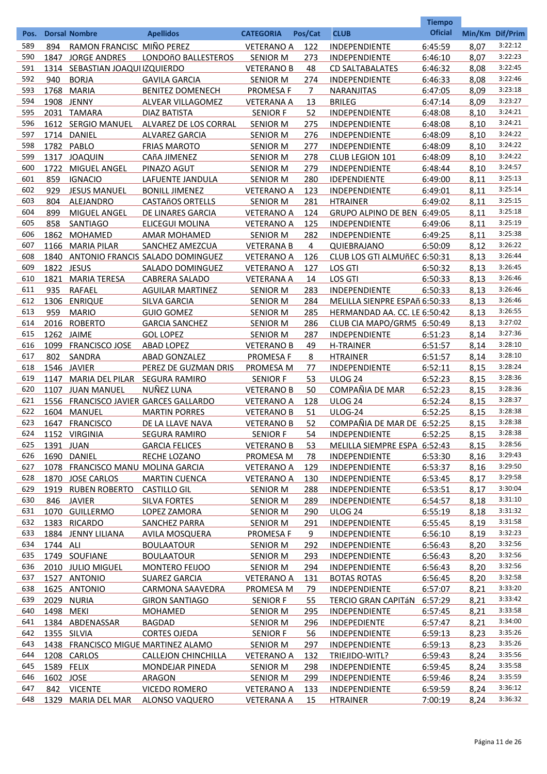|      |            |                                     |                                         |                   |            |                               | <b>Tiempo</b>  |                 |         |
|------|------------|-------------------------------------|-----------------------------------------|-------------------|------------|-------------------------------|----------------|-----------------|---------|
| Pos. |            | <b>Dorsal Nombre</b>                | <b>Apellidos</b>                        | <b>CATEGORIA</b>  | Pos/Cat    | <b>CLUB</b>                   | <b>Oficial</b> | Min/Km Dif/Prim |         |
| 589  | 894        | RAMON FRANCISC MIÑO PEREZ           |                                         | <b>VETERANO A</b> | 122        | INDEPENDIENTE                 | 6:45:59        | 8,07            | 3:22:12 |
| 590  | 1847       | <b>JORGE ANDRES</b>                 | LONDOñO BALLESTEROS                     | <b>SENIOR M</b>   | 273        | INDEPENDIENTE                 | 6:46:10        | 8,07            | 3:22:23 |
| 591  |            | 1314 SEBASTIAN JOAQUI IZQUIERDO     |                                         | <b>VETERANO B</b> | 48         | <b>CD SALTABALATES</b>        | 6:46:32        | 8,08            | 3:22:45 |
| 592  | 940        | <b>BORJA</b>                        | <b>GAVILA GARCIA</b>                    | <b>SENIOR M</b>   | 274        | INDEPENDIENTE                 | 6:46:33        | 8,08            | 3:22:46 |
| 593  |            | 1768 MARIA                          | <b>BENITEZ DOMENECH</b>                 | <b>PROMESA F</b>  | 7          | <b>NARANJITAS</b>             | 6:47:05        | 8,09            | 3:23:18 |
| 594  |            | 1908 JENNY                          | ALVEAR VILLAGOMEZ                       | <b>VETERANA A</b> | 13         | <b>BRILEG</b>                 | 6:47:14        | 8,09            | 3:23:27 |
| 595  |            | 2031 TAMARA                         | <b>DIAZ BATISTA</b>                     | <b>SENIOR F</b>   | 52         | INDEPENDIENTE                 | 6:48:08        | 8,10            | 3:24:21 |
| 596  |            | 1612 SERGIO MANUEL                  | ALVAREZ DE LOS CORRAL                   | <b>SENIOR M</b>   | 275        | INDEPENDIENTE                 | 6:48:08        | 8,10            | 3:24:21 |
| 597  |            | 1714 DANIEL                         | <b>ALVAREZ GARCIA</b>                   | <b>SENIOR M</b>   | 276        | INDEPENDIENTE                 | 6:48:09        | 8,10            | 3:24:22 |
| 598  |            | 1782 PABLO                          | <b>FRIAS MAROTO</b>                     | <b>SENIOR M</b>   | 277        | INDEPENDIENTE                 | 6:48:09        | 8,10            | 3:24:22 |
| 599  |            | 1317 JOAQUIN                        | CAñA JIMENEZ                            | <b>SENIOR M</b>   | 278        | CLUB LEGION 101               | 6:48:09        | 8,10            | 3:24:22 |
| 600  | 1722       | MIGUEL ANGEL                        | PINAZO AGUT                             | <b>SENIOR M</b>   | 279        | INDEPENDIENTE                 | 6:48:44        | 8,10            | 3:24:57 |
| 601  | 859        | <b>IGNACIO</b>                      | LAFUENTE JANDULA                        | <b>SENIOR M</b>   | 280        | IDEPENDIENTE                  | 6:49:00        | 8,11            | 3:25:13 |
| 602  | 929        | <b>JESUS MANUEL</b>                 | <b>BONILL JIMENEZ</b>                   | <b>VETERANO A</b> | 123        | INDEPENDIENTE                 | 6:49:01        | 8,11            | 3:25:14 |
| 603  | 804        | ALEJANDRO                           | <b>CASTAñOS ORTELLS</b>                 | <b>SENIOR M</b>   | 281        | <b>HTRAINER</b>               | 6:49:02        | 8,11            | 3:25:15 |
| 604  | 899        | MIGUEL ANGEL                        | DE LINARES GARCIA                       | <b>VETERANO A</b> | 124        | GRUPO ALPINO DE BEN 6:49:05   |                | 8,11            | 3:25:18 |
| 605  | 858        | SANTIAGO                            | <b>ELICEGUI MOLINA</b>                  | <b>VETERANO A</b> | 125        | <b>INDEPENDIENTE</b>          | 6:49:06        | 8,11            | 3:25:19 |
| 606  | 1862       | <b>MOHAMED</b>                      | <b>AMAR MOHAMED</b>                     | <b>SENIOR M</b>   | 282        | INDEPENDIENTE                 | 6:49:25        | 8,11            | 3:25:38 |
| 607  | 1166       | <b>MARIA PILAR</b>                  | SANCHEZ AMEZCUA                         | <b>VETERANA B</b> | 4          | QUIEBRAJANO                   | 6:50:09        | 8,12            | 3:26:22 |
| 608  | 1840       |                                     | ANTONIO FRANCIS SALADO DOMINGUEZ        | <b>VETERANO A</b> | 126        | CLUB LOS GTI ALMUÑEC 6:50:31  |                | 8,13            | 3:26:44 |
| 609  | 1822 JESUS |                                     | SALADO DOMINGUEZ                        | <b>VETERANO A</b> | 127        | LOS GTI                       | 6:50:32        | 8,13            | 3:26:45 |
| 610  | 1821       | <b>MARIA TERESA</b>                 | <b>CABRERA SALADO</b>                   | <b>VETERANA A</b> | 14         | LOS GTI                       | 6:50:33        | 8,13            | 3:26:46 |
| 611  | 935        | <b>RAFAEL</b>                       | <b>AGUILAR MARTINEZ</b>                 | <b>SENIOR M</b>   | 283        | INDEPENDIENTE                 | 6:50:33        | 8,13            | 3:26:46 |
| 612  | 1306       | <b>ENRIQUE</b>                      | SILVA GARCIA                            | <b>SENIOR M</b>   | 284        | MELILLA SIENPRE ESPAñ 6:50:33 |                | 8,13            | 3:26:46 |
| 613  | 959        | <b>MARIO</b>                        | <b>GUIO GOMEZ</b>                       | <b>SENIOR M</b>   | 285        | HERMANDAD AA. CC. LE 6:50:42  |                | 8,13            | 3:26:55 |
| 614  | 2016       | <b>ROBERTO</b>                      | <b>GARCIA SANCHEZ</b>                   | <b>SENIOR M</b>   | 286        | CLUB CIA MAPO/GRM5 6:50:49    |                | 8,13            | 3:27:02 |
| 615  |            | 1262 JAIME                          | <b>GOL LOPEZ</b>                        | <b>SENIOR M</b>   | 287        | INDEPENDIENTE                 | 6:51:23        | 8,14            | 3:27:36 |
| 616  | 1099       | <b>FRANCISCO JOSE</b>               | <b>ABAD LOPEZ</b>                       | <b>VETERANO B</b> | 49         | <b>H-TRAINER</b>              | 6:51:57        | 8,14            | 3:28:10 |
| 617  | 802        | SANDRA                              | ABAD GONZALEZ                           | PROMESA F         | 8          | <b>HTRAINER</b>               | 6:51:57        | 8,14            | 3:28:10 |
| 618  | 1546       | <b>JAVIER</b>                       | PEREZ DE GUZMAN DRIS                    | PROMESA M         | 77         | INDEPENDIENTE                 | 6:52:11        | 8,15            | 3:28:24 |
| 619  | 1147       | MARIA DEL PILAR                     | <b>SEGURA RAMIRO</b>                    | <b>SENIOR F</b>   | 53         | <b>ULOG 24</b>                | 6:52:23        | 8,15            | 3:28:36 |
| 620  | 1107       | <b>JUAN MANUEL</b>                  | <u>NUÑEZ LUNA</u>                       | <b>VETERANO B</b> | 50         | COMPAÑIA DE MAR               | 6:52:23        | 8,15            | 3:28:36 |
| 621  | 1556       |                                     | <b>FRANCISCO JAVIER GARCES GALLARDO</b> | <b>VETERANO A</b> | 128        | <b>ULOG 24</b>                | 6:52:24        | 8,15            | 3:28:37 |
| 622  | 1604       | <b>MANUEL</b>                       | <b>MARTIN PORRES</b>                    | <b>VETERANO B</b> | 51         | ULOG-24                       | 6:52:25        | 8,15            | 3:28:38 |
| 623  | 1647       | <b>FRANCISCO</b>                    | DE LA LLAVE NAVA                        | <b>VETERANO B</b> | 52         | COMPAÑIA DE MAR DE 6:52:25    |                | 8,15            | 3:28:38 |
| 624  |            | 1152 VIRGINIA                       | <b>SEGURA RAMIRO</b>                    | <b>SENIOR F</b>   | <u>54</u>  | <b>INDEPENDIENTE</b>          | 6:52:25        | 8,15            | 3:28:38 |
| 625  | 1391 JUAN  |                                     | <b>GARCIA FELICES</b>                   | <b>VETERANO B</b> | 53         | MELILLA SIEMPRE ESPA 6:52:43  |                | 8,15            | 3:28:56 |
| 626  |            | 1690 DANIEL                         | <b>RECHE LOZANO</b>                     | <b>PROMESA M</b>  | 78         | <b>INDEPENDIENTE</b>          | 6:53:30        | 8,16            | 3:29:43 |
| 627  |            | 1078 FRANCISCO MANU MOLINA GARCIA   |                                         | <b>VETERANO A</b> | 129        | INDEPENDIENTE                 | 6:53:37        | 8,16            | 3:29:50 |
| 628  | 1870       | <b>JOSE CARLOS</b>                  | <b>MARTIN CUENCA</b>                    | <b>VETERANO A</b> | 130        | <b>INDEPENDIENTE</b>          | 6:53:45        | 8,17            | 3:29:58 |
| 629  |            | 1919 RUBEN ROBERTO                  | <b>CASTILLO GIL</b>                     | <b>SENIOR M</b>   | 288        | <b>INDEPENDIENTE</b>          | 6:53:51        | 8,17            | 3:30:04 |
| 630  | 846        | <b>JAVIER</b>                       | <b>SILVA FORTES</b>                     | <b>SENIOR M</b>   | 289        | <b>INDEPENDIENTE</b>          | 6:54:57        | 8,18            | 3:31:10 |
| 631  |            | 1070 GUILLERMO                      | LOPEZ ZAMORA                            | <b>SENIOR M</b>   | <u>290</u> | <b>ULOG 24</b>                | 6:55:19        | 8,18            | 3:31:32 |
| 632  |            | 1383 RICARDO                        | <b>SANCHEZ PARRA</b>                    | <b>SENIOR M</b>   | 291        | INDEPENDIENTE                 | 6:55:45        | 8,19            | 3:31:58 |
| 633  |            | 1884 JENNY LILIANA                  | <b>AVILA MOSQUERA</b>                   | <b>PROMESA F</b>  | 9          | <b>INDEPENDIENTE</b>          | 6:56:10        | 8,19            | 3:32:23 |
| 634  | 1744 ALI   |                                     | <b>BOULAATOUR</b>                       | <b>SENIOR M</b>   | 292        | <b>INDEPENDIENTE</b>          | 6:56:43        | 8,20            | 3:32:56 |
| 635  |            | 1749 SOUFIANE                       | <b>BOULAATOUR</b>                       | <b>SENIOR M</b>   | 293        | <b>INDEPENDIENTE</b>          | 6:56:43        | 8,20            | 3:32:56 |
| 636  |            | 2010 JULIO MIGUEL                   | <b>MONTERO FEIJOO</b>                   | <b>SENIOR M</b>   | 294        | <b>INDEPENDIENTE</b>          | 6:56:43        | 8,20            | 3:32:56 |
| 637  |            | 1527 ANTONIO                        | <b>SUAREZ GARCIA</b>                    | <b>VETERANO A</b> | <u>131</u> | <b>BOTAS ROTAS</b>            | 6:56:45        | 8,20            | 3:32:58 |
| 638  |            | 1625 ANTONIO                        | <b>CARMONA SAAVEDRA</b>                 | <b>PROMESA M</b>  | <u>79</u>  | <b>INDEPENDIENTE</b>          | 6:57:07        | 8,21            | 3:33:20 |
| 639  |            | <b>2029 NURIA</b>                   | <b>GIRON SANTIAGO</b>                   | <b>SENIOR F</b>   | 55         | TERCIO GRAN CAPITÁN 6:57:29   |                | 8,21            | 3:33:42 |
| 640  | 1498 MEKI  |                                     | <b>MOHAMED</b>                          | <b>SENIOR M</b>   | <u>295</u> | <b>INDEPENDIENTE</b>          | 6:57:45        | 8,21            | 3:33:58 |
| 641  |            | 1384 ABDENASSAR                     | <b>BAGDAD</b>                           | <b>SENIOR M</b>   | <u>296</u> | <b>INDEPEDIENTE</b>           | 6:57:47        | 8,21            | 3:34:00 |
| 642  |            | 1355 SILVIA                         | <b>CORTES OJEDA</b>                     | <b>SENIOR F</b>   | 56         | <b>INDEPENDIENTE</b>          | 6:59:13        | 8,23            | 3:35:26 |
| 643  |            | 1438 FRANCISCO MIGUE MARTINEZ ALAMO |                                         | <b>SENIOR M</b>   | <u>297</u> | <b>INDEPENDIENTE</b>          | 6:59:13        | 8,23            | 3:35:26 |
| 644  |            | 1208 CARLOS                         | CALLEJON CHINCHILLA                     | <b>VETERANO A</b> | <u>132</u> | TRIEJIDO-WITL?                | 6:59:43        | 8,24            | 3:35:56 |
| 645  | 1589 FELIX |                                     | <b>MONDEJAR PINEDA</b>                  | <b>SENIOR M</b>   | <u>298</u> | <b>INDEPENDIENTE</b>          | 6:59:45        | 8,24            | 3:35:58 |
| 646  | 1602 JOSE  |                                     | ARAGON                                  | <b>SENIOR M</b>   | 299        | <b>INDEPENDIENTE</b>          | 6:59:46        | 8,24            | 3:35:59 |
| 647  |            | 842 VICENTE                         | <b>VICEDO ROMERO</b>                    | <b>VETERANO A</b> | <u>133</u> | <b>INDEPENDIENTE</b>          | 6:59:59        | 8,24            | 3:36:12 |
| 648  | 1329       | <b>MARIA DEL MAR</b>                | <b>ALONSO VAQUERO</b>                   | <b>VETERANA A</b> | 15         | <b>HTRAINER</b>               | 7:00:19        | 8,24            | 3:36:32 |
|      |            |                                     |                                         |                   |            |                               |                |                 |         |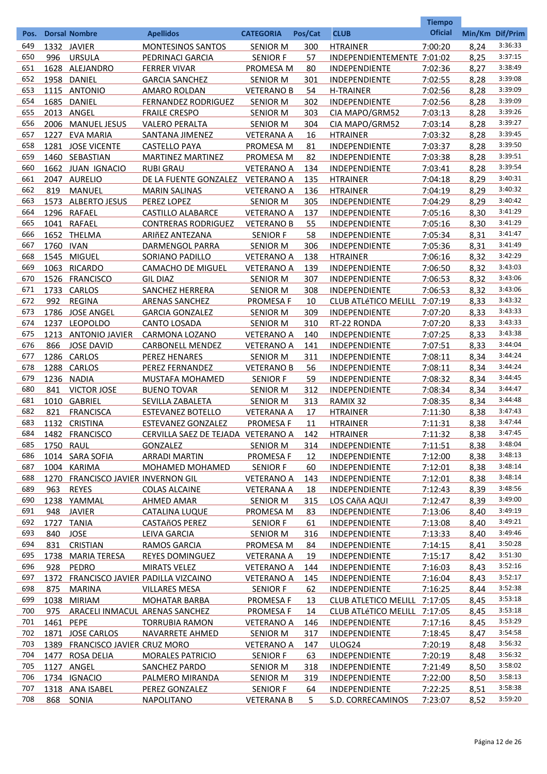|            |           |                                        |                                                                 |                                       |            |                                              | <b>Tiempo</b>      |              |                    |
|------------|-----------|----------------------------------------|-----------------------------------------------------------------|---------------------------------------|------------|----------------------------------------------|--------------------|--------------|--------------------|
| Pos.       |           | <b>Dorsal Nombre</b>                   | <b>Apellidos</b>                                                | <b>CATEGORIA</b>                      | Pos/Cat    | <b>CLUB</b>                                  | <b>Oficial</b>     |              | Min/Km Dif/Prim    |
| 649        |           | 1332 JAVIER                            | <b>MONTESINOS SANTOS</b>                                        | <b>SENIOR M</b>                       | 300        | <b>HTRAINER</b>                              | 7:00:20            | 8,24         | 3:36:33            |
| 650        | 996       | <b>URSULA</b>                          | PEDRINACI GARCIA                                                | <b>SENIOR F</b>                       | 57         | INDEPENDIENTEMENTE 7:01:02                   |                    | 8,25         | 3:37:15            |
| 651        |           | 1628 ALEJANDRO                         | <b>FERRER VIVAR</b>                                             | PROMESA M                             | 80         | <b>INDEPENDIENTE</b>                         | 7:02:36            | 8,27         | 3:38:49            |
| 652        |           | 1958 DANIEL                            | <b>GARCIA SANCHEZ</b>                                           | <b>SENIOR M</b>                       | 301        | <b>INDEPENDIENTE</b>                         | 7:02:55            | 8,28         | 3:39:08            |
| 653        |           | 1115 ANTONIO                           | AMARO ROLDAN                                                    | <b>VETERANO B</b>                     | 54         | <b>H-TRAINER</b>                             | 7:02:56            | 8,28         | 3:39:09            |
| 654        | 1685      | DANIEL                                 | <b>FERNANDEZ RODRIGUEZ</b>                                      | <b>SENIOR M</b>                       | 302        | <b>INDEPENDIENTE</b>                         | 7:02:56            | 8,28         | 3:39:09            |
| 655        |           | 2013 ANGEL                             | <b>FRAILE CRESPO</b>                                            | <b>SENIOR M</b>                       | 303        | CIA MAPO/GRM52                               | 7:03:13            | 8,28         | 3:39:26            |
| 656        | 2006      | <b>MANUEL JESUS</b>                    | <b>VALERO PERALTA</b>                                           | <b>SENIOR M</b>                       | 304        | CIA MAPO/GRM52                               | 7:03:14            | 8,28         | 3:39:27<br>3:39:45 |
| 657        | 1227      | <b>EVA MARIA</b>                       | SANTANA JIMENEZ                                                 | <b>VETERANA A</b>                     | 16         | <b>HTRAINER</b>                              | 7:03:32            | 8,28         | 3:39:50            |
| 658<br>659 |           | 1281 JOSE VICENTE<br>1460 SEBASTIAN    | <b>CASTELLO PAYA</b><br><b>MARTINEZ MARTINEZ</b>                | <b>PROMESA M</b>                      | 81<br>82   | <b>INDEPENDIENTE</b>                         | 7:03:37            | 8,28<br>8,28 | 3:39:51            |
| 660        |           | 1662 JUAN IGNACIO                      | <b>RUBI GRAU</b>                                                | <b>PROMESA M</b><br><b>VETERANO A</b> | 134        | <b>INDEPENDIENTE</b><br><b>INDEPENDIENTE</b> | 7:03:38<br>7:03:41 | 8,28         | 3:39:54            |
| 661        |           | 2047 AURELIO                           | DE LA FUENTE GONZALEZ                                           | <b>VETERANO A</b>                     | 135        | <b>HTRAINER</b>                              | 7:04:18            | 8,29         | 3:40:31            |
| 662        | 819       | <b>MANUEL</b>                          | <b>MARIN SALINAS</b>                                            | <b>VETERANO A</b>                     | 136        | <b>HTRAINER</b>                              | 7:04:19            | 8,29         | 3:40:32            |
| 663        | 1573      | <b>ALBERTO JESUS</b>                   | PEREZ LOPEZ                                                     | <b>SENIOR M</b>                       | 305        | <b>INDEPENDIENTE</b>                         | 7:04:29            | 8,29         | 3:40:42            |
| 664        | 1296      | <b>RAFAEL</b>                          | <b>CASTILLO ALABARCE</b>                                        | <b>VETERANO A</b>                     | 137        | INDEPENDIENTE                                | 7:05:16            | 8,30         | 3:41:29            |
| 665        | 1041      | <b>RAFAEL</b>                          | <b>CONTRERAS RODRIGUEZ</b>                                      | <b>VETERANO B</b>                     | 55         | <b>INDEPENDIENTE</b>                         | 7:05:16            | 8,30         | 3:41:29            |
| 666        | 1652      | THELMA                                 | ARIñEZ ANTEZANA                                                 | <b>SENIOR F</b>                       | 58         | INDEPENDIENTE                                | 7:05:34            | 8,31         | 3:41:47            |
| 667        | 1760      | IVAN                                   | DARMENGOL PARRA                                                 | <b>SENIOR M</b>                       | 306        | INDEPENDIENTE                                | 7:05:36            | 8,31         | 3:41:49            |
| 668        | 1545      | <b>MIGUEL</b>                          | SORIANO PADILLO                                                 | <b>VETERANO A</b>                     | 138        | <b>HTRAINER</b>                              | 7:06:16            | 8,32         | 3:42:29            |
| 669        | 1063      | <b>RICARDO</b>                         | <b>CAMACHO DE MIGUEL</b>                                        | <b>VETERANO A</b>                     | 139        | INDEPENDIENTE                                | 7:06:50            | 8,32         | 3:43:03            |
| 670        | 1526      | <b>FRANCISCO</b>                       | <b>GIL DIAZ</b>                                                 | <b>SENIOR M</b>                       | 307        | <b>INDEPENDIENTE</b>                         | 7:06:53            | 8,32         | 3:43:06            |
| 671        |           | 1733 CARLOS                            | <b>SANCHEZ HERRERA</b>                                          | <b>SENIOR M</b>                       | <u>308</u> | <b>INDEPENDIENTE</b>                         | 7:06:53            | 8,32         | 3:43:06            |
| 672        | 992       | <b>REGINA</b>                          | <b>ARENAS SANCHEZ</b>                                           | <b>PROMESA F</b>                      | <u>10</u>  | <b>CLUB ATLÉTICO MELILL</b>                  | 7:07:19            | 8,33         | 3:43:32            |
| 673        | 1786      | <b>JOSE ANGEL</b>                      | <b>GARCIA GONZALEZ</b>                                          | <b>SENIOR M</b>                       | 309        | <b>INDEPENDIENTE</b>                         | 7:07:20            | 8,33         | 3:43:33            |
| 674        |           | 1237 LEOPOLDO                          | <b>CANTO LOSADA</b>                                             | <b>SENIOR M</b>                       | 310        | RT-22 RONDA                                  | 7:07:20            | 8,33         | 3:43:33            |
| 675        |           | 1213 ANTONIO JAVIER                    | <b>CARMONA LOZANO</b>                                           | <b>VETERANO A</b>                     | 140        | <b>INDEPENDIENTE</b>                         | 7:07:25            | 8,33         | 3:43:38            |
| 676        | 866       | <b>JOSE DAVID</b>                      | <b>CARBONELL MENDEZ</b>                                         | <b>VETERANO A</b>                     | 141        | <b>INDEPENDIENTE</b>                         | 7:07:51            | 8,33         | 3:44:04            |
| 677        |           | 1286 CARLOS                            | <b>PEREZ HENARES</b>                                            | <b>SENIOR M</b>                       | 311        | <b>INDEPENDIENTE</b>                         | 7:08:11            | 8,34         | 3:44:24            |
| 678        |           | 1288 CARLOS                            | PEREZ FERNANDEZ                                                 | <b>VETERANO B</b>                     | <u>56</u>  | <b>INDEPENDIENTE</b>                         | 7:08:11            | 8,34         | 3:44:24            |
| 679        |           | 1236 NADIA                             | <b>MUSTAFA MOHAMED</b>                                          | SENIOR F                              | 59         | <b>INDEPENDIENTE</b>                         | 7:08:32            | 8,34         | 3:44:45            |
| 680        | 841       | <b>VICTOR JOSE</b>                     | <b>BUENO TOVAR</b>                                              | <b>SENIOR M</b>                       | 312        | INDEPENDIENTE                                | 7:08:34            | 8,34         | 3:44:47            |
| 681        | 1010      | <b>GABRIEL</b>                         | SEVILLA ZABALETA                                                | <b>SENIOR M</b>                       | 313        | RAMIX 32                                     | 7:08:35            | 8,34         | 3:44:48<br>3:47:43 |
| 682<br>683 | 821       | <b>FRANCISCA</b>                       | <b>ESTEVANEZ BOTELLO</b>                                        | <b>VETERANA A</b>                     | 17         | <b>HTRAINER</b>                              | 7:11:30            | 8,38         | 3:47:44            |
| 684        |           | 1132 CRISTINA                          | <b>ESTEVANEZ GONZALEZ</b><br>CERVILLA SAEZ DE TEJADA VETERANO A | <b>PROMESA F</b>                      | <u>11</u>  | <b>HTRAINER</b><br><b>HTRAINER</b>           | 7:11:31<br>7:11:32 | 8,38         | 3:47:45            |
| 685        | 1750 RAUL | 1482 FRANCISCO                         | <b>GONZALEZ</b>                                                 | <b>SENIOR M</b>                       | 142<br>314 | <b>INDEPENDIENTE</b>                         | 7:11:51            | 8,38<br>8,38 | 3:48:04            |
| 686        |           | 1014 SARA SOFIA                        | <b>ARRADI MARTIN</b>                                            | <b>PROMESA F</b>                      | 12         | <b>INDEPENDIENTE</b>                         | 7:12:00            | 8,38         | 3:48:13            |
| 687        |           | 1004 KARIMA                            | MOHAMED MOHAMED                                                 | <b>SENIOR F</b>                       | 60         | <b>INDEPENDIENTE</b>                         | 7:12:01            | 8,38         | 3:48:14            |
| 688        |           | 1270 FRANCISCO JAVIER INVERNON GIL     |                                                                 | <b>VETERANO A</b>                     | 143        | <b>INDEPENDIENTE</b>                         | 7:12:01            | 8,38         | 3:48:14            |
| 689        | 963       | <b>REYES</b>                           | <b>COLAS ALCAINE</b>                                            | <b>VETERANA A</b>                     | 18         | <b>INDEPENDIENTE</b>                         | 7:12:43            | 8,39         | 3:48:56            |
| 690        |           | 1238 YAMMAL                            | AHMED AMAR                                                      | <b>SENIOR M</b>                       | 315        | LOS CAñA AQUI                                | 7:12:47            | 8,39         | 3:49:00            |
| 691        | 948       | <b>JAVIER</b>                          | <b>CATALINA LUQUE</b>                                           | PROMESA M                             | 83         | <b>INDEPENDIENTE</b>                         | 7:13:06            | 8,40         | 3:49:19            |
| 692        |           | 1727 TANIA                             | <b>CASTAñOS PEREZ</b>                                           | <b>SENIOR F</b>                       | 61         | <b>INDEPENDIENTE</b>                         | 7:13:08            | 8,40         | 3:49:21            |
| 693        | 840       | <b>JOSE</b>                            | <b>LEIVA GARCIA</b>                                             | <b>SENIOR M</b>                       | 316        | <b>INDEPENDIENTE</b>                         | 7:13:33            | 8,40         | 3:49:46            |
| 694        | 831       | <b>CRISTIAN</b>                        | <b>RAMOS GARCIA</b>                                             | <b>PROMESA M</b>                      | 84         | <b>INDEPENDIENTE</b>                         | 7:14:15            | 8,41         | 3:50:28            |
| 695        |           | 1738 MARIA TERESA                      | <b>REYES DOMINGUEZ</b>                                          | <b>VETERANA A</b>                     | 19         | <b>INDEPENDIENTE</b>                         | 7:15:17            | 8.42         | 3:51:30            |
| 696        | 928       | PEDRO                                  | <b>MIRATS VELEZ</b>                                             | <b>VETERANO A</b>                     | 144        | <b>INDEPENDIENTE</b>                         | 7:16:03            | 8,43         | 3:52:16            |
| 697        |           | 1372 FRANCISCO JAVIER PADILLA VIZCAINO |                                                                 | <b>VETERANO A</b>                     | 145        | <b>INDEPENDIENTE</b>                         | 7:16:04            | 8,43         | 3:52:17            |
| 698        | 875       | <b>MARINA</b>                          | <b>VILLARES MESA</b>                                            | <b>SENIOR F</b>                       | 62         | <b>INDEPENDIENTE</b>                         | 7:16:25            | 8,44         | 3:52:38            |
| 699        |           | 1038 MIRIAM                            | <b>MOHATAR BARBA</b>                                            | <b>PROMESA F</b>                      | 13         | CLUB ATLETICO MELILL 7:17:05                 |                    | 8,45         | 3:53:18            |
| 700        | 975       | ARACELI INMACUL ARENAS SANCHEZ         |                                                                 | <b>PROMESA F</b>                      | 14         | CLUB ATLÉTICO MELILL 7:17:05                 |                    | 8,45         | 3:53:18            |
| 701        | 1461 PEPE |                                        | TORRUBIA RAMON                                                  | <b>VETERANO A</b>                     | 146        | <b>INDEPENDIENTE</b>                         | 7:17:16            | 8,45         | 3:53:29            |
| 702        | 1871      | <b>JOSE CARLOS</b>                     | NAVARRETE AHMED                                                 | <b>SENIOR M</b>                       | 317        | <b>INDEPENDIENTE</b>                         | 7:18:45            | 8,47         | 3:54:58            |
| 703        | 1389      | FRANCISCO JAVIER CRUZ MORO             |                                                                 | <b>VETERANO A</b>                     | 147        | ULOG24                                       | 7:20:19            | 8,48         | 3:56:32            |
| 704        | 1477      | ROSA DELIA                             | <b>MORALES PATRICIO</b>                                         | <b>SENIOR F</b>                       | 63         | <b>INDEPENDIENTE</b>                         | 7:20:19            | 8,48         | 3:56:32<br>3:58:02 |
| 705<br>706 |           | 1127 ANGEL<br>1734 IGNACIO             | <b>SANCHEZ PARDO</b><br>PALMERO MIRANDA                         | <b>SENIOR M</b>                       | 318<br>319 | <b>INDEPENDIENTE</b>                         | 7:21:49<br>7:22:00 | 8,50<br>8,50 | 3:58:13            |
| 707        |           | 1318 ANA ISABEL                        | PEREZ GONZALEZ                                                  | <b>SENIOR M</b><br><b>SENIOR F</b>    | 64         | <b>INDEPENDIENTE</b><br><b>INDEPENDIENTE</b> | 7:22:25            | 8,51         | 3:58:38            |
| 708        | 868       | SONIA                                  | <b>NAPOLITANO</b>                                               | <b>VETERANA B</b>                     | 5.         | S.D. CORRECAMINOS                            | 7:23:07            | 8,52         | 3:59:20            |
|            |           |                                        |                                                                 |                                       |            |                                              |                    |              |                    |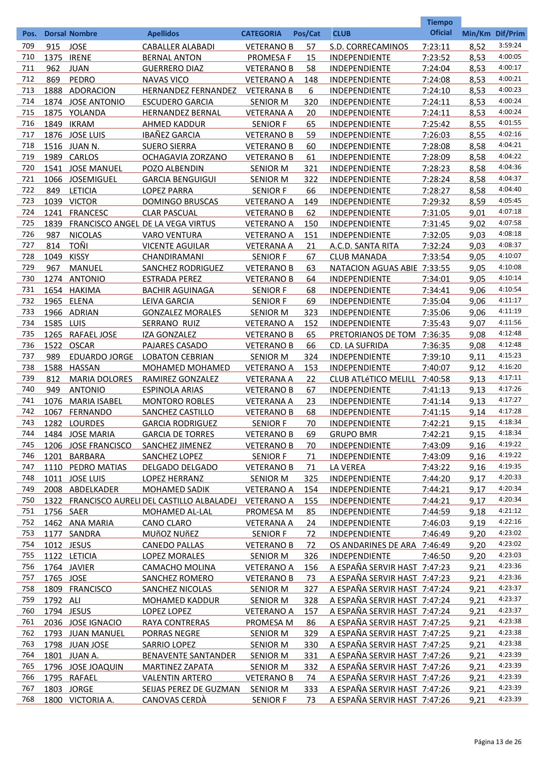|            |           |                                |                                              |                                      |            |                                       | <b>Tiempo</b><br><b>Oficial</b> |              |                    |
|------------|-----------|--------------------------------|----------------------------------------------|--------------------------------------|------------|---------------------------------------|---------------------------------|--------------|--------------------|
| Pos.       |           | <b>Dorsal Nombre</b>           | <b>Apellidos</b>                             | <b>CATEGORIA</b>                     | Pos/Cat    | <b>CLUB</b>                           |                                 |              | Min/Km Dif/Prim    |
| 709        | 915       | <b>JOSE</b>                    | <b>CABALLER ALABADI</b>                      | <b>VETERANO B</b>                    | 57         | S.D. CORRECAMINOS                     | 7:23:11                         | 8,52         | 3:59:24            |
| 710        | 1375      | <b>IRENE</b>                   | <b>BERNAL ANTON</b>                          | <b>PROMESA F</b>                     | 15         | <b>INDEPENDIENTE</b>                  | 7:23:52                         | 8,53         | 4:00:05            |
| 711        | 962       | <b>JUAN</b>                    | <b>GUERRERO DIAZ</b>                         | <b>VETERANO B</b>                    | 58         | INDEPENDIENTE                         | 7:24:04                         | 8,53         | 4:00:17            |
| 712        | 869       | PEDRO                          | <b>NAVAS VICO</b>                            | <b>VETERANO A</b>                    | 148        | <b>INDEPENDIENTE</b>                  | 7:24:08                         | 8,53         | 4:00:21            |
| 713        |           | 1888 ADORACION                 | <b>HERNANDEZ FERNANDEZ</b>                   | <b>VETERANA B</b>                    | 6          | <b>INDEPENDIENTE</b>                  | 7:24:10                         | 8,53         | 4:00:23            |
| 714        |           | 1874 JOSE ANTONIO              | <b>ESCUDERO GARCIA</b>                       | <b>SENIOR M</b>                      | 320        | INDEPENDIENTE                         | 7:24:11                         | 8,53         | 4:00:24            |
| 715        |           | 1875 YOLANDA                   | <b>HERNANDEZ BERNAL</b>                      | <b>VETERANA A</b>                    | 20         | <b>INDEPENDIENTE</b>                  | 7:24:11                         | 8,53         | 4:00:24<br>4:01:55 |
| 716        |           | 1849 IKRAM                     | AHMED KADDUR<br><b>IBAÑEZ GARCIA</b>         | <b>SENIOR F</b>                      | 65         | INDEPENDIENTE<br><b>INDEPENDIENTE</b> | 7:25:42                         | 8,55         | 4:02:16            |
| 717<br>718 |           | 1876 JOSE LUIS<br>1516 JUAN N. |                                              | <b>VETERANO B</b>                    | 59         | <b>INDEPENDIENTE</b>                  | 7:26:03                         | 8,55         | 4:04:21            |
| 719        |           | 1989 CARLOS                    | <b>SUERO SIERRA</b><br>OCHAGAVIA ZORZANO     | <b>VETERANO B</b>                    | 60<br>61   | INDEPENDIENTE                         | 7:28:08                         | 8,58<br>8,58 | 4:04:22            |
| 720        |           | 1541 JOSE MANUEL               | POZO ALBENDIN                                | <b>VETERANO B</b><br><b>SENIOR M</b> | 321        | INDEPENDIENTE                         | 7:28:09<br>7:28:23              | 8,58         | 4:04:36            |
| 721        |           | 1066 JOSEMIGUEL                | <b>GARCIA BENGUIGUI</b>                      |                                      | 322        | <b>INDEPENDIENTE</b>                  | 7:28:24                         | 8,58         | 4:04:37            |
| 722        | 849       | LETICIA                        | <b>LOPEZ PARRA</b>                           | <b>SENIOR M</b><br><b>SENIOR F</b>   | 66         | <b>INDEPENDIENTE</b>                  | 7:28:27                         | 8,58         | 4:04:40            |
| 723        |           | 1039 VICTOR                    | <b>DOMINGO BRUSCAS</b>                       | <b>VETERANO A</b>                    | 149        | INDEPENDIENTE                         | 7:29:32                         | 8,59         | 4:05:45            |
| 724        | 1241      | <b>FRANCESC</b>                | <b>CLAR PASCUAL</b>                          | <b>VETERANO B</b>                    | 62         | INDEPENDIENTE                         | 7:31:05                         | 9,01         | 4:07:18            |
| 725        | 1839      |                                | FRANCISCO ANGEL DE LA VEGA VIRTUS            | <b>VETERANO A</b>                    | 150        | INDEPENDIENTE                         | 7:31:45                         | 9,02         | 4:07:58            |
| 726        | 987       | <b>NICOLAS</b>                 | <b>VARO VENTURA</b>                          | <b>VETERANO A</b>                    | 151        | <b>INDEPENDIENTE</b>                  | 7:32:05                         | 9,03         | 4:08:18            |
| 727        | 814       | TOÑI                           | <b>VICENTE AGUILAR</b>                       | <b>VETERANA A</b>                    | 21         | A.C.D. SANTA RITA                     | 7:32:24                         | 9,03         | 4:08:37            |
| 728        | 1049      | <b>KISSY</b>                   | CHANDIRAMANI                                 | <b>SENIOR F</b>                      | 67         | <b>CLUB MANADA</b>                    | 7:33:54                         | 9,05         | 4:10:07            |
| 729        | 967       | <b>MANUEL</b>                  | <b>SANCHEZ RODRIGUEZ</b>                     | <b>VETERANO B</b>                    | 63         | NATACION AGUAS ABIE 7:33:55           |                                 | 9,05         | 4:10:08            |
| 730        |           | 1274 ANTONIO                   | <b>ESTRADA PEREZ</b>                         | <b>VETERANO B</b>                    | 64         | INDEPENDIENTE                         | 7:34:01                         | 9,05         | 4:10:14            |
| 731        |           | 1654 HAKIMA                    | <b>BACHIR AGUINAGA</b>                       | <b>SENIOR F</b>                      | 68         | <b>INDEPENDIENTE</b>                  | 7:34:41                         | 9,06         | 4:10:54            |
| 732        |           | 1965 ELENA                     | <b>LEIVA GARCIA</b>                          | <b>SENIOR F</b>                      | 69         | <b>INDEPENDIENTE</b>                  | 7:35:04                         | 9,06         | 4:11:17            |
| 733        |           | 1966 ADRIAN                    | <b>GONZALEZ MORALES</b>                      | <b>SENIOR M</b>                      | 323        | INDEPENDIENTE                         | 7:35:06                         | 9,06         | 4:11:19            |
| 734        | 1585 LUIS |                                | SERRANO RUIZ                                 | <b>VETERANO A</b>                    | <u>152</u> | INDEPENDIENTE                         | 7:35:43                         | 9,07         | 4:11:56            |
| 735        |           | 1265 RAFAEL JOSE               | <b>IZA GONZALEZ</b>                          | <b>VETERANO B</b>                    | <u>65</u>  | PRETORIANOS DE TOM 7:36:35            |                                 | 9,08         | 4:12:48            |
| 736        | 1522      | <b>OSCAR</b>                   | PAJARES CASADO                               | <b>VETERANO B</b>                    | 66         | CD. LA SUFRIDA                        | 7:36:35                         | 9,08         | 4:12:48            |
| 737        | 989       | <b>EDUARDO JORGE</b>           | <b>LOBATON CEBRIAN</b>                       | <b>SENIOR M</b>                      | 324        | <b>INDEPENDIENTE</b>                  | 7:39:10                         | 9,11         | 4:15:23            |
| 738        | 1588      | <b>HASSAN</b>                  | MOHAMED MOHAMED                              | <b>VETERANO A</b>                    | <u>153</u> | <b>INDEPENDIENTE</b>                  | 7:40:07                         | 9,12         | 4:16:20            |
| 739        | 812       | <b>MARIA DOLORES</b>           | RAMIREZ GONZALEZ                             | <b>VETERANA A</b>                    | <u>22</u>  | CLUB ATLÉTICO MELILL 7:40:58          |                                 | 9,13         | 4:17:11            |
| 740        | 949       | <b>ANTONIO</b>                 | <b>ESPINOLA ARIAS</b>                        | <b>VETERANO B</b>                    | 67         | <b>INDEPENDIENTE</b>                  | 7:41:13                         | 9,13         | 4:17:26            |
| 741        | 1076      | <b>MARIA ISABEL</b>            | <b>MONTORO ROBLES</b>                        | <b>VETERANA A</b>                    | 23         | <b>INDEPENDIENTE</b>                  | 7:41:14                         | 9,13         | 4:17:27            |
| 742        | 1067      | <b>FERNANDO</b>                | SANCHEZ CASTILLO                             | <b>VETERANO B</b>                    | 68         | <b>INDEPENDIENTE</b>                  | 7:41:15                         | 9,14         | 4:17:28            |
| 743        | 1282      | <b>LOURDES</b>                 | <b>GARCIA RODRIGUEZ</b>                      | <b>SENIOR F</b>                      | 70         | INDEPENDIENTE                         | 7:42:21                         | 9,15         | 4:18:34            |
| 744        |           | 1484 JOSE MARIA                | <b>GARCIA DE TORRES</b>                      | <b>VETERANO B</b>                    | 69         | <b>GRUPO BMR</b>                      | 7:42:21                         | 9,15         | 4:18:34            |
| 745        |           | 1206 JOSE FRANCISCO            | SANCHEZ JIMENEZ                              | <b>VETERANO B</b>                    | 70         | INDEPENDIENTE                         | 7:43:09                         | 9,16         | 4:19:22            |
| 746        |           | 1201 BARBARA                   | <b>SANCHEZ LOPEZ</b>                         | <b>SENIOR F</b>                      | 71         | <b>INDEPENDIENTE</b>                  | 7:43:09                         | 9,16         | 4:19:22            |
| 747        |           | 1110 PEDRO MATIAS              | DELGADO DELGADO                              | <b>VETERANO B</b>                    | 71         | <b>LA VEREA</b>                       | 7:43:22                         | 9,16         | 4:19:35            |
| 748        |           | 1011 JOSE LUIS                 | <b>LOPEZ HERRANZ</b>                         | <b>SENIOR M</b>                      | 325        | <b>INDEPENDIENTE</b>                  | 7:44:20                         | 9,17         | 4:20:33            |
| 749        |           | 2008 ABDELKADER                | <b>MOHAMED SADIK</b>                         | <b>VETERANO A</b>                    | 154        | <b>INDEPENDIENTE</b>                  | 7:44:21                         | 9,17         | 4:20:34            |
| 750        |           |                                | 1322 FRANCISCO AURELI DEL CASTILLO ALBALADEJ | <b>VETERANO A</b>                    | 155        | <b>INDEPENDIENTE</b>                  | 7:44:21                         | 9,17         | 4:20:34            |
| 751        | 1756 SAER |                                | MOHAMED AL-LAL                               | PROMESA M                            | 85         | <b>INDEPENDIENTE</b>                  | 7:44:59                         | 9,18         | 4:21:12            |
| 752        |           | 1462 ANA MARIA                 | CANO CLARO                                   | <b>VETERANA A</b>                    | 24         | <b>INDEPENDIENTE</b>                  | 7:46:03                         | 9,19         | 4:22:16            |
| 753        |           | 1177 SANDRA                    | MUñOZ NUñEZ                                  | <b>SENIOR F</b>                      | 72         | INDEPENDIENTE                         | 7:46:49                         | 9,20         | 4:23:02            |
| 754        |           | 1012 JESUS                     | <b>CANEDO PALLAS</b>                         | <b>VETERANO B</b>                    | 72         | OS ANDARINES DE ARA 7:46:49           |                                 | 9,20         | 4:23:02            |
| 755        |           | 1122 LETICIA                   | <b>LOPEZ MORALES</b>                         | <b>SENIOR M</b>                      | 326        | <b>INDEPENDIENTE</b>                  | 7:46:50                         | 9,20         | 4:23:03            |
| 756        |           | 1764 JAVIER                    | <b>CAMACHO MOLINA</b>                        | <b>VETERANO A</b>                    | 156        | A ESPAÑA SERVIR HAST 7:47:23          |                                 | 9,21         | 4:23:36            |
| 757        | 1765 JOSE |                                | SANCHEZ ROMERO                               | <b>VETERANO B</b>                    | 73         | A ESPAÑA SERVIR HAST 7:47:23          |                                 | 9,21         | 4:23:36            |
| 758        |           | 1809 FRANCISCO                 | SANCHEZ NICOLAS                              | <b>SENIOR M</b>                      | 327        | A ESPAÑA SERVIR HAST 7:47:24          |                                 | 9,21         | 4:23:37            |
| 759        | 1792 ALI  |                                | <b>MOHAMED KADDUR</b>                        | <b>SENIOR M</b>                      | 328        | A ESPAÑA SERVIR HAST 7:47:24          |                                 | 9,21         | 4:23:37            |
| 760        |           | 1794 JESUS                     | LOPEZ LOPEZ                                  | <b>VETERANO A</b>                    | 157        | A ESPAÑA SERVIR HAST 7:47:24          |                                 | 9,21         | 4:23:37            |
| 761        |           | 2036 JOSE IGNACIO              | <b>RAYA CONTRERAS</b>                        | PROMESA M                            | 86         | A ESPAÑA SERVIR HAST 7:47:25          |                                 | 9,21         | 4:23:38            |
| 762        |           | 1793 JUAN MANUEL               | <b>PORRAS NEGRE</b>                          | <b>SENIOR M</b>                      | 329        | A ESPAÑA SERVIR HAST 7:47:25          |                                 | 9,21         | 4:23:38            |
| 763        |           | 1798 JUAN JOSE                 | SARRIO LOPEZ                                 | <b>SENIOR M</b>                      | 330        | A ESPAÑA SERVIR HAST 7:47:25          |                                 | 9,21         | 4:23:38            |
| 764        |           | 1801 JUAN A.                   | <b>BENAVENTE SANTANDER</b>                   | <b>SENIOR M</b>                      | 331        | A ESPAÑA SERVIR HAST 7:47:26          |                                 | 9,21         | 4:23:39            |
| 765        |           | 1796 JOSE JOAQUIN              | <b>MARTINEZ ZAPATA</b>                       | <b>SENIOR M</b>                      | 332        | A ESPAÑA SERVIR HAST 7:47:26          |                                 | 9,21         | 4:23:39            |
| 766        |           | 1795 RAFAEL                    | <b>VALENTIN ARTERO</b>                       | <b>VETERANO B</b>                    | 74         | A ESPAÑA SERVIR HAST 7:47:26          |                                 | 9,21         | 4:23:39            |
| 767        |           | 1803 JORGE                     | SEIJAS PEREZ DE GUZMAN                       | <b>SENIOR M</b>                      | 333        | A ESPAÑA SERVIR HAST 7:47:26          |                                 | 9,21         | 4:23:39            |
| 768        |           | 1800 VICTORIA A.               | <b>CANOVAS CERDÀ</b>                         | <b>SENIOR F</b>                      | 73         | A ESPAÑA SERVIR HAST 7:47:26          |                                 | 9,21         | 4:23:39            |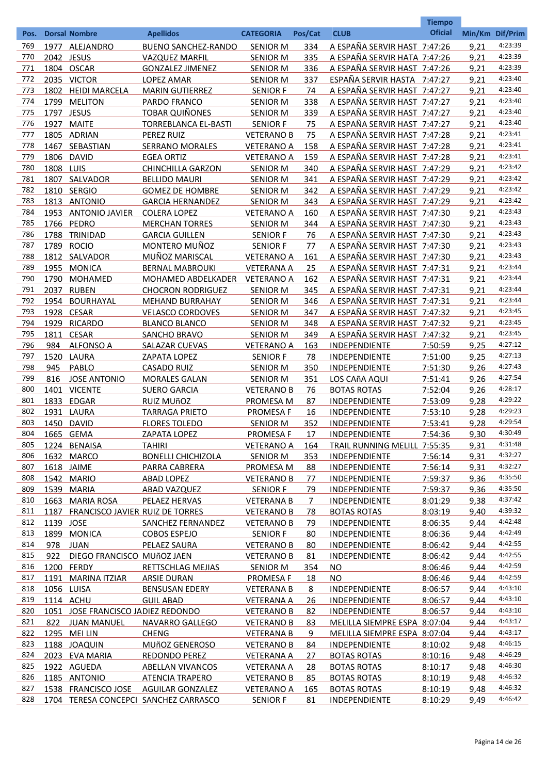|            |              |                                        |                                                      |                                      |            | <b>CLUB</b>                                                  | <b>Tiempo</b><br><b>Oficial</b> |                 |                    |
|------------|--------------|----------------------------------------|------------------------------------------------------|--------------------------------------|------------|--------------------------------------------------------------|---------------------------------|-----------------|--------------------|
| Pos.       |              | <b>Dorsal Nombre</b>                   | <b>Apellidos</b>                                     | <b>CATEGORIA</b>                     | Pos/Cat    |                                                              |                                 | Min/Km Dif/Prim |                    |
| 769        | 1977         | ALEJANDRO                              | <b>BUENO SANCHEZ-RANDO</b>                           | <b>SENIOR M</b>                      | 334        | A ESPAÑA SERVIR HAST 7:47:26                                 |                                 | 9,21            | 4:23:39            |
| 770        |              | 2042 JESUS                             | <b>VAZQUEZ MARFIL</b>                                | <b>SENIOR M</b>                      | 335        | A ESPAÑA SERVIR HATA 7:47:26                                 |                                 | 9,21            | 4:23:39            |
| 771        |              | 1804 OSCAR                             | <b>GONZALEZ JIMENEZ</b>                              | <b>SENIOR M</b>                      | 336        | A ESPAÑA SERVIR HAST 7:47:26                                 |                                 | 9,21            | 4:23:39<br>4:23:40 |
| 772<br>773 | 1802         | 2035 VICTOR                            | <b>LOPEZ AMAR</b>                                    | <b>SENIOR M</b>                      | <u>337</u> | ESPAÑA SERVIR HASTA 7:47:27                                  |                                 | 9,21            | 4:23:40            |
| 774        |              | <b>HEIDI MARCELA</b>                   | <b>MARIN GUTIERREZ</b>                               | <b>SENIOR F</b>                      | 74         | A ESPAÑA SERVIR HAST 7:47:27                                 |                                 | 9,21            | 4:23:40            |
| 775        | 1799         | <b>MELITON</b>                         | PARDO FRANCO                                         | <b>SENIOR M</b>                      | 338        | A ESPAÑA SERVIR HAST 7:47:27                                 |                                 | 9,21            | 4:23:40            |
| 776        | 1797<br>1927 | <b>JESUS</b>                           | <b>TOBAR QUIÑONES</b><br><b>TORREBLANCA EL-BASTI</b> | <b>SENIOR M</b>                      | 339        | A ESPAÑA SERVIR HAST 7:47:27                                 |                                 | 9,21            | 4:23:40            |
| 777        | 1805         | <b>MAITE</b><br>ADRIAN                 | PEREZ RUIZ                                           | <b>SENIOR F</b><br><b>VETERANO B</b> | 75<br>75   | A ESPAÑA SERVIR HAST 7:47:27<br>A ESPAÑA SERVIR HAST 7:47:28 |                                 | 9,21<br>9,21    | 4:23:41            |
| 778        | 1467         | SEBASTIAN                              | <b>SERRANO MORALES</b>                               | <b>VETERANO A</b>                    | 158        | A ESPAÑA SERVIR HAST 7:47:28                                 |                                 | 9,21            | 4:23:41            |
| 779        | 1806         | <b>DAVID</b>                           | <b>EGEA ORTIZ</b>                                    | <b>VETERANO A</b>                    | 159        | A ESPAÑA SERVIR HAST 7:47:28                                 |                                 | 9,21            | 4:23:41            |
| 780        | 1808 LUIS    |                                        | <b>CHINCHILLA GARZON</b>                             | <b>SENIOR M</b>                      | 340        | A ESPAÑA SERVIR HAST 7:47:29                                 |                                 | 9,21            | 4:23:42            |
| 781        |              | 1807 SALVADOR                          | <b>BELLIDO MAURI</b>                                 | <b>SENIOR M</b>                      | 341        | A ESPAÑA SERVIR HAST 7:47:29                                 |                                 | 9,21            | 4:23:42            |
| 782        |              | 1810 SERGIO                            | <b>GOMEZ DE HOMBRE</b>                               | <b>SENIOR M</b>                      | 342        | A ESPAÑA SERVIR HAST 7:47:29                                 |                                 | 9,21            | 4:23:42            |
| 783        |              | 1813 ANTONIO                           | <b>GARCIA HERNANDEZ</b>                              | <b>SENIOR M</b>                      | 343        | A ESPAÑA SERVIR HAST 7:47:29                                 |                                 | 9,21            | 4:23:42            |
| 784        | 1953         | <b>ANTONIO JAVIER</b>                  | <b>COLERA LOPEZ</b>                                  | <b>VETERANO A</b>                    | 160        | A ESPAÑA SERVIR HAST 7:47:30                                 |                                 | 9,21            | 4:23:43            |
| 785        |              | 1766 PEDRO                             | <b>MERCHAN TORRES</b>                                | <b>SENIOR M</b>                      | 344        | A ESPAÑA SERVIR HAST 7:47:30                                 |                                 | 9,21            | 4:23:43            |
| 786        | 1788         | TRINIDAD                               | <b>GARCIA GUILLEN</b>                                | <b>SENIOR F</b>                      | 76         | A ESPAÑA SERVIR HAST 7:47:30                                 |                                 | 9,21            | 4:23:43            |
| 787        | 1789         | <b>ROCIO</b>                           | MONTERO MUÑOZ                                        | <b>SENIOR F</b>                      | 77         | A ESPAÑA SERVIR HAST 7:47:30                                 |                                 | 9,21            | 4:23:43            |
| 788        | 1812         | SALVADOR                               | MUÑOZ MARISCAL                                       | <b>VETERANO A</b>                    | 161        | A ESPAÑA SERVIR HAST 7:47:30                                 |                                 | 9,21            | 4:23:43            |
| 789        | 1955         | <b>MONICA</b>                          | <b>BERNAL MABROUKI</b>                               | <b>VETERANA A</b>                    | 25         | A ESPAÑA SERVIR HAST 7:47:31                                 |                                 | 9,21            | 4:23:44            |
| 790        | 1790         | <b>MOHAMED</b>                         | MOHAMED ABDELKADER                                   | <b>VETERANO A</b>                    | 162        | A ESPAÑA SERVIR HAST 7:47:31                                 |                                 | 9,21            | 4:23:44            |
| 791        | 2037         | <b>RUBEN</b>                           | <b>CHOCRON RODRIGUEZ</b>                             | <b>SENIOR M</b>                      | <u>345</u> | A ESPAÑA SERVIR HAST 7:47:31                                 |                                 | 9,21            | 4:23:44            |
| 792        | 1954         | <b>BOURHAYAL</b>                       | <b>MEHAND BURRAHAY</b>                               | <b>SENIOR M</b>                      | 346        | A ESPAÑA SERVIR HAST 7:47:31                                 |                                 | 9,21            | 4:23:44            |
| 793        | 1928         | <b>CESAR</b>                           | <b>VELASCO CORDOVES</b>                              | <b>SENIOR M</b>                      | 347        | A ESPAÑA SERVIR HAST 7:47:32                                 |                                 | 9,21            | 4:23:45            |
| 794        | 1929         | <b>RICARDO</b>                         | <b>BLANCO BLANCO</b>                                 | <b>SENIOR M</b>                      | 348        | A ESPAÑA SERVIR HAST 7:47:32                                 |                                 | 9,21            | 4:23:45            |
| 795        | 1811         | <b>CESAR</b>                           | <b>SANCHO BRAVO</b>                                  | <b>SENIOR M</b>                      | 349        | A ESPAÑA SERVIR HAST 7:47:32                                 |                                 | 9,21            | 4:23:45            |
| 796        | 984          | <b>ALFONSO A</b>                       | <b>SALAZAR CUEVAS</b>                                | <b>VETERANO A</b>                    | 163        | INDEPENDIENTE                                                | 7:50:59                         | 9,25            | 4:27:12            |
| 797        | 1520         | LAURA                                  | <b>ZAPATA LOPEZ</b>                                  | <b>SENIOR F</b>                      | 78         | <b>INDEPENDIENTE</b>                                         | 7:51:00                         | 9,25            | 4:27:13            |
| 798        | 945          | PABLO                                  | <b>CASADO RUIZ</b>                                   | <b>SENIOR M</b>                      | 350        | <b>INDEPENDIENTE</b>                                         | 7:51:30                         | 9,26            | 4:27:43            |
| 799        | 816          | <b>JOSE ANTONIO</b>                    | <b>MORALES GALAN</b>                                 | <b>SENIOR M</b>                      | <u>351</u> | LOS CAñA AQUI                                                | 7:51:41                         | 9,26            | 4:27:54            |
| 800        | 1401         | <b>VICENTE</b>                         | <b>SUERO GARCIA</b>                                  | <b>VETERANO B</b>                    | 76         | <b>BOTAS ROTAS</b>                                           | 7:52:04                         | 9,26            | 4:28:17            |
| 801        | 1833         | <b>EDGAR</b>                           | RUIZ MUñOZ                                           | PROMESA M                            | 87         | <b>INDEPENDIENTE</b>                                         | 7:53:09                         | 9,28            | 4:29:22            |
| 802        | 1931         | LAURA                                  | <b>TARRAGA PRIETO</b>                                | <b>PROMESA F</b>                     | 16         | <b>INDEPENDIENTE</b>                                         | 7:53:10                         | 9,28            | 4:29:23            |
| 803        | 1450         | <b>DAVID</b>                           | <b>FLORES TOLEDO</b>                                 | <b>SENIOR M</b>                      | 352        | <b>INDEPENDIENTE</b>                                         | 7:53:41                         | 9,28            | 4:29:54            |
| 804        |              | 1665 GEMA                              | ZAPATA LOPEZ                                         | <b>PROMESA F</b>                     | 17         | <b>INDEPENDIENTE</b>                                         | 7:54:36                         | 9,30            | 4:30:49            |
| 805        |              | 1224 BENAISA                           | <b>TAHIRI</b>                                        | <b>VETERANO A</b>                    | 164        | TRAIL RUNNING MELILL 7:55:35                                 |                                 | 9,31            | 4:31:48            |
| 806        |              | 1632 MARCO                             | <b>BONELLI CHICHIZOLA</b>                            | <b>SENIOR M</b>                      | 353        | <b>INDEPENDIENTE</b>                                         | 7:56:14                         | 9,31            | 4:32:27            |
| 807        |              | 1618 JAIME                             | PARRA CABRERA                                        | PROMESA M                            | 88         | <b>INDEPENDIENTE</b>                                         | 7:56:14                         | 9,31            | 4:32:27            |
| 808        |              | 1542 MARIO                             | <b>ABAD LOPEZ</b>                                    | <b>VETERANO B</b>                    | 77         | <b>INDEPENDIENTE</b>                                         | 7:59:37                         | 9,36            | 4:35:50            |
| 809        |              | 1539 MARIA                             | ABAD VAZQUEZ                                         | SENIOR F                             | 79         | <b>INDEPENDIENTE</b>                                         | 7:59:37                         | 9,36            | 4:35:50            |
| 810        | 1663         | <b>MARIA ROSA</b>                      | PELAEZ HERVAS                                        | <b>VETERANA B</b>                    | 7          | <b>INDEPENDIENTE</b>                                         | 8:01:29                         | 9,38            | 4:37:42            |
| 811        | 1187         | <b>FRANCISCO JAVIER RUIZ DE TORRES</b> |                                                      | <b>VETERANO B</b>                    | 78         | <b>BOTAS ROTAS</b>                                           | 8:03:19                         | 9,40            | 4:39:32            |
| 812        | 1139 JOSE    |                                        | SANCHEZ FERNANDEZ                                    | <b>VETERANO B</b>                    | 79         | <b>INDEPENDIENTE</b>                                         | 8:06:35                         | 9,44            | 4:42:48            |
| 813        | 1899         | MONICA                                 | <b>COBOS ESPEJO</b>                                  | <b>SENIOR F</b>                      | 80         | INDEPENDIENTE                                                | 8:06:36                         | 9,44            | 4:42:49            |
| 814        | 978          | <b>JUAN</b>                            | PELAEZ SAURA                                         | <b>VETERANO B</b>                    | 80         | <b>INDEPENDIENTE</b>                                         | 8:06:42                         | 9,44            | 4:42:55            |
| 815        | 922          | DIEGO FRANCISCO MUñOZ JAEN             |                                                      | <b>VETERANO B</b>                    | 81         | <b>INDEPENDIENTE</b>                                         | 8:06:42                         | 9.44            | 4:42:55            |
| 816        |              | 1200 FERDY                             | RETTSCHLAG MEJIAS                                    | <b>SENIOR M</b>                      | 354        | NO.                                                          | 8:06:46                         | 9.44            | 4:42:59            |
| 817        |              | 1191 MARINA ITZIAR                     | <b>ARSIE DURAN</b>                                   | <b>PROMESA F</b>                     | 18         | NO.                                                          | 8:06:46                         | 9.44            | 4:42:59            |
| 818        |              | 1056 LUISA                             | <b>BENSUSAN EDERY</b>                                | <b>VETERANA B</b>                    | 8          | <b>INDEPENDIENTE</b>                                         | 8:06:57                         | 9.44            | 4:43:10            |
| 819        |              | 1114 ACHU                              | <b>GUIL ABAD</b>                                     | <b>VETERANA A</b>                    | 26         | <b>INDEPENDIENTE</b>                                         | 8:06:57                         | 9,44            | 4:43:10            |
| 820        |              | 1051 JOSE FRANCISCO JADIEZ REDONDO     |                                                      | <b>VETERANO B</b>                    | 82         | <b>INDEPENDIENTE</b>                                         | 8:06:57                         | 9,44            | 4:43:10            |
| 821        |              | 822 JUAN MANUEL                        | NAVARRO GALLEGO                                      | <b>VETERANO B</b>                    | 83         | MELILLA SIEMPRE ESPA 8:07:04                                 |                                 | 9.44            | 4:43:17            |
| 822        |              | 1295 MEI LIN                           | <b>CHENG</b>                                         | <b>VETERANA B</b>                    | 9          | MELILLA SIEMPRE ESPA 8:07:04                                 |                                 | 9.44            | 4:43:17            |
| 823        |              | 1188 JOAQUIN                           | <b>MUñOZ GENEROSO</b>                                | <b>VETERANO B</b>                    | 84         | <b>INDEPENDIENTE</b>                                         | 8:10:02                         | 9.48            | 4:46:15            |
| 824        |              | 2023 EVA MARIA                         | REDONDO PEREZ                                        | <b>VETERANA A</b>                    | 27         | <b>BOTAS ROTAS</b>                                           | 8:10:16                         | 9,48            | 4:46:29            |
| 825        |              | 1922 AGUEDA                            | <b>ABELLAN VIVANCOS</b>                              | <b>VETERANA A</b>                    | 28         | <b>BOTAS ROTAS</b>                                           | 8:10:17                         | 9,48            | 4:46:30            |
| 826        |              | 1185 ANTONIO                           | <b>ATENCIA TRAPERO</b>                               | <b>VETERANO B</b>                    | 85         | <b>BOTAS ROTAS</b>                                           | 8:10:19                         | 9,48            | 4:46:32            |
| 827        |              | 1538 FRANCISCO JOSE                    | <b>AGUILAR GONZALEZ</b>                              | <b>VETERANO A</b>                    | 165        | <b>BOTAS ROTAS</b>                                           | 8:10:19                         | 9,48            | 4:46:32            |
| 828        |              |                                        | 1704 TERESA CONCEPCI SANCHEZ CARRASCO                | <b>SENIOR F</b>                      | 81         | <b>INDEPENDIENTE</b>                                         | 8:10:29                         | 9.49            | 4:46:42            |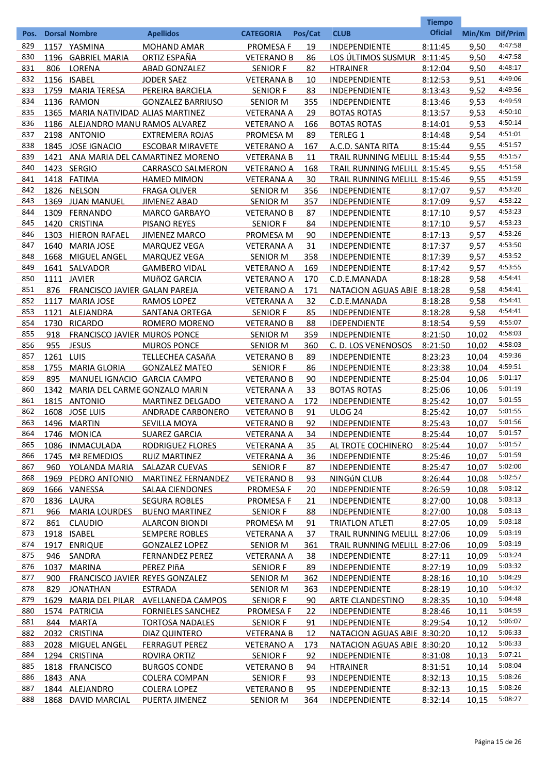|      |           |                                     |                                      |                   |           |                              | <b>Tiempo</b>  |                 |                    |
|------|-----------|-------------------------------------|--------------------------------------|-------------------|-----------|------------------------------|----------------|-----------------|--------------------|
| Pos. |           | <b>Dorsal Nombre</b>                | <b>Apellidos</b>                     | <b>CATEGORIA</b>  | Pos/Cat   | <b>CLUB</b>                  | <b>Oficial</b> | Min/Km Dif/Prim |                    |
| 829  |           | 1157 YASMINA                        | <b>MOHAND AMAR</b>                   | <b>PROMESA F</b>  | 19        | <b>INDEPENDIENTE</b>         | 8:11:45        | 9,50            | 4:47:58            |
| 830  | 1196      | <b>GABRIEL MARIA</b>                | ORTIZ ESPAÑA                         | <b>VETERANO B</b> | 86        | LOS ÚLTIMOS SUSMUR           | 8:11:45        | 9,50            | 4:47:58            |
| 831  | 806       | LORENA                              | ABAD GONZALEZ                        | <b>SENIOR F</b>   | 82        | <b>HTRAINER</b>              | 8:12:04        | 9,50            | 4:48:17            |
| 832  |           | 1156 ISABEL                         | <b>JODER SAEZ</b>                    | <b>VETERANA B</b> | 10        | INDEPENDIENTE                | 8:12:53        | 9,51            | 4:49:06            |
| 833  | 1759      | <b>MARIA TERESA</b>                 | PEREIRA BARCIELA                     | <b>SENIOR F</b>   | 83        | <b>INDEPENDIENTE</b>         | 8:13:43        | 9,52            | 4:49:56            |
| 834  |           | 1136 RAMON                          | <b>GONZALEZ BARRIUSO</b>             | <b>SENIOR M</b>   | 355       | INDEPENDIENTE                | 8:13:46        | 9,53            | 4:49:59            |
| 835  | 1365      | MARIA NATIVIDAD ALIAS MARTINEZ      |                                      | <b>VETERANA A</b> | 29        | <b>BOTAS ROTAS</b>           | 8:13:57        | 9,53            | 4:50:10            |
| 836  |           | 1186 ALEJANDRO MANU RAMOS ALVAREZ   |                                      | <b>VETERANO A</b> | 166       | <b>BOTAS ROTAS</b>           | 8:14:01        | 9,53            | 4:50:14            |
| 837  |           | 2198 ANTONIO                        | <b>EXTREMERA ROJAS</b>               | PROMESA M         | 89        | <b>TERLEG 1</b>              | 8:14:48        | 9,54            | 4:51:01            |
| 838  |           | 1845 JOSE IGNACIO                   | <b>ESCOBAR MIRAVETE</b>              | <b>VETERANO A</b> | 167       | A.C.D. SANTA RITA            | 8:15:44        | 9,55            | 4:51:57            |
| 839  |           |                                     | 1421 ANA MARIA DEL CAMARTINEZ MORENO | <b>VETERANA B</b> | 11        | TRAIL RUNNING MELILL 8:15:44 |                | 9,55            | 4:51:57            |
| 840  |           | 1423 SERGIO                         | <b>CARRASCO SALMERON</b>             | <b>VETERANO A</b> | 168       | TRAIL RUNNING MELILL 8:15:45 |                | 9,55            | 4:51:58            |
| 841  |           | 1418 FATIMA                         | <b>HAMED MIMON</b>                   | <b>VETERANA A</b> | 30        | TRAIL RUNNING MELILL 8:15:46 |                | 9,55            | 4:51:59            |
| 842  |           | 1826 NELSON                         | <b>FRAGA OLIVER</b>                  | <b>SENIOR M</b>   | 356       | INDEPENDIENTE                | 8:17:07        | 9,57            | 4:53:20            |
| 843  | 1369      | <b>JUAN MANUEL</b>                  | <b>JIMENEZ ABAD</b>                  | <b>SENIOR M</b>   | 357       | INDEPENDIENTE                | 8:17:09        | 9,57            | 4:53:22            |
| 844  | 1309      | <b>FERNANDO</b>                     | <b>MARCO GARBAYO</b>                 | <b>VETERANO B</b> | 87        | INDEPENDIENTE                | 8:17:10        | 9,57            | 4:53:23            |
| 845  | 1420      | <b>CRISTINA</b>                     | <b>PISANO REYES</b>                  | <b>SENIOR F</b>   | 84        | INDEPENDIENTE                | 8:17:10        | 9,57            | 4:53:23            |
| 846  | 1303      | <b>HIERON RAFAEL</b>                | <b>JIMENEZ MARCO</b>                 | PROMESA M         | 90        | INDEPENDIENTE                | 8:17:13        | 9,57            | 4:53:26            |
| 847  | 1640      | <b>MARIA JOSE</b>                   | <b>MARQUEZ VEGA</b>                  | <b>VETERANA A</b> | 31        | INDEPENDIENTE                | 8:17:37        | 9,57            | 4:53:50            |
| 848  | 1668      | MIGUEL ANGEL                        | <b>MARQUEZ VEGA</b>                  | <b>SENIOR M</b>   | 358       | INDEPENDIENTE                | 8:17:39        | 9,57            | 4:53:52            |
| 849  |           | 1641 SALVADOR                       | <b>GAMBERO VIDAL</b>                 | <b>VETERANO A</b> | 169       | INDEPENDIENTE                | 8:17:42        | 9,57            | 4:53:55            |
| 850  |           | 1111 JAVIER                         | MUñOZ GARCIA                         | <b>VETERANO A</b> | 170       | C.D.E.MANADA                 | 8:18:28        | 9,58            | 4:54:41            |
| 851  | 876       | FRANCISCO JAVIER GALAN PAREJA       |                                      | <b>VETERANO A</b> | 171       | NATACION AGUAS ABIE 8:18:28  |                | 9,58            | 4:54:41            |
| 852  | 1117      | <b>MARIA JOSE</b>                   | RAMOS LOPEZ                          | <b>VETERANA A</b> | 32        | C.D.E.MANADA                 | 8:18:28        | 9,58            | 4:54:41            |
| 853  | 1121      | <b>ALEJANDRA</b>                    |                                      | <b>SENIOR F</b>   | 85        |                              |                | 9,58            | 4:54:41            |
| 854  | 1730      | <b>RICARDO</b>                      | SANTANA ORTEGA                       |                   |           | INDEPENDIENTE                | 8:18:28        | 9,59            | 4:55:07            |
| 855  | 918       |                                     | ROMERO MORENO                        | <b>VETERANO B</b> | 88<br>359 | <b>IDEPENDIENTE</b>          | 8:18:54        |                 | 4:58:03            |
| 856  |           | <b>FRANCISCO JAVIER MUROS PONCE</b> |                                      | <b>SENIOR M</b>   |           | INDEPENDIENTE                | 8:21:50        | 10,02           | 4:58:03            |
| 857  | 955       | <b>JESUS</b>                        | <b>MUROS PONCE</b>                   | <b>SENIOR M</b>   | 360       | C. D. LOS VENENOSOS          | 8:21:50        | 10.02           | 4:59:36            |
|      | 1261 LUIS |                                     | <b>TELLECHEA CASAñA</b>              | <b>VETERANO B</b> | 89        | INDEPENDIENTE                | 8:23:23        | 10.04           | 4:59:51            |
| 858  | 1755      | <b>MARIA GLORIA</b>                 | <b>GONZALEZ MATEO</b>                | <b>SENIOR F</b>   | 86        | INDEPENDIENTE                | 8:23:38        | 10.04           | 5:01:17            |
| 859  | 895       | MANUEL IGNACIO GARCIA CAMPO         |                                      | <b>VETERANO B</b> | 90        | INDEPENDIENTE                | 8:25:04        | 10,06           |                    |
| 860  | 1342      | MARIA DEL CARME GONZALO MARIN       |                                      | <b>VETERANA A</b> | 33        | <b>BOTAS ROTAS</b>           | 8:25:06        | 10,06           | 5:01:19<br>5:01:55 |
| 861  |           | 1815 ANTONIO                        | <b>MARTINEZ DELGADO</b>              | <b>VETERANO A</b> | 172       | <b>INDEPENDIENTE</b>         | 8:25:42        | 10,07           |                    |
| 862  | 1608      | <b>JOSE LUIS</b>                    | <b>ANDRADE CARBONERO</b>             | <b>VETERANO B</b> | 91        | <b>ULOG 24</b>               | 8:25:42        | 10,07           | 5:01:55            |
| 863  |           | 1496 MARTIN                         | SEVILLA MOYA                         | <b>VETERANO B</b> | 92        | INDEPENDIENTE                | 8:25:43        | 10,07           | 5:01:56            |
| 864  |           | 1746 MONICA                         | <b>SUAREZ GARCIA</b>                 | <b>VETERANA A</b> | 34        | INDEPENDIENTE                | 8:25:44        | 10,07           | 5:01:57            |
| 865  |           | 1086 INMACULADA                     | <b>RODRIGUEZ FLORES</b>              | <b>VETERANA A</b> | 35        | AL TROTE COCHINERO           | 8:25:44        | 10,07           | 5:01:57            |
| 866  |           | 1745 Mª REMEDIOS                    | <b>RUIZ MARTINEZ</b>                 | <b>VETERANA A</b> | 36        | <b>INDEPENDIENTE</b>         | 8:25:46        | 10,07           | 5:01:59            |
| 867  | 960       | YOLANDA MARIA                       | <b>SALAZAR CUEVAS</b>                | <b>SENIOR F</b>   | 87        | <b>INDEPENDIENTE</b>         | 8:25:47        | 10,07           | 5:02:00            |
| 868  |           | 1969 PEDRO ANTONIO                  | <b>MARTINEZ FERNANDEZ</b>            | <b>VETERANO B</b> | 93        | <b>NINGÚN CLUB</b>           | 8:26:44        | 10.08           | 5:02:57            |
| 869  |           | 1666 VANESSA                        | <b>SALAA CIENDONES</b>               | PROMESA F         | 20        | <b>INDEPENDIENTE</b>         | 8:26:59        | 10,08           | 5:03:12            |
| 870  |           | 1836 LAURA                          | <b>SEGURA ROBLES</b>                 | <b>PROMESA F</b>  | 21        | <b>INDEPENDIENTE</b>         | 8:27:00        | 10,08           | 5:03:13            |
| 871  | 966       | <b>MARIA LOURDES</b>                | <b>BUENO MARTINEZ</b>                | <b>SENIOR F</b>   | 88        | <b>INDEPENDIENTE</b>         | 8:27:00        | 10,08           | 5:03:13            |
| 872  | 861       | <b>CLAUDIO</b>                      | <b>ALARCON BIONDI</b>                | PROMESA M         | 91        | <b>TRIATLON ATLETI</b>       | 8:27:05        | 10,09           | 5:03:18            |
| 873  |           | 1918 ISABEL                         | <b>SEMPERE ROBLES</b>                | <b>VETERANA A</b> | 37        | TRAIL RUNNING MELILL 8:27:06 |                | 10,09           | 5:03:19            |
| 874  | 1917      | <b>ENRIQUE</b>                      | <b>GONZALEZ LOPEZ</b>                | <b>SENIOR M</b>   | 361       | TRAIL RUNNING MELILL 8:27:06 |                | 10,09           | 5:03:19            |
| 875  | 946       | SANDRA                              | <b>FERNANDEZ PEREZ</b>               | <b>VETERANA A</b> | 38        | <b>INDEPENDIENTE</b>         | 8:27:11        | 10.09           | 5:03:24            |
| 876  | 1037      | <b>MARINA</b>                       | PEREZ PIñA                           | <b>SENIOR F</b>   | 89        | <b>INDEPENDIENTE</b>         | 8:27:19        | 10,09           | 5:03:32            |
| 877  | 900       | FRANCISCO JAVIER REYES GONZALEZ     |                                      | <b>SENIOR M</b>   | 362       | <b>INDEPENDIENTE</b>         | 8:28:16        | 10,10           | 5:04:29            |
| 878  | 829       | <b>JONATHAN</b>                     | <b>ESTRADA</b>                       | <b>SENIOR M</b>   | 363       | <b>INDEPENDIENTE</b>         | 8:28:19        | 10,10           | 5:04:32            |
| 879  | 1629      |                                     | MARIA DEL PILAR AVELLANEDA CAMPOS    | <b>SENIOR F</b>   | 90        | <b>ARTE CLANDESTINO</b>      | 8:28:35        | 10,10           | 5:04:48            |
| 880  |           | 1574 PATRICIA                       | <b>FORNIELES SANCHEZ</b>             | <b>PROMESA F</b>  | 22        | <b>INDEPENDIENTE</b>         | 8:28:46        | 10,11           | 5:04:59            |
| 881  | 844       | <b>MARTA</b>                        | <b>TORTOSA NADALES</b>               | <b>SENIOR F</b>   | 91        | <b>INDEPENDIENTE</b>         | 8:29:54        | 10,12           | 5:06:07            |
| 882  |           | 2032 CRISTINA                       | DIAZ QUINTERO                        | <b>VETERANA B</b> | 12        | NATACION AGUAS ABIE 8:30:20  |                | 10.12           | 5:06:33            |
| 883  |           | 2028 MIGUEL ANGEL                   | <b>FERRAGUT PEREZ</b>                | <b>VETERANO A</b> | 173       | NATACION AGUAS ABIE 8:30:20  |                | 10,12           | 5:06:33            |
| 884  |           | 1294 CRISTINA                       | ROVIRA ORTIZ                         | <b>SENIOR F</b>   | 92        | <b>INDEPENDIENTE</b>         | 8:31:08        | 10,13           | 5:07:21            |
| 885  |           | 1818 FRANCISCO                      | <b>BURGOS CONDE</b>                  | <b>VETERANO B</b> | 94        | <b>HTRAINER</b>              | 8:31:51        | 10,14           | 5:08:04            |
| 886  | 1843 ANA  |                                     | <b>COLERA COMPAN</b>                 | <b>SENIOR F</b>   | 93        | <b>INDEPENDIENTE</b>         | 8:32:13        | 10,15           | 5:08:26            |
| 887  |           | 1844 ALEJANDRO                      | <b>COLERA LOPEZ</b>                  | <b>VETERANO B</b> | 95        | <b>INDEPENDIENTE</b>         | 8:32:13        | 10,15           | 5:08:26            |
| 888  |           | 1868 DAVID MARCIAL                  | PUERTA JIMENEZ                       | <b>SENIOR M</b>   | 364       | <b>INDEPENDIENTE</b>         | 8:32:14        | 10,15           | 5:08:27            |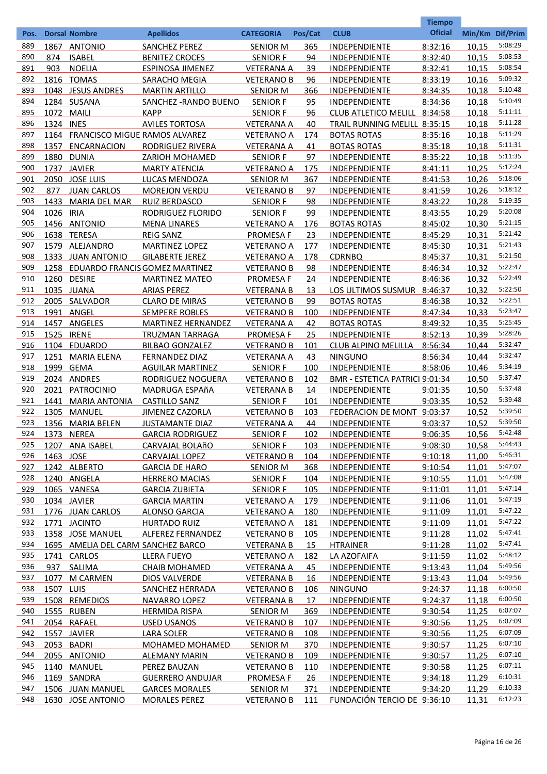|            |            |                                     |                           |                   |           |                                | <b>Tiempo</b>  |                 |                    |
|------------|------------|-------------------------------------|---------------------------|-------------------|-----------|--------------------------------|----------------|-----------------|--------------------|
| Pos.       |            | <b>Dorsal Nombre</b>                | <b>Apellidos</b>          | <b>CATEGORIA</b>  | Pos/Cat   | <b>CLUB</b>                    | <b>Oficial</b> | Min/Km Dif/Prim |                    |
| 889        | 1867       | <b>ANTONIO</b>                      | <b>SANCHEZ PEREZ</b>      | <b>SENIOR M</b>   | 365       | INDEPENDIENTE                  | 8:32:16        | 10,15           | 5:08:29            |
| 890        | 874        | <b>ISABEL</b>                       | <b>BENITEZ CROCES</b>     | <b>SENIOR F</b>   | 94        | INDEPENDIENTE                  | 8:32:40        | 10,15           | 5:08:53            |
| 891        | 903        | <b>NOELIA</b>                       | <b>ESPINOSA JIMENEZ</b>   | <b>VETERANA A</b> | 39        | INDEPENDIENTE                  | 8:32:41        | 10,15           | 5:08:54            |
| 892        |            | 1816 TOMAS                          | SARACHO MEGIA             | <b>VETERANO B</b> | 96        | INDEPENDIENTE                  | 8:33:19        | 10,16           | 5:09:32            |
| 893        |            | 1048 JESUS ANDRES                   | <b>MARTIN ARTILLO</b>     | <b>SENIOR M</b>   | 366       | INDEPENDIENTE                  | 8:34:35        | 10,18           | 5:10:48            |
| 894        |            | 1284 SUSANA                         | SANCHEZ - RANDO BUENO     | <b>SENIOR F</b>   | 95        | INDEPENDIENTE                  | 8:34:36        | 10,18           | 5:10:49            |
| 895        | 1072 MAILI |                                     | <b>KAPP</b>               | <b>SENIOR F</b>   | 96        | CLUB ATLETICO MELILL 8:34:58   |                | 10,18           | 5:11:11            |
| 896        | 1324 INES  |                                     | <b>AVILES TORTOSA</b>     | <b>VETERANA A</b> | 40        | TRAIL RUNNING MELILL 8:35:15   |                | 10,18           | 5:11:28            |
| 897        |            | 1164 FRANCISCO MIGUE RAMOS ALVAREZ  |                           | <b>VETERANO A</b> | 174       | <b>BOTAS ROTAS</b>             | 8:35:16        | 10,18           | 5:11:29            |
| 898        | 1357       | <b>ENCARNACION</b>                  | RODRIGUEZ RIVERA          | <b>VETERANA A</b> | 41        | <b>BOTAS ROTAS</b>             | 8:35:18        | 10,18           | 5:11:31            |
| 899        | 1880       | <b>DUNIA</b>                        | <b>ZARIOH MOHAMED</b>     | <b>SENIOR F</b>   | 97        | <b>INDEPENDIENTE</b>           | 8:35:22        | 10,18           | 5:11:35            |
| 900        |            | 1737 JAVIER                         | <b>MARTY ATENCIA</b>      | <b>VETERANO A</b> | 175       | INDEPENDIENTE                  | 8:41:11        | 10,25           | 5:17:24            |
| 901        | 2050       | <b>JOSE LUIS</b>                    | LUCAS MENDOZA             | <b>SENIOR M</b>   | 367       | INDEPENDIENTE                  | 8:41:53        | 10,26           | 5:18:06            |
| 902        | 877        | <b>JUAN CARLOS</b>                  | <b>MOREJON VERDU</b>      | <b>VETERANO B</b> | 97        | INDEPENDIENTE                  | 8:41:59        | 10,26           | 5:18:12            |
| 903        | 1433       | <b>MARIA DEL MAR</b>                | RUIZ BERDASCO             | <b>SENIOR F</b>   | 98        | INDEPENDIENTE                  | 8:43:22        | 10,28           | 5:19:35            |
| 904        | 1026 IRIA  |                                     | RODRIGUEZ FLORIDO         | <b>SENIOR F</b>   | 99        | INDEPENDIENTE                  | 8:43:55        | 10,29           | 5:20:08            |
| 905        |            | 1456 ANTONIO                        |                           |                   |           |                                | 8:45:02        |                 | 5:21:15            |
| 906        |            |                                     | <b>MENA LINARES</b>       | <b>VETERANO A</b> | 176       | <b>BOTAS ROTAS</b>             |                | 10,30           | 5:21:42            |
|            |            | 1638 TERESA                         | <b>REIG SANZ</b>          | PROMESA F         | 23        | INDEPENDIENTE                  | 8:45:29        | 10,31           | 5:21:43            |
| 907        | 1579       | ALEJANDRO                           | <b>MARTINEZ LOPEZ</b>     | <b>VETERANO A</b> | 177       | INDEPENDIENTE                  | 8:45:30        | 10,31           |                    |
| 908        |            | 1333 JUAN ANTONIO                   | <b>GILABERTE JEREZ</b>    | <b>VETERANO A</b> | 178       | <b>CDRNBQ</b>                  | 8:45:37        | 10,31           | 5:21:50            |
| 909        |            | 1258 EDUARDO FRANCIS GOMEZ MARTINEZ |                           | <b>VETERANO B</b> | 98        | INDEPENDIENTE                  | 8:46:34        | 10,32           | 5:22:47            |
| 910        |            | 1260 DESIRE                         | <b>MARTINEZ MATEO</b>     | PROMESA F         | 24        | <b>INDEPENDIENTE</b>           | 8:46:36        | 10,32           | 5:22:49            |
| 911        |            | 1035 JUANA                          | <b>ARIAS PEREZ</b>        | <b>VETERANA B</b> | 13        | LOS ULTIMOS SUSMUR 8:46:37     |                | 10,32           | 5:22:50            |
| 912        |            | 2005 SALVADOR                       | <b>CLARO DE MIRAS</b>     | <b>VETERANO B</b> | 99        | <b>BOTAS ROTAS</b>             | 8:46:38        | 10,32           | 5:22:51            |
| 913        |            | 1991 ANGEL                          | <b>SEMPERE ROBLES</b>     | <b>VETERANO B</b> | 100       | INDEPENDIENTE                  | 8:47:34        | 10,33           | 5:23:47            |
| 914        |            | 1457 ANGELES                        | <b>MARTINEZ HERNANDEZ</b> | <b>VETERANA A</b> | 42        | <b>BOTAS ROTAS</b>             | 8:49:32        | 10,35           | 5:25:45            |
| 915        |            | 1525 IRENE                          | TRUZMAN TARRAGA           | PROMESA F         | 25        | <b>INDEPENDIENTE</b>           | 8:52:13        | 10,39           | 5:28:26            |
| 916        |            | 1104 EDUARDO                        | <b>BILBAO GONZALEZ</b>    | <b>VETERANO B</b> | 101       | <b>CLUB ALPINO MELILLA</b>     | 8:56:34        | 10.44           | 5:32:47            |
| 917        | 1251       | <b>MARIA ELENA</b>                  | <b>FERNANDEZ DIAZ</b>     | <b>VETERANA A</b> | 43        | <b>NINGUNO</b>                 | 8:56:34        | 10.44           | 5:32:47            |
| 918        | 1999       | <b>GEMA</b>                         | <b>AGUILAR MARTINEZ</b>   | <b>SENIOR F</b>   | 100       | <b>INDEPENDIENTE</b>           | 8:58:06        | 10,46           | 5:34:19            |
| 919        |            | 2024 ANDRES                         | RODRIGUEZ NOGUERA         | <b>VETERANO B</b> | 102       | BMR - ESTETICA PATRICI 9:01:34 |                | 10,50           | 5:37:47            |
| 920        | 2021       | <b>PATROCINIO</b>                   | MADRUGA ESPAñA            | <b>VETERANA B</b> | 14        | <b>INDEPENDIENTE</b>           | 9:01:35        | 10,50           | 5:37:48            |
| 921        | 1441       | <b>MARIA ANTONIA</b>                | <b>CASTILLO SANZ</b>      | <b>SENIOR F</b>   | 101       | <b>INDEPENDIENTE</b>           | 9:03:35        | 10,52           | 5:39:48            |
| 922        | 1305       | <b>MANUEL</b>                       | <b>JIMENEZ CAZORLA</b>    | <b>VETERANO B</b> | 103       | FEDERACION DE MONT 9:03:37     |                | 10,52           | 5:39:50            |
| 923        | 1356       | MARIA BELEN                         | <b>JUSTAMANTE DIAZ</b>    | <b>VETERANA A</b> | 44        | <b>INDEPENDIENTE</b>           | 9:03:37        | 10,52           | 5:39:50            |
| 924        |            | 1373 NEREA                          | <b>GARCIA RODRIGUEZ</b>   | <b>SENIOR F</b>   | 102       | <b>INDEPENDIENTE</b>           | 9:06:35        | 10,56           | 5:42:48            |
| 925        |            | 1207 ANA ISABEL                     | CARVAJAL BOLAñO           | <b>SENIOR F</b>   | 103       | <b>INDEPENDIENTE</b>           | 9:08:30        | 10,58           | 5:44:43            |
| 926        | 1463 JOSE  |                                     | <b>CARVAJAL LOPEZ</b>     | <b>VETERANO B</b> | 104       | INDEPENDIENTE                  | 9:10:18        | 11,00           | 5:46:31            |
| 927        |            | 1242 ALBERTO                        | <b>GARCIA DE HARO</b>     | <b>SENIOR M</b>   | 368       | <b>INDEPENDIENTE</b>           | 9:10:54        | 11,01           | 5:47:07            |
| 928        |            | 1240 ANGELA                         | <b>HERRERO MACIAS</b>     | <b>SENIOR F</b>   | 104       | <b>INDEPENDIENTE</b>           | 9:10:55        | 11,01           | 5:47:08            |
| 929        |            | 1065 VANESA                         | <b>GARCIA ZUBIETA</b>     | <b>SENIOR F</b>   | 105       | <b>INDEPENDIENTE</b>           | 9:11:01        | 11,01           | 5:47:14            |
| 930        |            | 1034 JAVIER                         | <b>GARCIA MARTIN</b>      | <b>VETERANO A</b> | 179       | <b>INDEPENDIENTE</b>           | 9:11:06        | 11.01           | 5:47:19            |
| 931        |            | 1776 JUAN CARLOS                    | <b>ALONSO GARCIA</b>      | <b>VETERANO A</b> | 180       | <b>INDEPENDIENTE</b>           | 9:11:09        | 11,01           | 5:47:22            |
| 932        |            | 1771 JACINTO                        | <b>HURTADO RUIZ</b>       | <b>VETERANO A</b> | 181       | <b>INDEPENDIENTE</b>           | 9:11:09        | 11,01           | 5:47:22            |
| 933        |            | 1358 JOSE MANUEL                    | ALFEREZ FERNANDEZ         | <b>VETERANO B</b> | 105       | <b>INDEPENDIENTE</b>           | 9:11:28        | 11,02           | 5:47:41            |
| 934        |            | 1695 AMELIA DEL CARM SANCHEZ BARCO  |                           | <b>VETERANA B</b> | <u>15</u> | <b>HTRAINER</b>                | 9:11:28        | 11,02           | 5:47:41            |
| 935        |            | 1741 CARLOS                         | LLERA FUEYO               | <b>VETERANO A</b> | 182       | LA AZOFAIFA                    | 9:11:59        | 11.02           | 5:48:12            |
| 936        | 937        | SALIMA                              | <b>CHAIB MOHAMED</b>      | <b>VETERANA A</b> | 45        |                                | 9:13:43        | 11,04           | 5:49:56            |
| 937        |            |                                     |                           |                   |           | <b>INDEPENDIENTE</b>           |                |                 | 5:49:56            |
|            | 1077       | <b>M CARMEN</b>                     | <b>DIOS VALVERDE</b>      | <b>VETERANA B</b> | 16        | <b>INDEPENDIENTE</b>           | 9:13:43        | 11,04           |                    |
| 938<br>939 | 1507 LUIS  |                                     | SANCHEZ HERRADA           | <b>VETERANO B</b> | 106       | <b>NINGUNO</b>                 | 9:24:37        | 11,18           | 6:00:50<br>6:00:50 |
|            |            | 1508 REMEDIOS                       | NAVARRO LOPEZ             | <b>VETERANA B</b> | 17        | <b>INDEPENDIENTE</b>           | 9:24:37        | 11,18           |                    |
| 940        |            | 1555 RUBEN                          | <b>HERMIDA RISPA</b>      | <b>SENIOR M</b>   | 369       | <b>INDEPENDIENTE</b>           | 9:30:54        | 11,25           | 6:07:07            |
| 941        |            | 2054 RAFAEL                         | <b>USED USANOS</b>        | <b>VETERANO B</b> | 107       | <b>INDEPENDIENTE</b>           | 9:30:56        | 11,25           | 6:07:09            |
| 942        |            | 1557 JAVIER                         | <b>LARA SOLER</b>         | <b>VETERANO B</b> | 108       | <b>INDEPENDIENTE</b>           | 9:30:56        | 11,25           | 6:07:09            |
| 943        |            | 2053 BADRI                          | MOHAMED MOHAMED           | <b>SENIOR M</b>   | 370       | <b>INDEPENDIENTE</b>           | 9:30:57        | 11,25           | 6:07:10            |
| 944        |            | 2055 ANTONIO                        | <b>ALEMANY MARIN</b>      | <b>VETERANO B</b> | 109       | <b>INDEPENDIENTE</b>           | 9:30:57        | 11,25           | 6:07:10            |
| 945        |            | 1140 MANUEL                         | PEREZ BAUZAN              | <b>VETERANO B</b> | 110       | <b>INDEPENDIENTE</b>           | 9:30:58        | 11,25           | 6:07:11            |
| 946        |            | 1169 SANDRA                         | <b>GUERRERO ANDUJAR</b>   | <b>PROMESA F</b>  | 26        | <b>INDEPENDIENTE</b>           | 9:34:18        | 11,29           | 6:10:31            |
| 947        |            | 1506 JUAN MANUEL                    | <b>GARCES MORALES</b>     | <b>SENIOR M</b>   | 371       | <b>INDEPENDIENTE</b>           | 9:34:20        | 11,29           | 6:10:33            |
| 948        |            | 1630 JOSE ANTONIO                   | <b>MORALES PEREZ</b>      | <b>VETERANO B</b> | 111       | FUNDACIÓN TERCIO DE 9:36:10    |                | 11,31           | 6:12:23            |